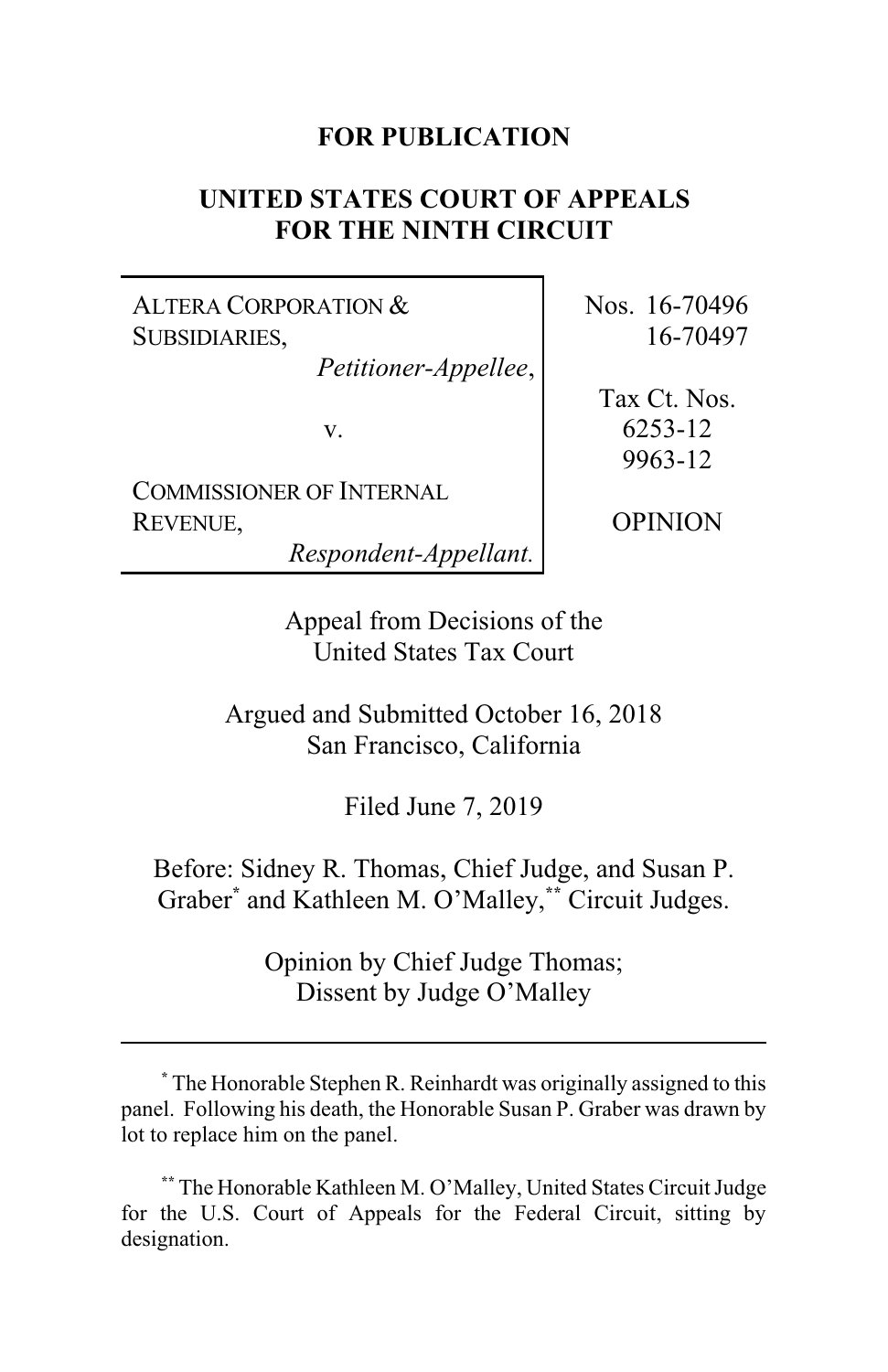## **FOR PUBLICATION**

# **UNITED STATES COURT OF APPEALS FOR THE NINTH CIRCUIT**

ALTERA CORPORATION & SUBSIDIARIES,

*Petitioner-Appellee*,

v.

COMMISSIONER OF INTERNAL REVENUE,

*Respondent-Appellant.*

Nos. 16-70496 16-70497

Tax Ct. Nos. 6253-12 9963-12

OPINION

Appeal from Decisions of the United States Tax Court

Argued and Submitted October 16, 2018 San Francisco, California

Filed June 7, 2019

Before: Sidney R. Thomas, Chief Judge, and Susan P. Graber**\*** and Kathleen M. O'Malley,**\*\*** Circuit Judges.

> Opinion by Chief Judge Thomas; Dissent by Judge O'Malley

**<sup>\*</sup>** The Honorable Stephen R. Reinhardt was originally assigned to this panel. Following his death, the Honorable Susan P. Graber was drawn by lot to replace him on the panel.

**<sup>\*\*</sup>** The Honorable Kathleen M. O'Malley, United States Circuit Judge for the U.S. Court of Appeals for the Federal Circuit, sitting by designation.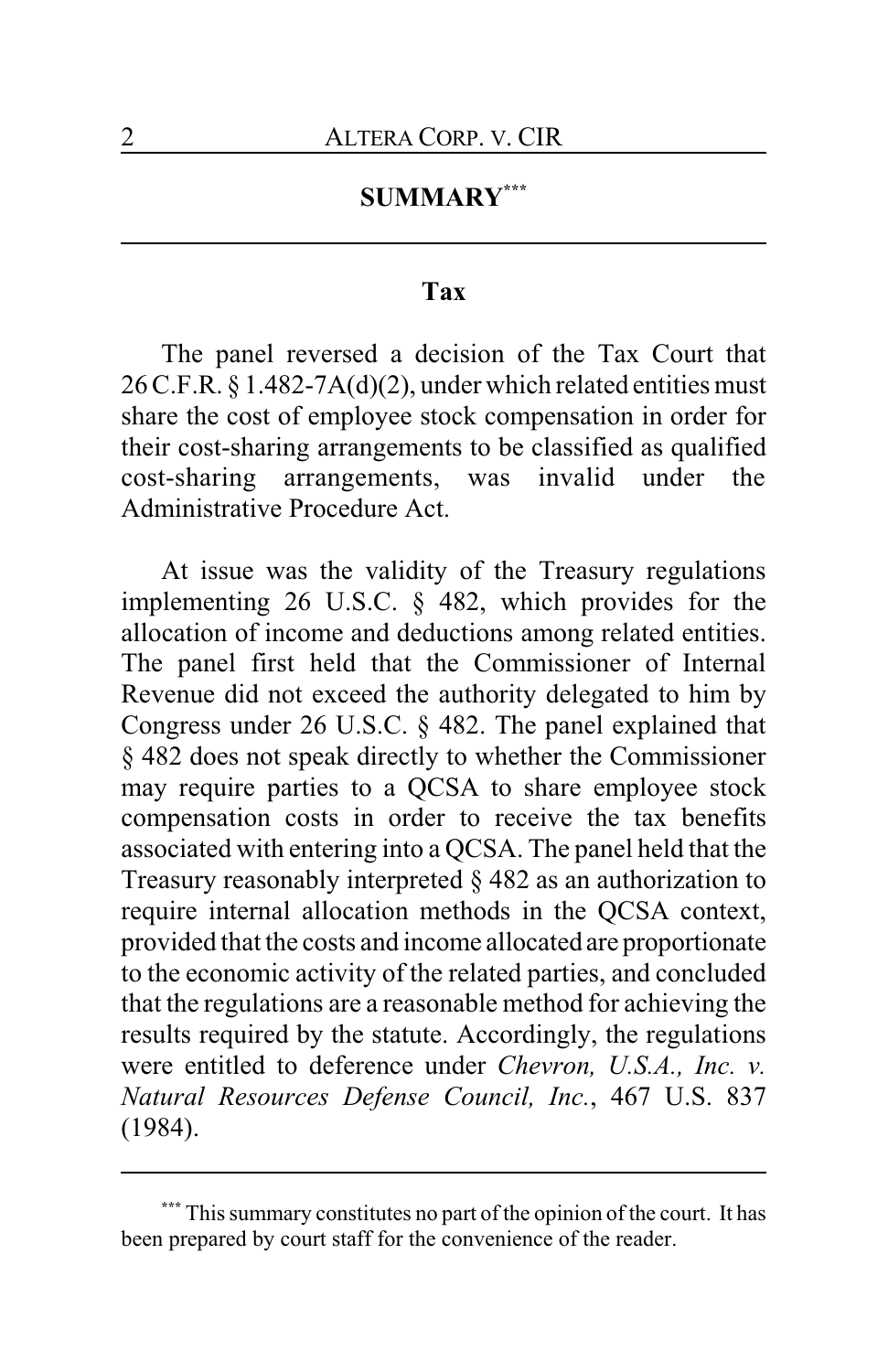## **SUMMARY\*\*\***

## **Tax**

The panel reversed a decision of the Tax Court that 26 C.F.R. § 1.482-7A(d)(2), under which related entities must share the cost of employee stock compensation in order for their cost-sharing arrangements to be classified as qualified cost-sharing arrangements, was invalid under the Administrative Procedure Act.

At issue was the validity of the Treasury regulations implementing 26 U.S.C. § 482, which provides for the allocation of income and deductions among related entities. The panel first held that the Commissioner of Internal Revenue did not exceed the authority delegated to him by Congress under 26 U.S.C. § 482. The panel explained that § 482 does not speak directly to whether the Commissioner may require parties to a QCSA to share employee stock compensation costs in order to receive the tax benefits associated with entering into a QCSA. The panel held that the Treasury reasonably interpreted § 482 as an authorization to require internal allocation methods in the QCSA context, provided that the costs and income allocated are proportionate to the economic activity of the related parties, and concluded that the regulations are a reasonable method for achieving the results required by the statute. Accordingly, the regulations were entitled to deference under *Chevron, U.S.A., Inc. v. Natural Resources Defense Council, Inc.*, 467 U.S. 837 (1984).

This summary constitutes no part of the opinion of the court. It has been prepared by court staff for the convenience of the reader.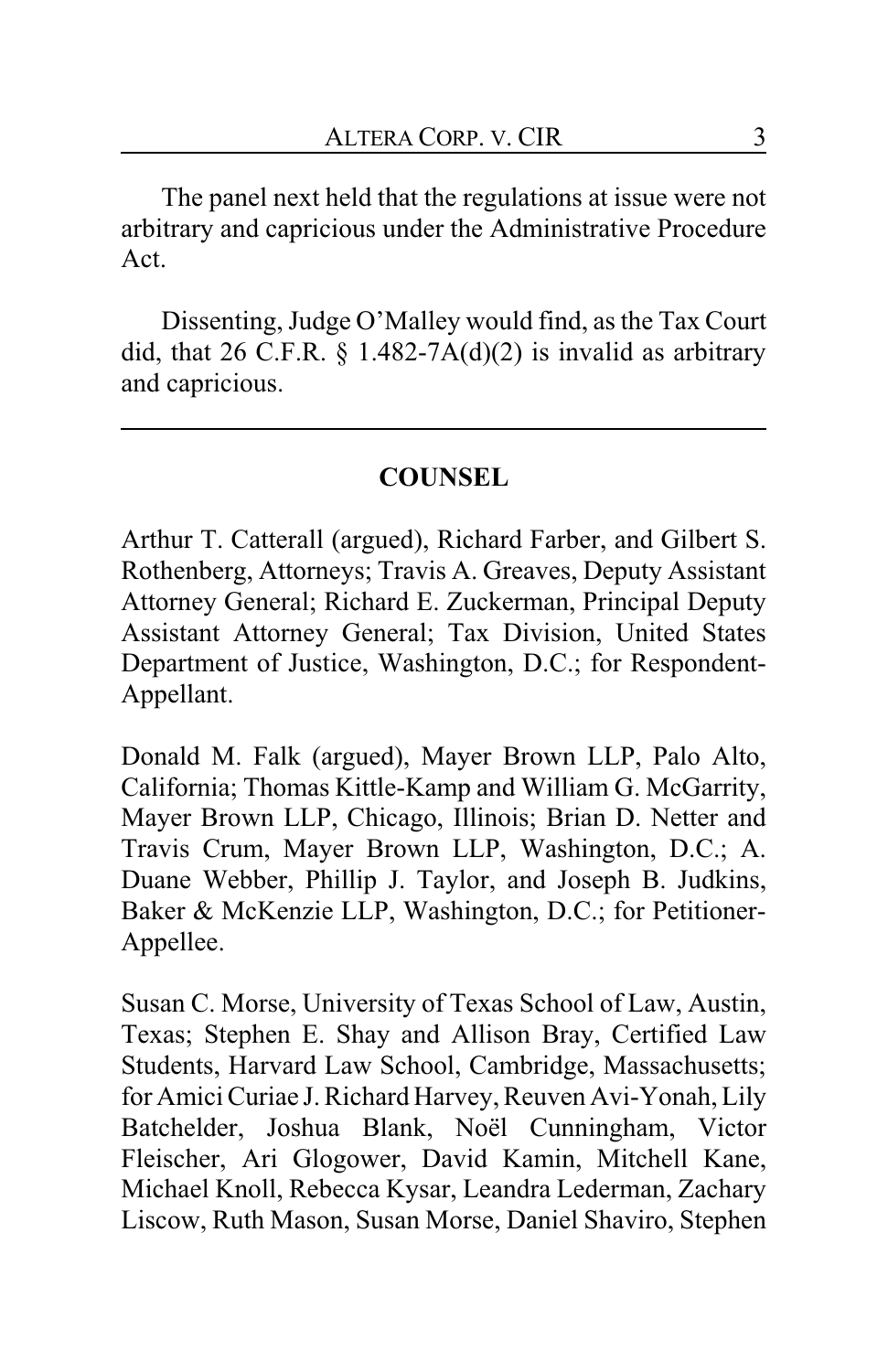The panel next held that the regulations at issue were not arbitrary and capricious under the Administrative Procedure Act.

Dissenting, Judge O'Malley would find, as the Tax Court did, that 26 C.F.R.  $\S$  1.482-7A(d)(2) is invalid as arbitrary and capricious.

# **COUNSEL**

Arthur T. Catterall (argued), Richard Farber, and Gilbert S. Rothenberg, Attorneys; Travis A. Greaves, Deputy Assistant Attorney General; Richard E. Zuckerman, Principal Deputy Assistant Attorney General; Tax Division, United States Department of Justice, Washington, D.C.; for Respondent-Appellant.

Donald M. Falk (argued), Mayer Brown LLP, Palo Alto, California; Thomas Kittle-Kamp and William G. McGarrity, Mayer Brown LLP, Chicago, Illinois; Brian D. Netter and Travis Crum, Mayer Brown LLP, Washington, D.C.; A. Duane Webber, Phillip J. Taylor, and Joseph B. Judkins, Baker & McKenzie LLP, Washington, D.C.; for Petitioner-Appellee.

Susan C. Morse, University of Texas School of Law, Austin, Texas; Stephen E. Shay and Allison Bray, Certified Law Students, Harvard Law School, Cambridge, Massachusetts; for Amici Curiae J. Richard Harvey, Reuven Avi-Yonah, Lily Batchelder, Joshua Blank, Noël Cunningham, Victor Fleischer, Ari Glogower, David Kamin, Mitchell Kane, Michael Knoll, Rebecca Kysar, Leandra Lederman, Zachary Liscow, Ruth Mason, Susan Morse, Daniel Shaviro, Stephen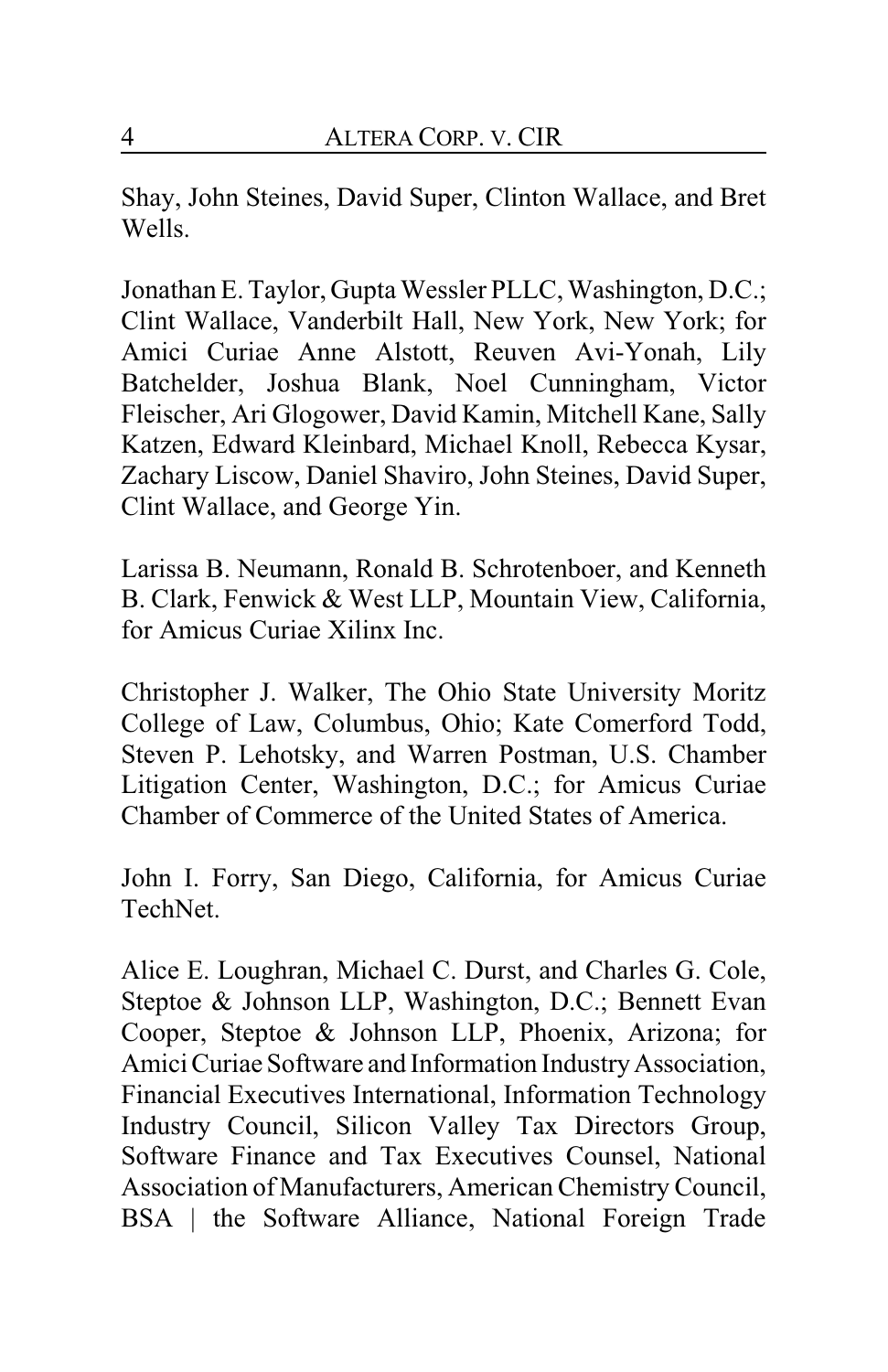Shay, John Steines, David Super, Clinton Wallace, and Bret Wells.

Jonathan E. Taylor, Gupta Wessler PLLC, Washington, D.C.; Clint Wallace, Vanderbilt Hall, New York, New York; for Amici Curiae Anne Alstott, Reuven Avi-Yonah, Lily Batchelder, Joshua Blank, Noel Cunningham, Victor Fleischer, Ari Glogower, David Kamin, Mitchell Kane, Sally Katzen, Edward Kleinbard, Michael Knoll, Rebecca Kysar, Zachary Liscow, Daniel Shaviro, John Steines, David Super, Clint Wallace, and George Yin.

Larissa B. Neumann, Ronald B. Schrotenboer, and Kenneth B. Clark, Fenwick & West LLP, Mountain View, California, for Amicus Curiae Xilinx Inc.

Christopher J. Walker, The Ohio State University Moritz College of Law, Columbus, Ohio; Kate Comerford Todd, Steven P. Lehotsky, and Warren Postman, U.S. Chamber Litigation Center, Washington, D.C.; for Amicus Curiae Chamber of Commerce of the United States of America.

John I. Forry, San Diego, California, for Amicus Curiae TechNet.

Alice E. Loughran, Michael C. Durst, and Charles G. Cole, Steptoe & Johnson LLP, Washington, D.C.; Bennett Evan Cooper, Steptoe & Johnson LLP, Phoenix, Arizona; for Amici Curiae Software and Information Industry Association, Financial Executives International, Information Technology Industry Council, Silicon Valley Tax Directors Group, Software Finance and Tax Executives Counsel, National Association of Manufacturers, American Chemistry Council, BSA | the Software Alliance, National Foreign Trade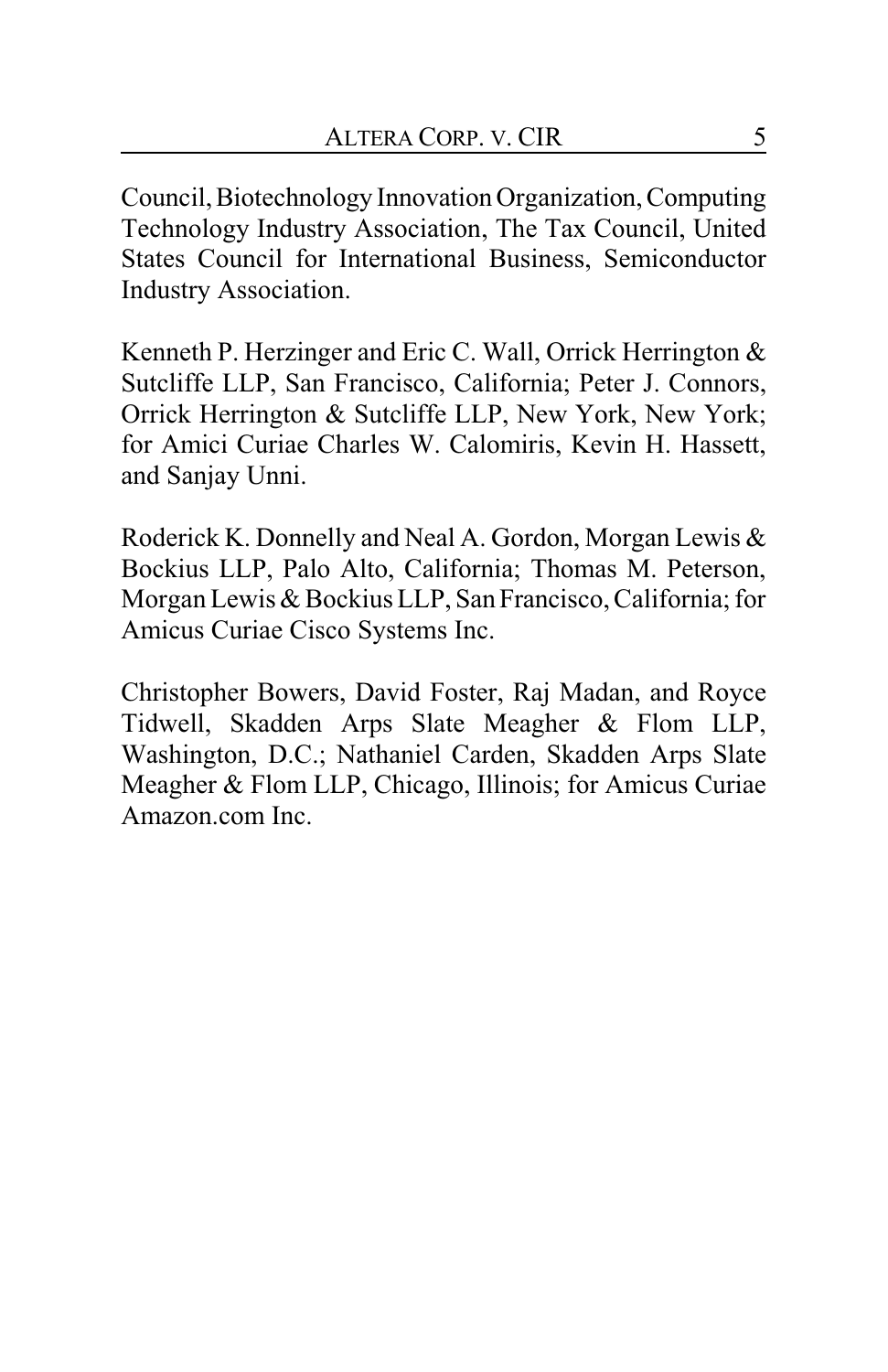Council,Biotechnology Innovation Organization,Computing Technology Industry Association, The Tax Council, United States Council for International Business, Semiconductor Industry Association.

Kenneth P. Herzinger and Eric C. Wall, Orrick Herrington & Sutcliffe LLP, San Francisco, California; Peter J. Connors, Orrick Herrington & Sutcliffe LLP, New York, New York; for Amici Curiae Charles W. Calomiris, Kevin H. Hassett, and Sanjay Unni.

Roderick K. Donnelly and Neal A. Gordon, Morgan Lewis & Bockius LLP, Palo Alto, California; Thomas M. Peterson, Morgan Lewis & Bockius LLP, San Francisco, California; for Amicus Curiae Cisco Systems Inc.

Christopher Bowers, David Foster, Raj Madan, and Royce Tidwell, Skadden Arps Slate Meagher & Flom LLP, Washington, D.C.; Nathaniel Carden, Skadden Arps Slate Meagher & Flom LLP, Chicago, Illinois; for Amicus Curiae Amazon.com Inc.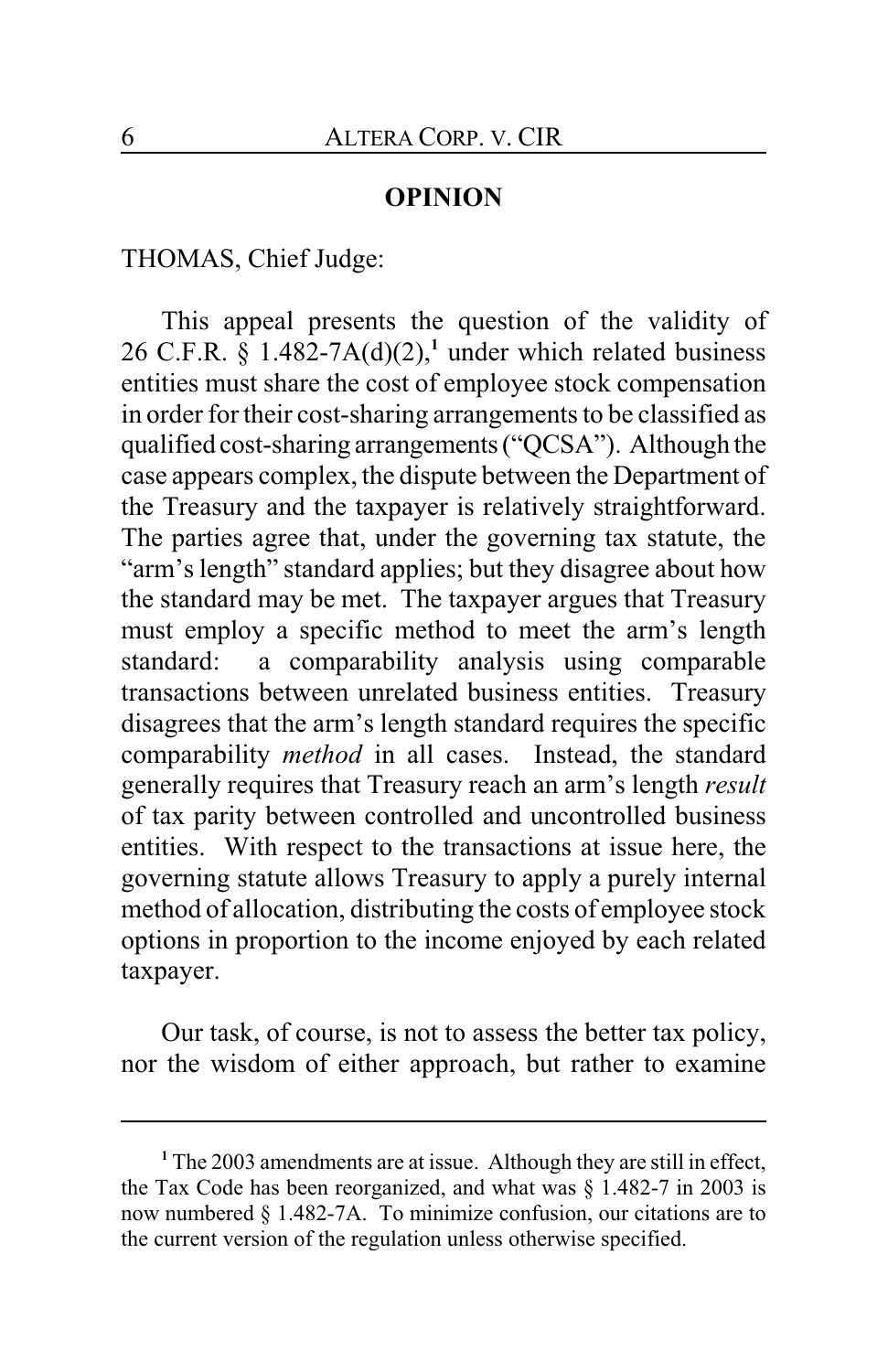## **OPINION**

THOMAS, Chief Judge:

This appeal presents the question of the validity of 26 C.F.R.  $\S$  1.482-7A(d)(2),<sup>1</sup> under which related business entities must share the cost of employee stock compensation in order for their cost-sharing arrangements to be classified as qualified cost-sharing arrangements ("QCSA"). Although the case appears complex, the dispute between the Department of the Treasury and the taxpayer is relatively straightforward. The parties agree that, under the governing tax statute, the "arm's length" standard applies; but they disagree about how the standard may be met. The taxpayer argues that Treasury must employ a specific method to meet the arm's length standard: a comparability analysis using comparable transactions between unrelated business entities. Treasury disagrees that the arm's length standard requires the specific comparability *method* in all cases. Instead, the standard generally requires that Treasury reach an arm's length *result* of tax parity between controlled and uncontrolled business entities. With respect to the transactions at issue here, the governing statute allows Treasury to apply a purely internal method of allocation, distributing the costs of employee stock options in proportion to the income enjoyed by each related taxpayer.

Our task, of course, is not to assess the better tax policy, nor the wisdom of either approach, but rather to examine

**<sup>1</sup>** The 2003 amendments are at issue. Although they are still in effect, the Tax Code has been reorganized, and what was § 1.482-7 in 2003 is now numbered § 1.482-7A. To minimize confusion, our citations are to the current version of the regulation unless otherwise specified.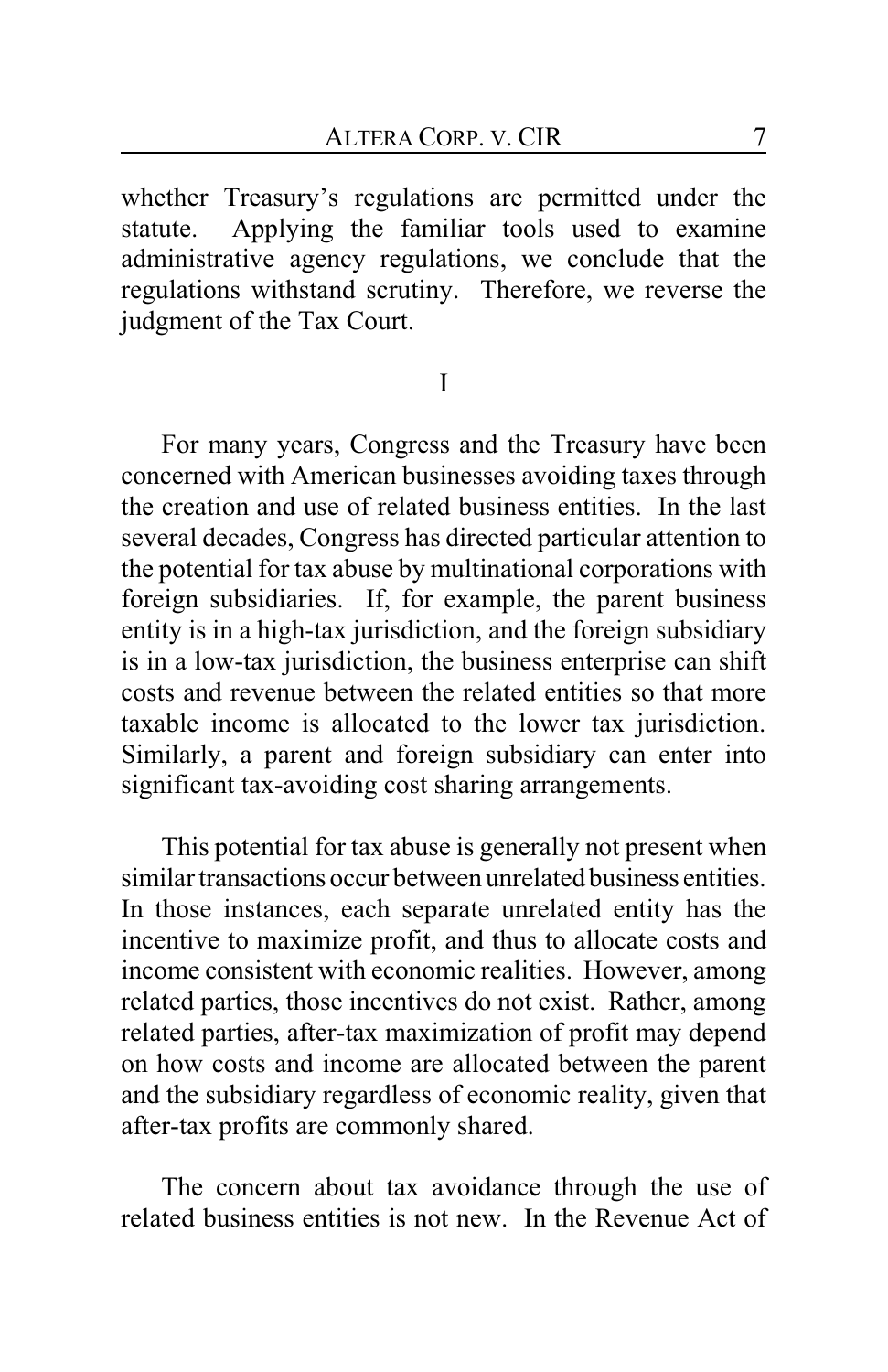whether Treasury's regulations are permitted under the statute. Applying the familiar tools used to examine administrative agency regulations, we conclude that the regulations withstand scrutiny. Therefore, we reverse the judgment of the Tax Court.

I

For many years, Congress and the Treasury have been concerned with American businesses avoiding taxes through the creation and use of related business entities. In the last several decades, Congress has directed particular attention to the potential for tax abuse by multinational corporations with foreign subsidiaries. If, for example, the parent business entity is in a high-tax jurisdiction, and the foreign subsidiary is in a low-tax jurisdiction, the business enterprise can shift costs and revenue between the related entities so that more taxable income is allocated to the lower tax jurisdiction. Similarly, a parent and foreign subsidiary can enter into significant tax-avoiding cost sharing arrangements.

This potential for tax abuse is generally not present when similar transactions occur between unrelated business entities In those instances, each separate unrelated entity has the incentive to maximize profit, and thus to allocate costs and income consistent with economic realities. However, among related parties, those incentives do not exist. Rather, among related parties, after-tax maximization of profit may depend on how costs and income are allocated between the parent and the subsidiary regardless of economic reality, given that after-tax profits are commonly shared.

The concern about tax avoidance through the use of related business entities is not new. In the Revenue Act of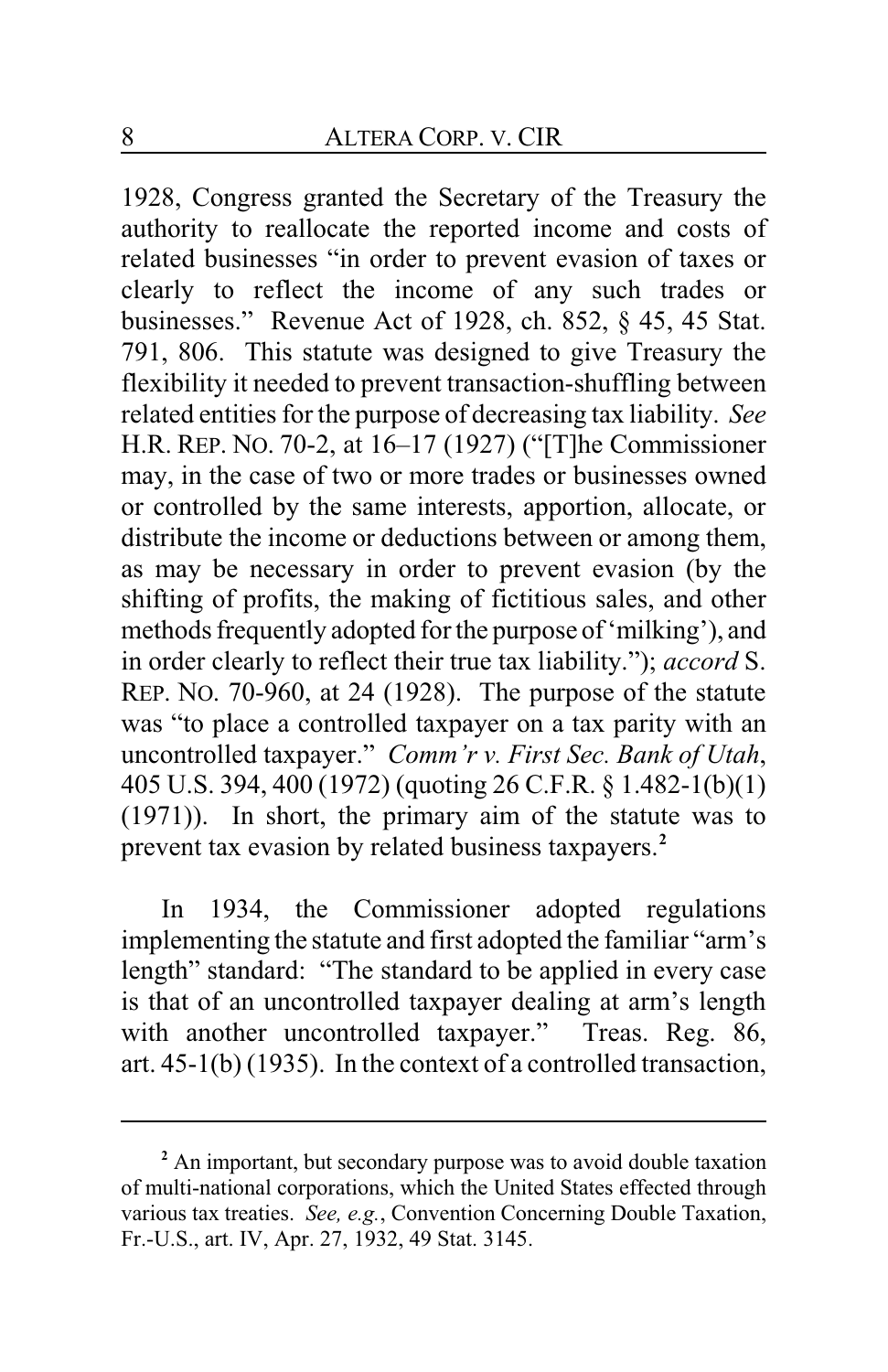1928, Congress granted the Secretary of the Treasury the authority to reallocate the reported income and costs of related businesses "in order to prevent evasion of taxes or clearly to reflect the income of any such trades or businesses." Revenue Act of 1928, ch. 852, § 45, 45 Stat. 791, 806. This statute was designed to give Treasury the flexibility it needed to prevent transaction-shuffling between related entities for the purpose of decreasing tax liability. *See* H.R. REP. NO. 70-2, at 16–17 (1927) ("[T]he Commissioner may, in the case of two or more trades or businesses owned or controlled by the same interests, apportion, allocate, or distribute the income or deductions between or among them, as may be necessary in order to prevent evasion (by the shifting of profits, the making of fictitious sales, and other methods frequently adopted for the purpose of'milking'), and in order clearly to reflect their true tax liability."); *accord* S. REP. NO. 70-960, at 24 (1928). The purpose of the statute was "to place a controlled taxpayer on a tax parity with an uncontrolled taxpayer." *Comm'r v. First Sec. Bank of Utah*, 405 U.S. 394, 400 (1972) (quoting 26 C.F.R. § 1.482-1(b)(1) (1971)). In short, the primary aim of the statute was to prevent tax evasion by related business taxpayers.**<sup>2</sup>**

In 1934, the Commissioner adopted regulations implementing the statute and first adopted the familiar "arm's length" standard: "The standard to be applied in every case is that of an uncontrolled taxpayer dealing at arm's length with another uncontrolled taxpayer." Treas. Reg. 86, art. 45-1(b) (1935). In the context of a controlled transaction,

<sup>&</sup>lt;sup>2</sup> An important, but secondary purpose was to avoid double taxation of multi-national corporations, which the United States effected through various tax treaties. *See, e.g.*, Convention Concerning Double Taxation, Fr.-U.S., art. IV, Apr. 27, 1932, 49 Stat. 3145.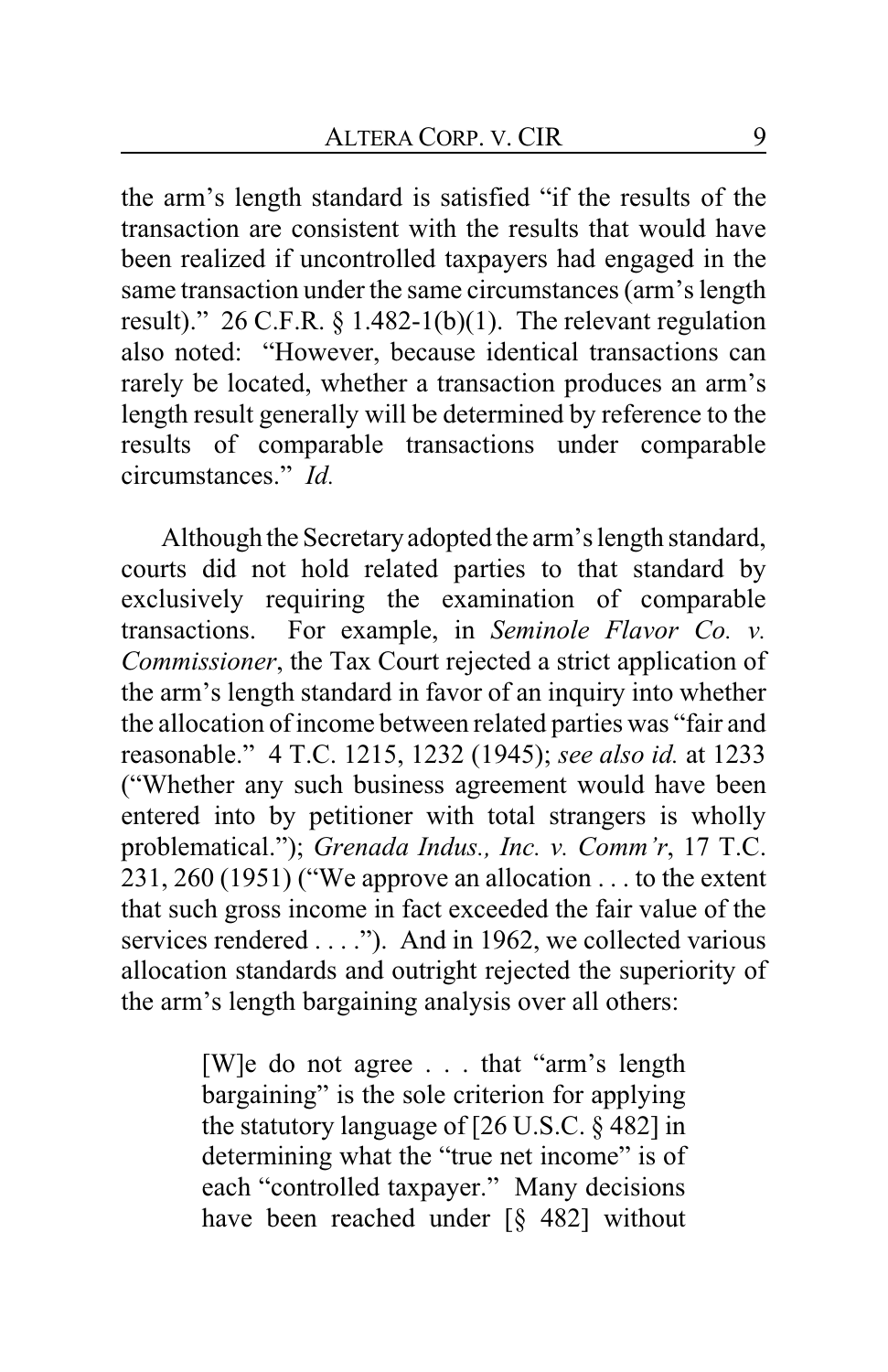the arm's length standard is satisfied "if the results of the transaction are consistent with the results that would have been realized if uncontrolled taxpayers had engaged in the same transaction under the same circumstances (arm's length result)." 26 C.F.R.  $\S$  1.482-1(b)(1). The relevant regulation also noted: "However, because identical transactions can rarely be located, whether a transaction produces an arm's length result generally will be determined by reference to the results of comparable transactions under comparable circumstances." *Id.*

Although the Secretaryadopted the arm's length standard, courts did not hold related parties to that standard by exclusively requiring the examination of comparable transactions. For example, in *Seminole Flavor Co. v. Commissioner*, the Tax Court rejected a strict application of the arm's length standard in favor of an inquiry into whether the allocation of income between related parties was "fair and reasonable." 4 T.C. 1215, 1232 (1945); *see also id.* at 1233 ("Whether any such business agreement would have been entered into by petitioner with total strangers is wholly problematical."); *Grenada Indus., Inc. v. Comm'r*, 17 T.C. 231, 260 (1951) ("We approve an allocation . . . to the extent that such gross income in fact exceeded the fair value of the services rendered . . . ."). And in 1962, we collected various allocation standards and outright rejected the superiority of the arm's length bargaining analysis over all others:

> [W]e do not agree . . . that "arm's length bargaining" is the sole criterion for applying the statutory language of [26 U.S.C. § 482] in determining what the "true net income" is of each "controlled taxpayer." Many decisions have been reached under [§ 482] without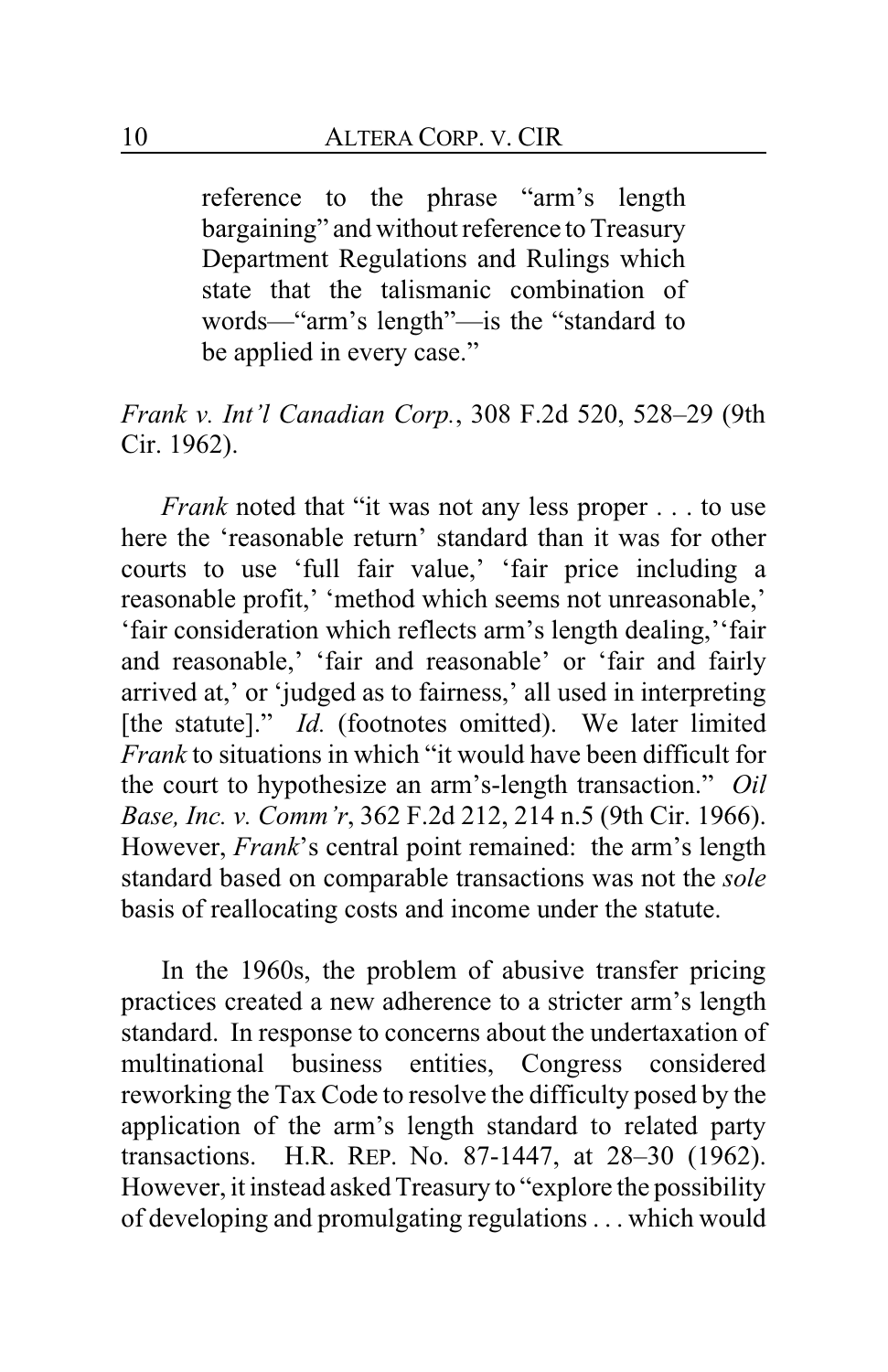reference to the phrase "arm's length bargaining" and without reference to Treasury Department Regulations and Rulings which state that the talismanic combination of words—"arm's length"—is the "standard to be applied in every case."

*Frank v. Int'l Canadian Corp.*, 308 F.2d 520, 528–29 (9th Cir. 1962).

*Frank* noted that "it was not any less proper . . . to use here the 'reasonable return' standard than it was for other courts to use 'full fair value,' 'fair price including a reasonable profit,' 'method which seems not unreasonable,' 'fair consideration which reflects arm's length dealing,''fair and reasonable,' 'fair and reasonable' or 'fair and fairly arrived at,' or 'judged as to fairness,' all used in interpreting [the statute]." *Id.* (footnotes omitted). We later limited *Frank* to situations in which "it would have been difficult for the court to hypothesize an arm's-length transaction." *Oil Base, Inc. v. Comm'r*, 362 F.2d 212, 214 n.5 (9th Cir. 1966). However, *Frank*'s central point remained: the arm's length standard based on comparable transactions was not the *sole* basis of reallocating costs and income under the statute.

In the 1960s, the problem of abusive transfer pricing practices created a new adherence to a stricter arm's length standard. In response to concerns about the undertaxation of multinational business entities, Congress considered reworking the Tax Code to resolve the difficulty posed by the application of the arm's length standard to related party transactions. H.R. REP. No. 87-1447, at 28–30 (1962). However, it instead asked Treasury to "explore the possibility of developing and promulgating regulations . . . which would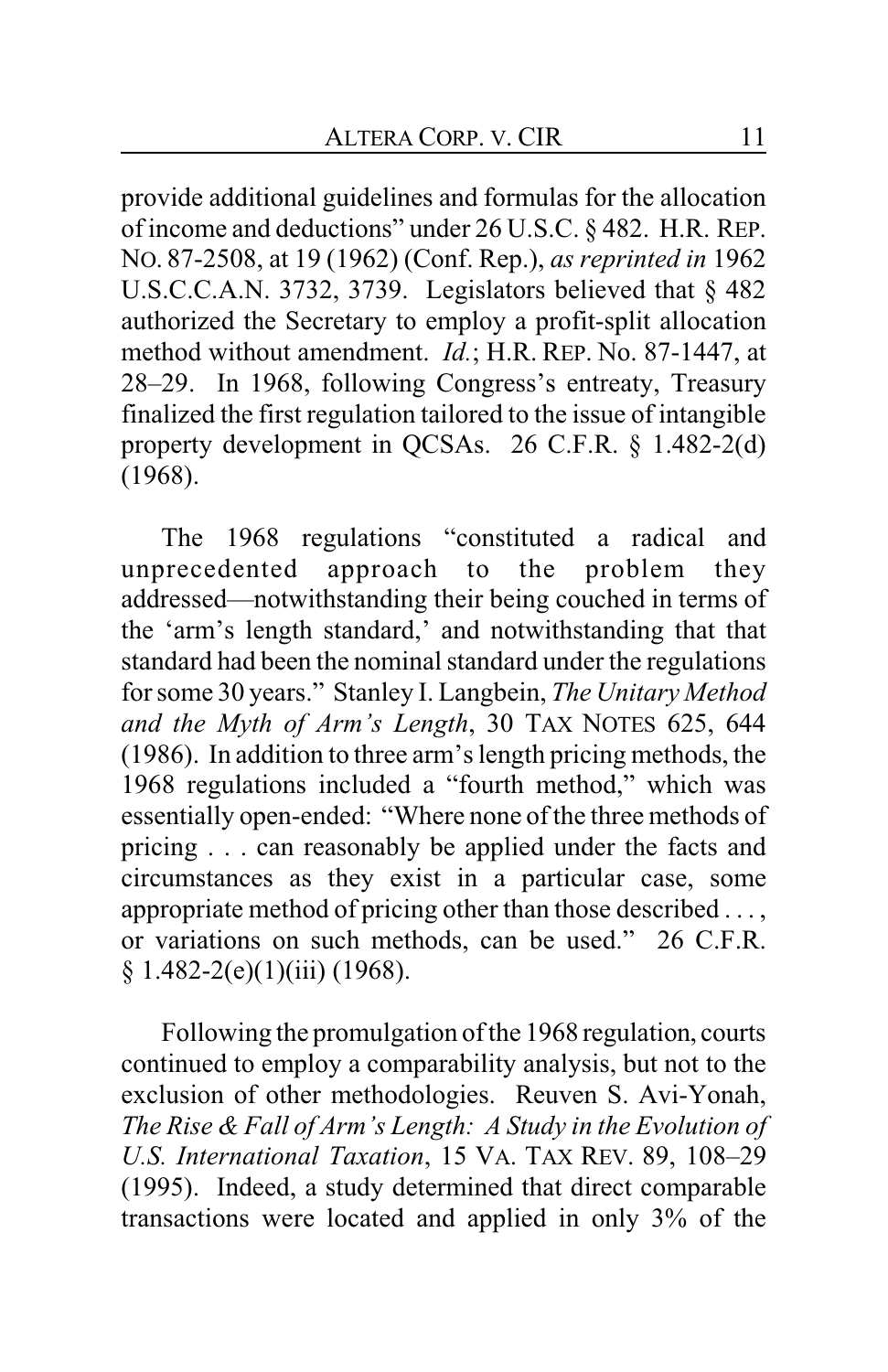provide additional guidelines and formulas for the allocation of income and deductions" under 26 U.S.C. § 482. H.R. REP. NO. 87-2508, at 19 (1962) (Conf. Rep.), *as reprinted in* 1962 U.S.C.C.A.N. 3732, 3739. Legislators believed that § 482 authorized the Secretary to employ a profit-split allocation method without amendment. *Id.*; H.R. REP. No. 87-1447, at 28–29. In 1968, following Congress's entreaty, Treasury finalized the first regulation tailored to the issue of intangible property development in QCSAs. 26 C.F.R. § 1.482-2(d) (1968).

The 1968 regulations "constituted a radical and unprecedented approach to the problem they addressed—notwithstanding their being couched in terms of the 'arm's length standard,' and notwithstanding that that standard had been the nominal standard under the regulations for some 30 years." Stanley I. Langbein, *The Unitary Method and the Myth of Arm's Length*, 30 TAX NOTES 625, 644 (1986). In addition to three arm's length pricing methods, the 1968 regulations included a "fourth method," which was essentially open-ended: "Where none of the three methods of pricing . . . can reasonably be applied under the facts and circumstances as they exist in a particular case, some appropriate method of pricing other than those described . . . , or variations on such methods, can be used." 26 C.F.R.  $§ 1.482-2(e)(1)(iii) (1968).$ 

Following the promulgation of the 1968 regulation, courts continued to employ a comparability analysis, but not to the exclusion of other methodologies. Reuven S. Avi-Yonah, *The Rise & Fall of Arm's Length: A Study in the Evolution of U.S. International Taxation*, 15 VA. TAX REV. 89, 108–29 (1995). Indeed, a study determined that direct comparable transactions were located and applied in only 3% of the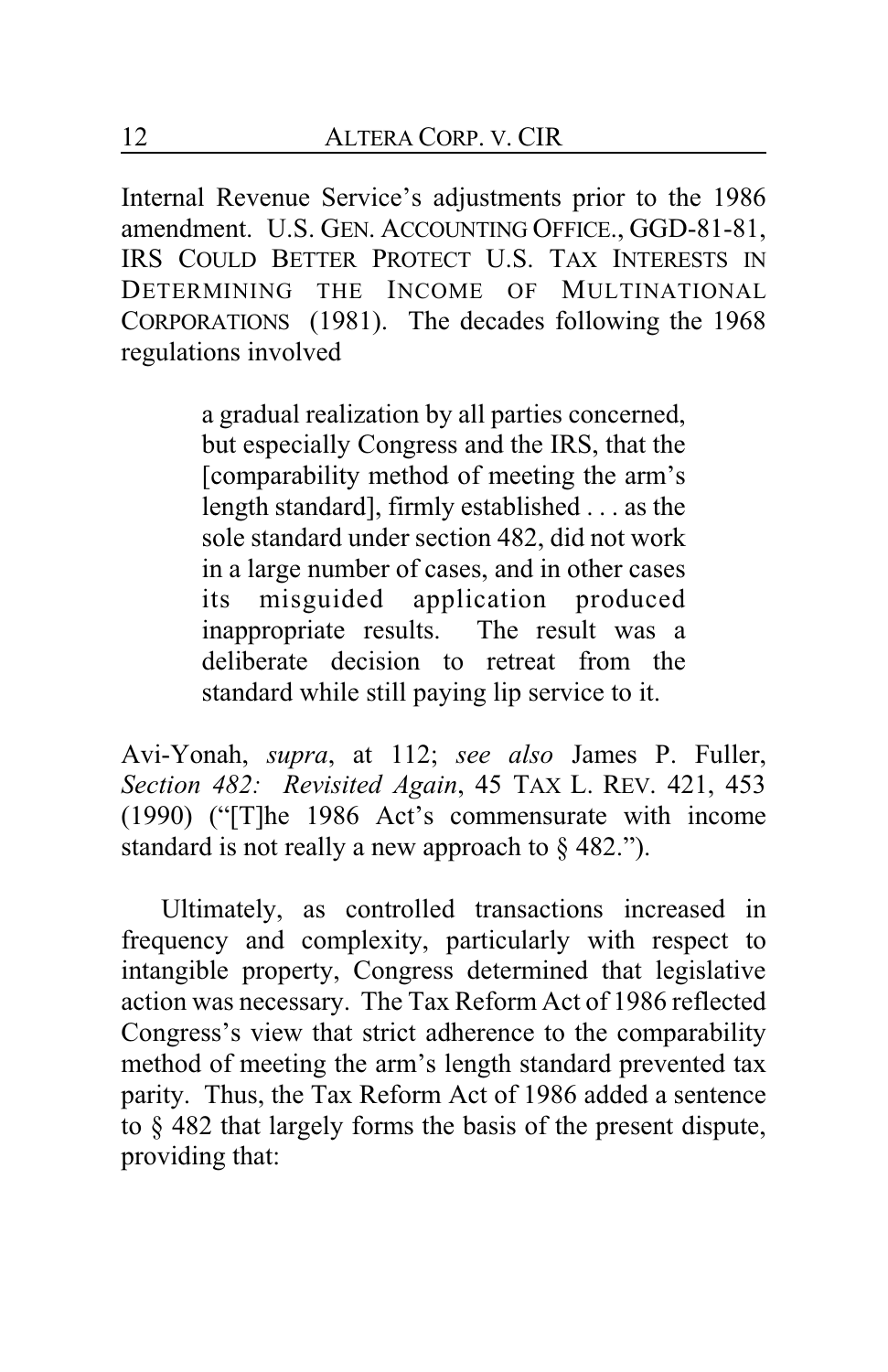Internal Revenue Service's adjustments prior to the 1986 amendment. U.S. GEN. ACCOUNTING OFFICE., GGD-81-81, IRS COULD BETTER PROTECT U.S. TAX INTERESTS IN DETERMINING THE INCOME OF MULTINATIONAL CORPORATIONS (1981). The decades following the 1968 regulations involved

> a gradual realization by all parties concerned, but especially Congress and the IRS, that the [comparability method of meeting the arm's length standard], firmly established . . . as the sole standard under section 482, did not work in a large number of cases, and in other cases its misguided application produced inappropriate results. The result was a deliberate decision to retreat from the standard while still paying lip service to it.

Avi-Yonah, *supra*, at 112; *see also* James P. Fuller, *Section 482: Revisited Again*, 45 TAX L. REV. 421, 453 (1990) ("[T]he 1986 Act's commensurate with income standard is not really a new approach to  $\S$  482.").

Ultimately, as controlled transactions increased in frequency and complexity, particularly with respect to intangible property, Congress determined that legislative action was necessary. The Tax Reform Act of 1986 reflected Congress's view that strict adherence to the comparability method of meeting the arm's length standard prevented tax parity. Thus, the Tax Reform Act of 1986 added a sentence to § 482 that largely forms the basis of the present dispute, providing that: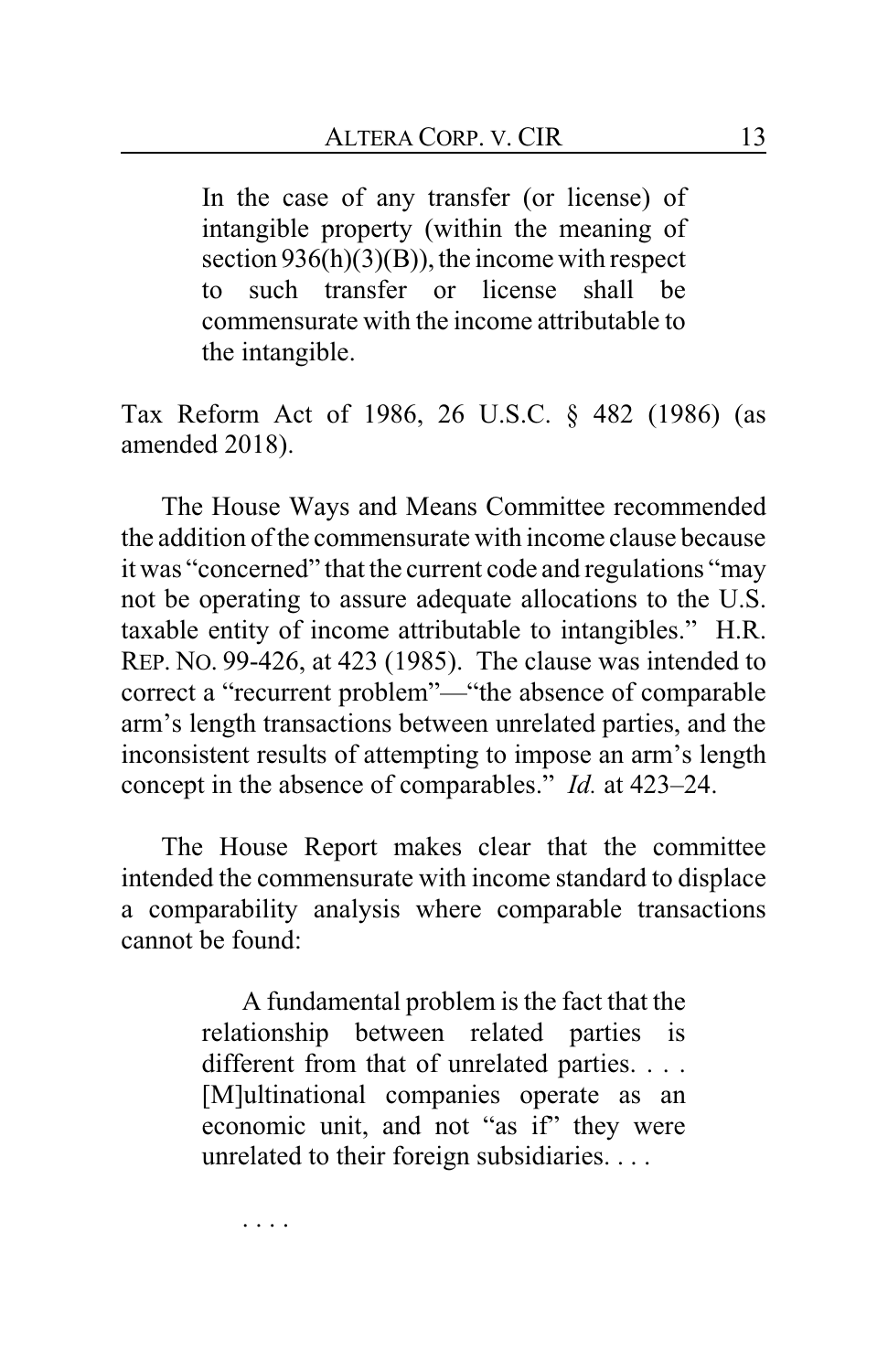In the case of any transfer (or license) of intangible property (within the meaning of section 936(h)(3)(B)), the income with respect to such transfer or license shall be commensurate with the income attributable to the intangible.

Tax Reform Act of 1986, 26 U.S.C. § 482 (1986) (as amended 2018).

The House Ways and Means Committee recommended the addition of the commensurate with income clause because it was "concerned" that the current code and regulations "may not be operating to assure adequate allocations to the U.S. taxable entity of income attributable to intangibles." H.R. REP. NO. 99-426, at 423 (1985). The clause was intended to correct a "recurrent problem"—"the absence of comparable arm's length transactions between unrelated parties, and the inconsistent results of attempting to impose an arm's length concept in the absence of comparables." *Id.* at 423–24.

The House Report makes clear that the committee intended the commensurate with income standard to displace a comparability analysis where comparable transactions cannot be found:

> A fundamental problem is the fact that the relationship between related parties is different from that of unrelated parties. . . . [M]ultinational companies operate as an economic unit, and not "as if" they were unrelated to their foreign subsidiaries. . . .

. . . .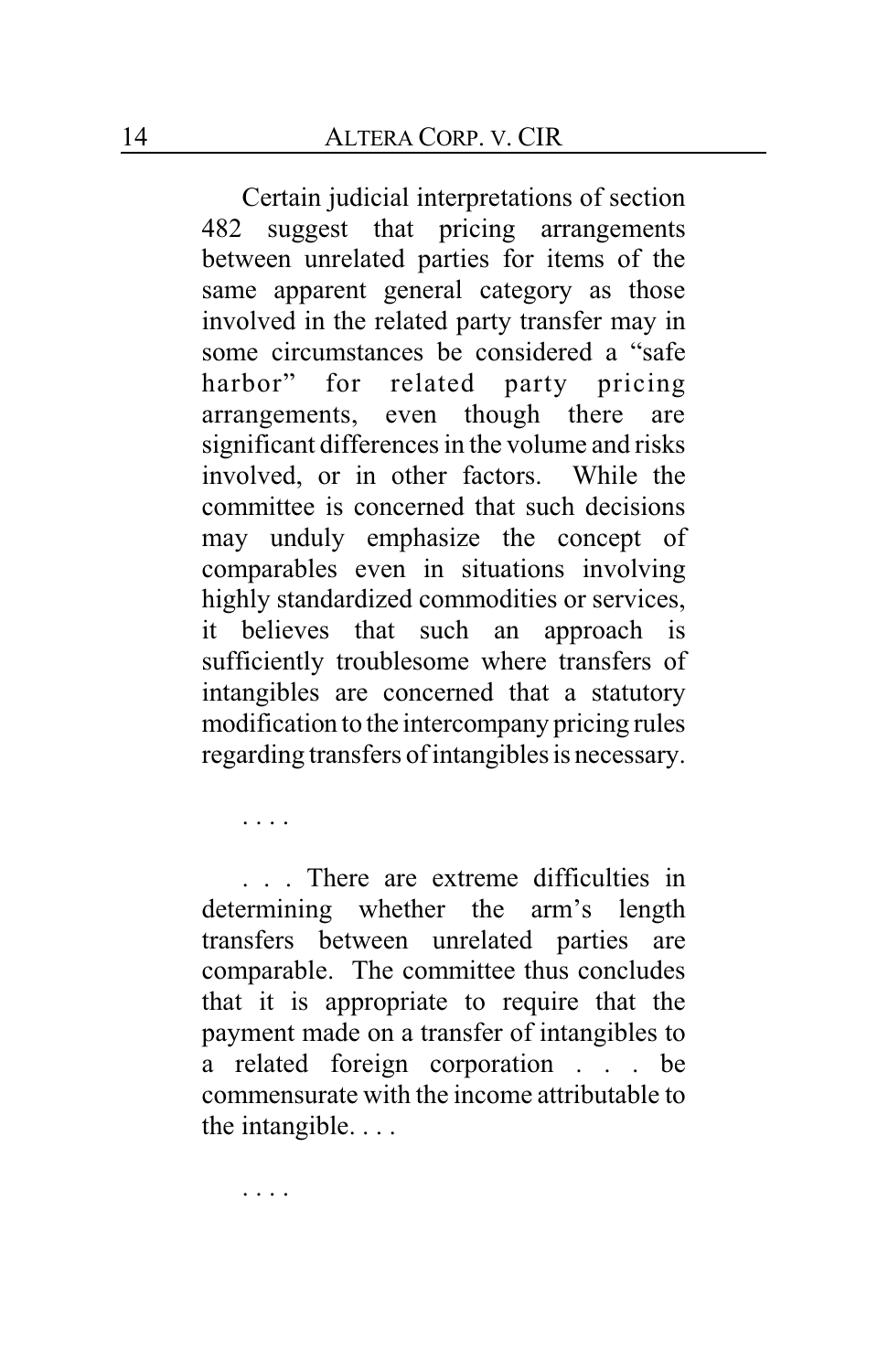Certain judicial interpretations of section 482 suggest that pricing arrangements between unrelated parties for items of the same apparent general category as those involved in the related party transfer may in some circumstances be considered a "safe harbor" for related party pricing arrangements, even though there are significant differences in the volume and risks involved, or in other factors. While the committee is concerned that such decisions may unduly emphasize the concept of comparables even in situations involving highly standardized commodities or services, it believes that such an approach is sufficiently troublesome where transfers of intangibles are concerned that a statutory modification to the intercompany pricing rules regarding transfers ofintangibles is necessary.

. . . .

. . . There are extreme difficulties in determining whether the arm's length transfers between unrelated parties are comparable. The committee thus concludes that it is appropriate to require that the payment made on a transfer of intangibles to a related foreign corporation . . . be commensurate with the income attributable to the intangible. . . .

. . . .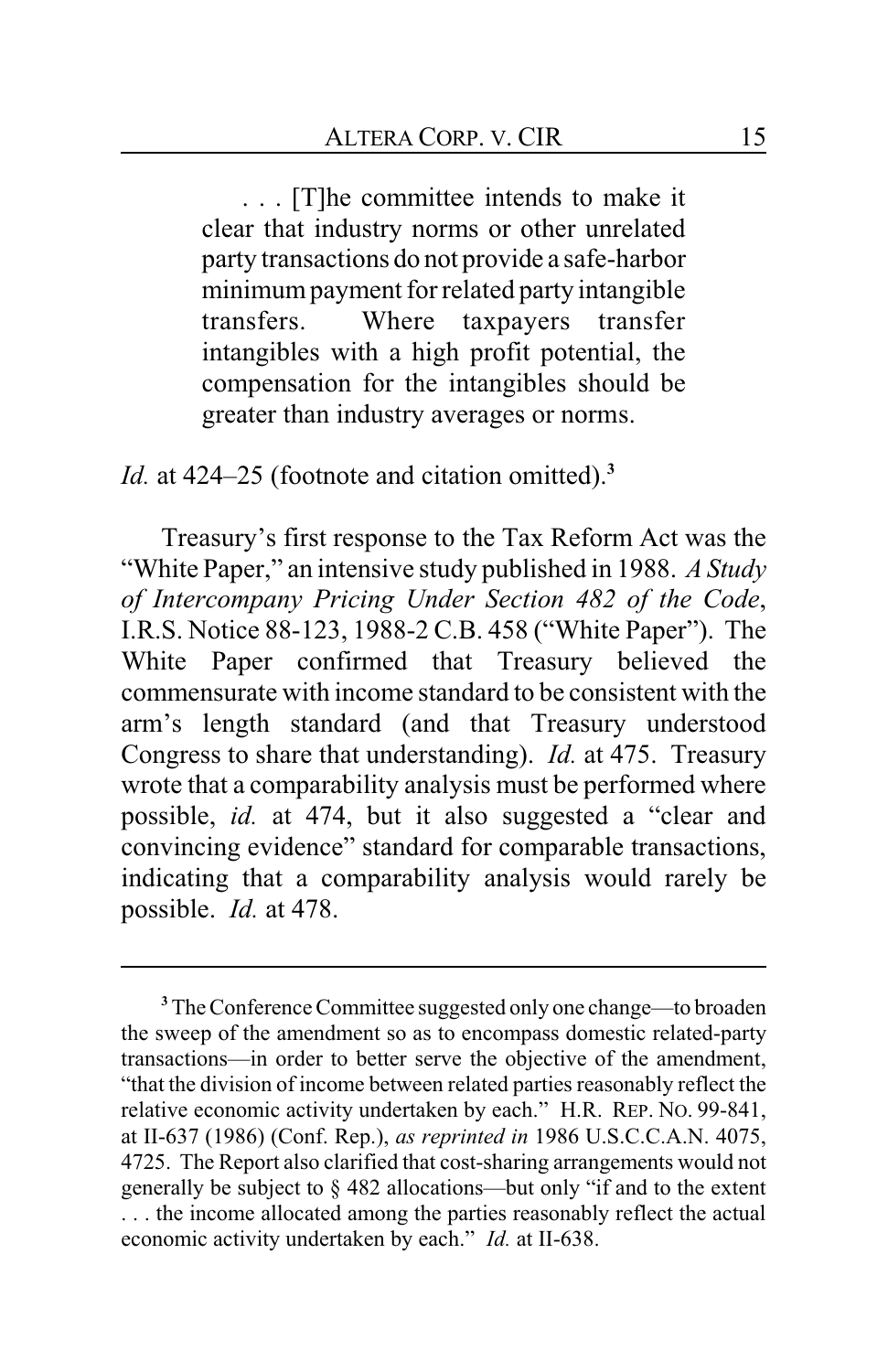. . . [T]he committee intends to make it clear that industry norms or other unrelated party transactions do not provide a safe-harbor minimumpayment for related party intangible transfers. Where taxpayers transfer intangibles with a high profit potential, the compensation for the intangibles should be greater than industry averages or norms.

*Id.* at 424–25 (footnote and citation omitted).**<sup>3</sup>**

Treasury's first response to the Tax Reform Act was the "White Paper," an intensive study published in 1988. *A Study of Intercompany Pricing Under Section 482 of the Code*, I.R.S. Notice 88-123, 1988-2 C.B. 458 ("White Paper"). The White Paper confirmed that Treasury believed the commensurate with income standard to be consistent with the arm's length standard (and that Treasury understood Congress to share that understanding). *Id.* at 475. Treasury wrote that a comparability analysis must be performed where possible, *id.* at 474, but it also suggested a "clear and convincing evidence" standard for comparable transactions, indicating that a comparability analysis would rarely be possible. *Id.* at 478.

**<sup>3</sup>**The Conference Committee suggested only one change—to broaden the sweep of the amendment so as to encompass domestic related-party transactions—in order to better serve the objective of the amendment, "that the division of income between related parties reasonably reflect the relative economic activity undertaken by each." H.R. REP. NO. 99-841, at II-637 (1986) (Conf. Rep.), *as reprinted in* 1986 U.S.C.C.A.N. 4075, 4725. The Report also clarified that cost-sharing arrangements would not generally be subject to § 482 allocations—but only "if and to the extent . . . the income allocated among the parties reasonably reflect the actual economic activity undertaken by each." *Id.* at II-638.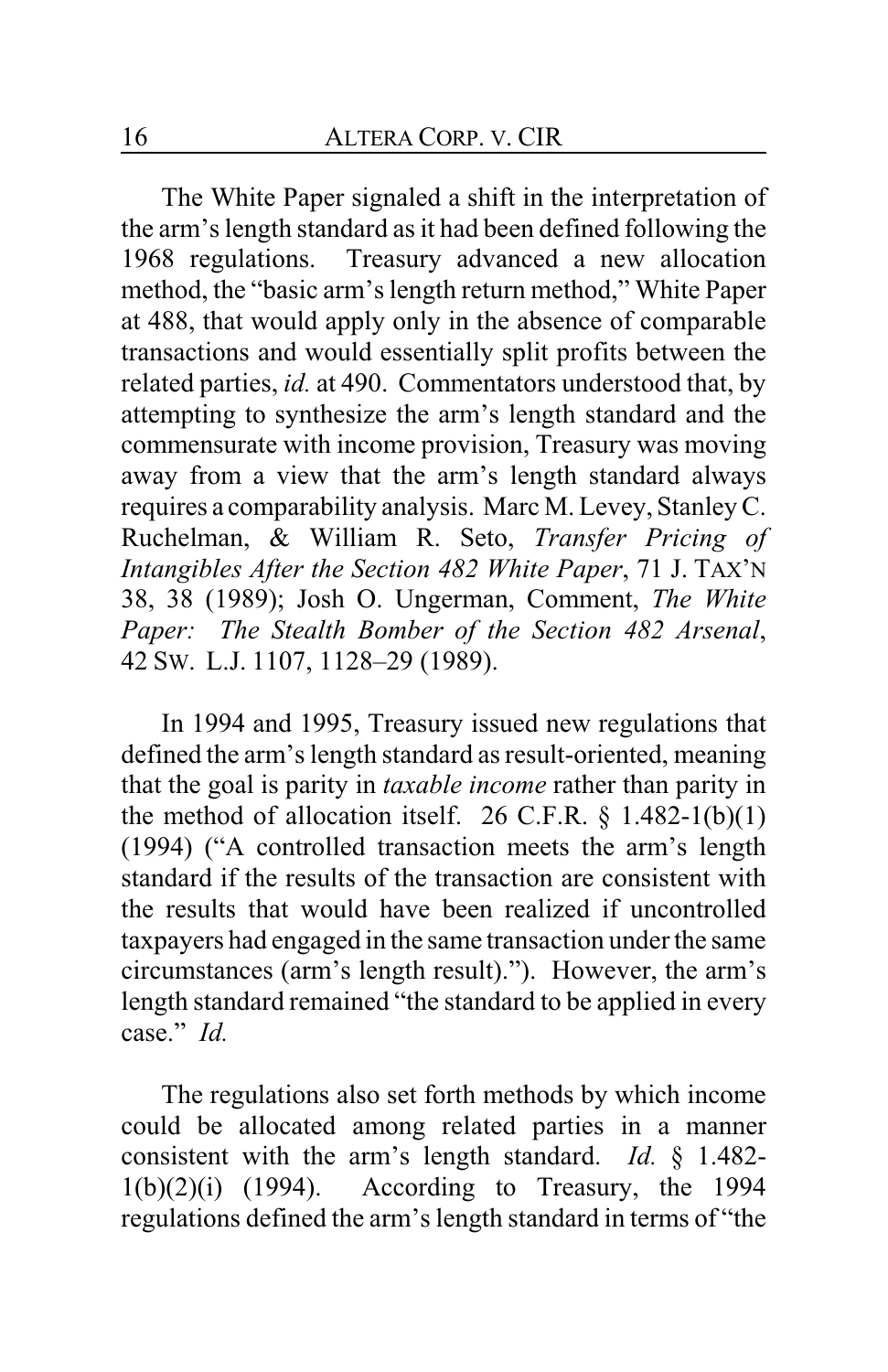The White Paper signaled a shift in the interpretation of the arm's length standard as it had been defined following the 1968 regulations. Treasury advanced a new allocation method, the "basic arm's length return method," White Paper at 488, that would apply only in the absence of comparable transactions and would essentially split profits between the related parties, *id.* at 490. Commentators understood that, by attempting to synthesize the arm's length standard and the commensurate with income provision, Treasury was moving away from a view that the arm's length standard always requires a comparability analysis. Marc M. Levey, Stanley C. Ruchelman, & William R. Seto, *Transfer Pricing of Intangibles After the Section 482 White Paper*, 71 J. TAX'N 38, 38 (1989); Josh O. Ungerman, Comment, *The White Paper: The Stealth Bomber of the Section 482 Arsenal*, 42 SW. L.J. 1107, 1128–29 (1989).

In 1994 and 1995, Treasury issued new regulations that defined the arm's length standard as result-oriented, meaning that the goal is parity in *taxable income* rather than parity in the method of allocation itself. 26 C.F.R.  $\S$  1.482-1(b)(1) (1994) ("A controlled transaction meets the arm's length standard if the results of the transaction are consistent with the results that would have been realized if uncontrolled taxpayers had engaged in the same transaction under the same circumstances (arm's length result)."). However, the arm's length standard remained "the standard to be applied in every case." *Id.*

The regulations also set forth methods by which income could be allocated among related parties in a manner consistent with the arm's length standard. *Id.* § 1.482-  $1(b)(2)(i)$  (1994). According to Treasury, the 1994 regulations defined the arm's length standard in terms of "the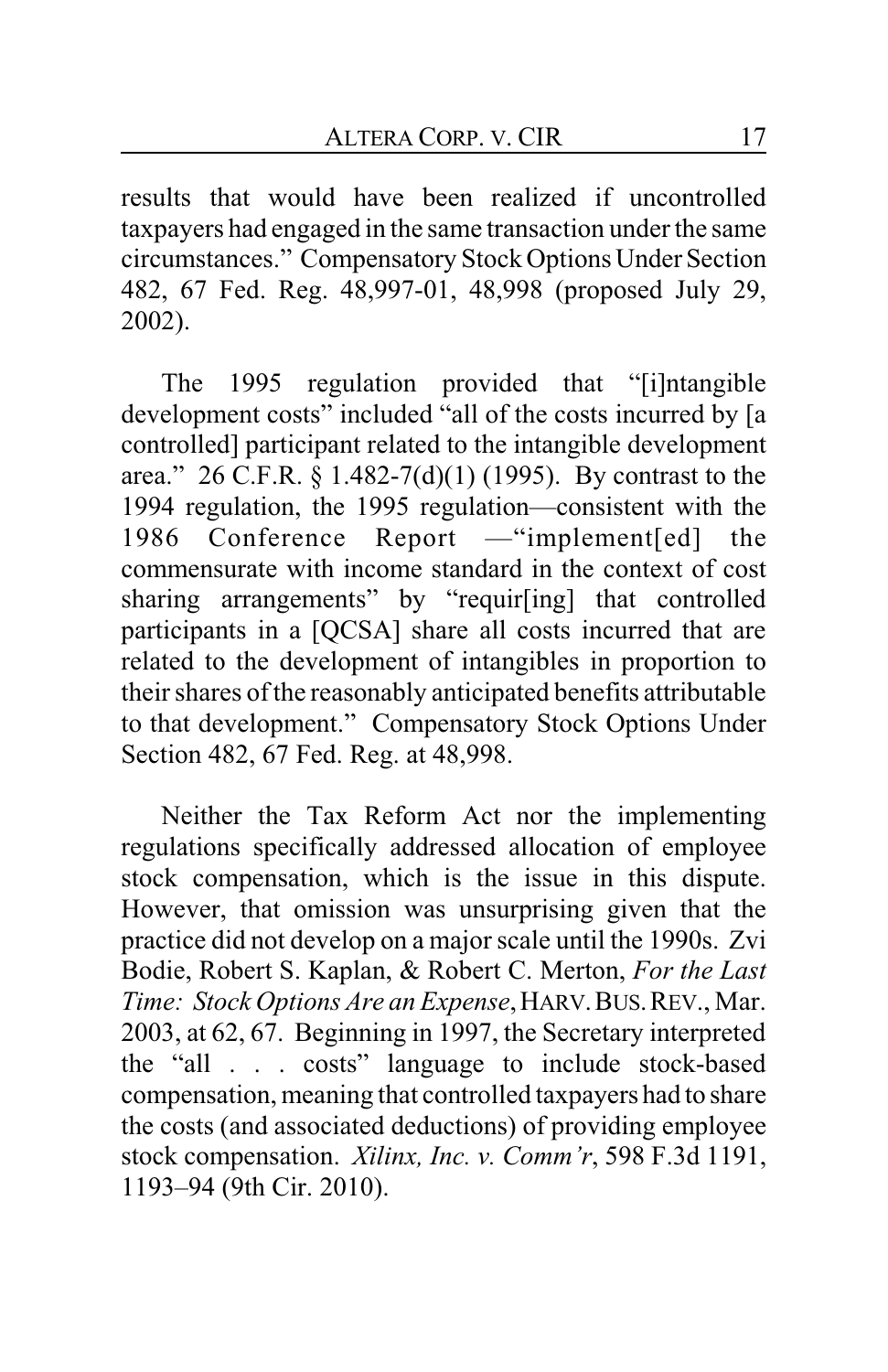results that would have been realized if uncontrolled taxpayers had engaged in the same transaction under the same circumstances." Compensatory Stock Options Under Section 482, 67 Fed. Reg. 48,997-01, 48,998 (proposed July 29, 2002).

The 1995 regulation provided that "[i]ntangible development costs" included "all of the costs incurred by [a controlled] participant related to the intangible development area." 26 C.F.R. § 1.482-7(d)(1) (1995). By contrast to the 1994 regulation, the 1995 regulation—consistent with the 1986 Conference Report —"implement[ed] the commensurate with income standard in the context of cost sharing arrangements" by "requir[ing] that controlled participants in a [QCSA] share all costs incurred that are related to the development of intangibles in proportion to their shares of the reasonably anticipated benefits attributable to that development." Compensatory Stock Options Under Section 482, 67 Fed. Reg. at 48,998.

Neither the Tax Reform Act nor the implementing regulations specifically addressed allocation of employee stock compensation, which is the issue in this dispute. However, that omission was unsurprising given that the practice did not develop on a major scale until the 1990s. Zvi Bodie, Robert S. Kaplan, & Robert C. Merton, *For the Last Time: Stock Options Are an Expense*,HARV.BUS.REV., Mar. 2003, at 62, 67. Beginning in 1997, the Secretary interpreted the "all . . . costs" language to include stock-based compensation, meaning that controlled taxpayers had to share the costs (and associated deductions) of providing employee stock compensation. *Xilinx, Inc. v. Comm'r*, 598 F.3d 1191, 1193–94 (9th Cir. 2010).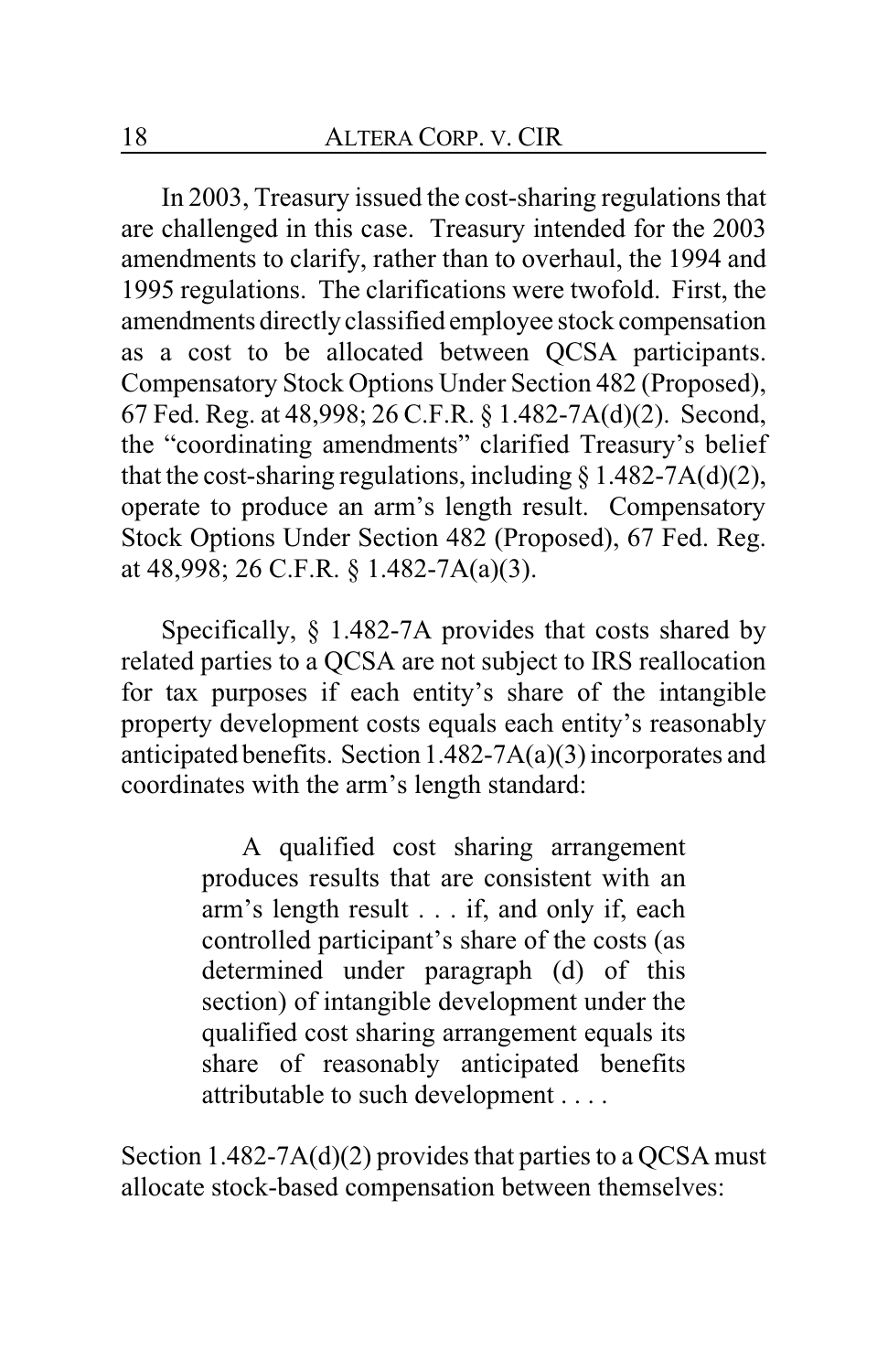In 2003, Treasury issued the cost-sharing regulations that are challenged in this case. Treasury intended for the 2003 amendments to clarify, rather than to overhaul, the 1994 and 1995 regulations. The clarifications were twofold. First, the amendments directly classified employee stock compensation as a cost to be allocated between QCSA participants. Compensatory Stock Options Under Section 482 (Proposed), 67 Fed. Reg. at 48,998; 26 C.F.R. § 1.482-7A(d)(2). Second, the "coordinating amendments" clarified Treasury's belief that the cost-sharing regulations, including  $\S$  1.482-7A(d)(2), operate to produce an arm's length result. Compensatory Stock Options Under Section 482 (Proposed), 67 Fed. Reg. at 48,998; 26 C.F.R. § 1.482-7A(a)(3).

Specifically, § 1.482-7A provides that costs shared by related parties to a QCSA are not subject to IRS reallocation for tax purposes if each entity's share of the intangible property development costs equals each entity's reasonably anticipated benefits. Section 1.482-7A(a)(3) incorporates and coordinates with the arm's length standard:

> A qualified cost sharing arrangement produces results that are consistent with an arm's length result . . . if, and only if, each controlled participant's share of the costs (as determined under paragraph (d) of this section) of intangible development under the qualified cost sharing arrangement equals its share of reasonably anticipated benefits attributable to such development . . . .

Section 1.482-7A(d)(2) provides that parties to a QCSA must allocate stock-based compensation between themselves: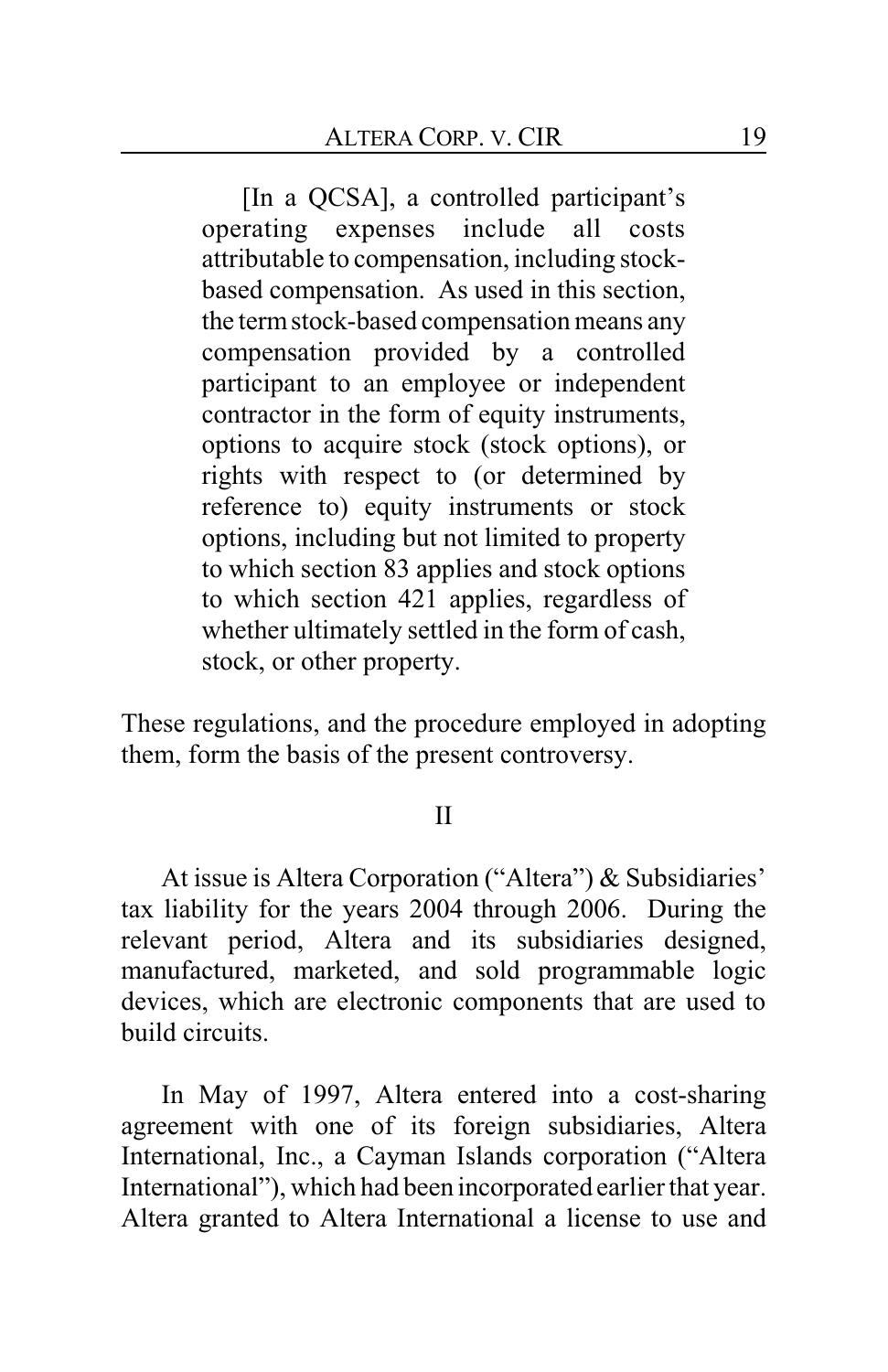[In a QCSA], a controlled participant's operating expenses include all costs attributable to compensation, including stockbased compensation. As used in this section, the termstock-based compensation means any compensation provided by a controlled participant to an employee or independent contractor in the form of equity instruments, options to acquire stock (stock options), or rights with respect to (or determined by reference to) equity instruments or stock options, including but not limited to property to which section 83 applies and stock options to which section 421 applies, regardless of whether ultimately settled in the form of cash, stock, or other property.

These regulations, and the procedure employed in adopting them, form the basis of the present controversy.

#### II

At issue is Altera Corporation ("Altera") & Subsidiaries' tax liability for the years 2004 through 2006. During the relevant period, Altera and its subsidiaries designed, manufactured, marketed, and sold programmable logic devices, which are electronic components that are used to build circuits.

In May of 1997, Altera entered into a cost-sharing agreement with one of its foreign subsidiaries, Altera International, Inc., a Cayman Islands corporation ("Altera International"), which had been incorporated earlier that year. Altera granted to Altera International a license to use and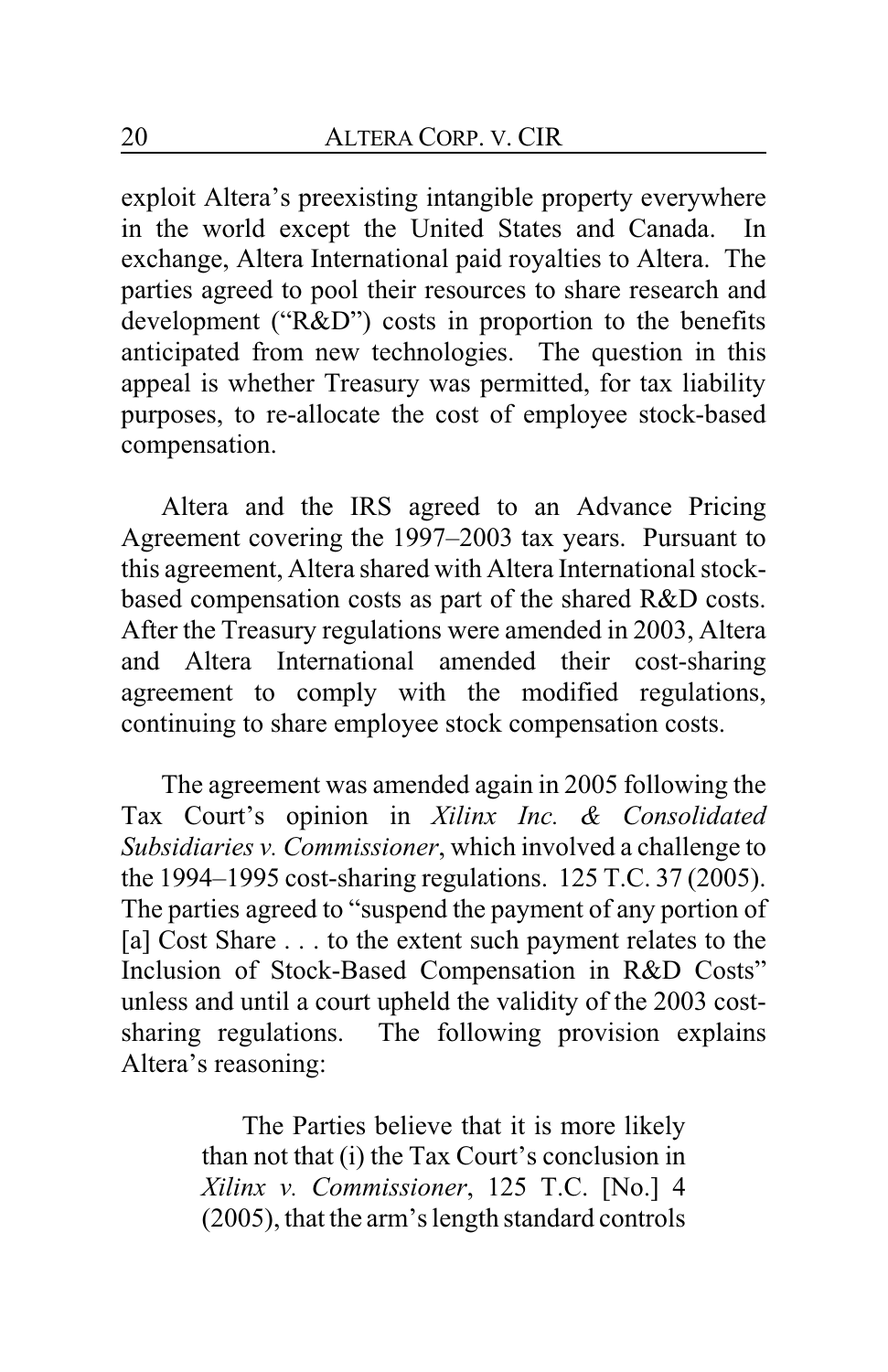exploit Altera's preexisting intangible property everywhere in the world except the United States and Canada. In exchange, Altera International paid royalties to Altera. The parties agreed to pool their resources to share research and development ("R&D") costs in proportion to the benefits anticipated from new technologies. The question in this appeal is whether Treasury was permitted, for tax liability purposes, to re-allocate the cost of employee stock-based compensation.

Altera and the IRS agreed to an Advance Pricing Agreement covering the 1997–2003 tax years. Pursuant to this agreement, Altera shared with Altera International stockbased compensation costs as part of the shared R&D costs. After the Treasury regulations were amended in 2003, Altera and Altera International amended their cost-sharing agreement to comply with the modified regulations, continuing to share employee stock compensation costs.

The agreement was amended again in 2005 following the Tax Court's opinion in *Xilinx Inc. & Consolidated Subsidiaries v. Commissioner*, which involved a challenge to the 1994–1995 cost-sharing regulations. 125 T.C. 37 (2005). The parties agreed to "suspend the payment of any portion of [a] Cost Share . . . to the extent such payment relates to the Inclusion of Stock-Based Compensation in R&D Costs" unless and until a court upheld the validity of the 2003 costsharing regulations. The following provision explains Altera's reasoning:

> The Parties believe that it is more likely than not that (i) the Tax Court's conclusion in *Xilinx v. Commissioner*, 125 T.C. [No.] 4 (2005), that the arm's length standard controls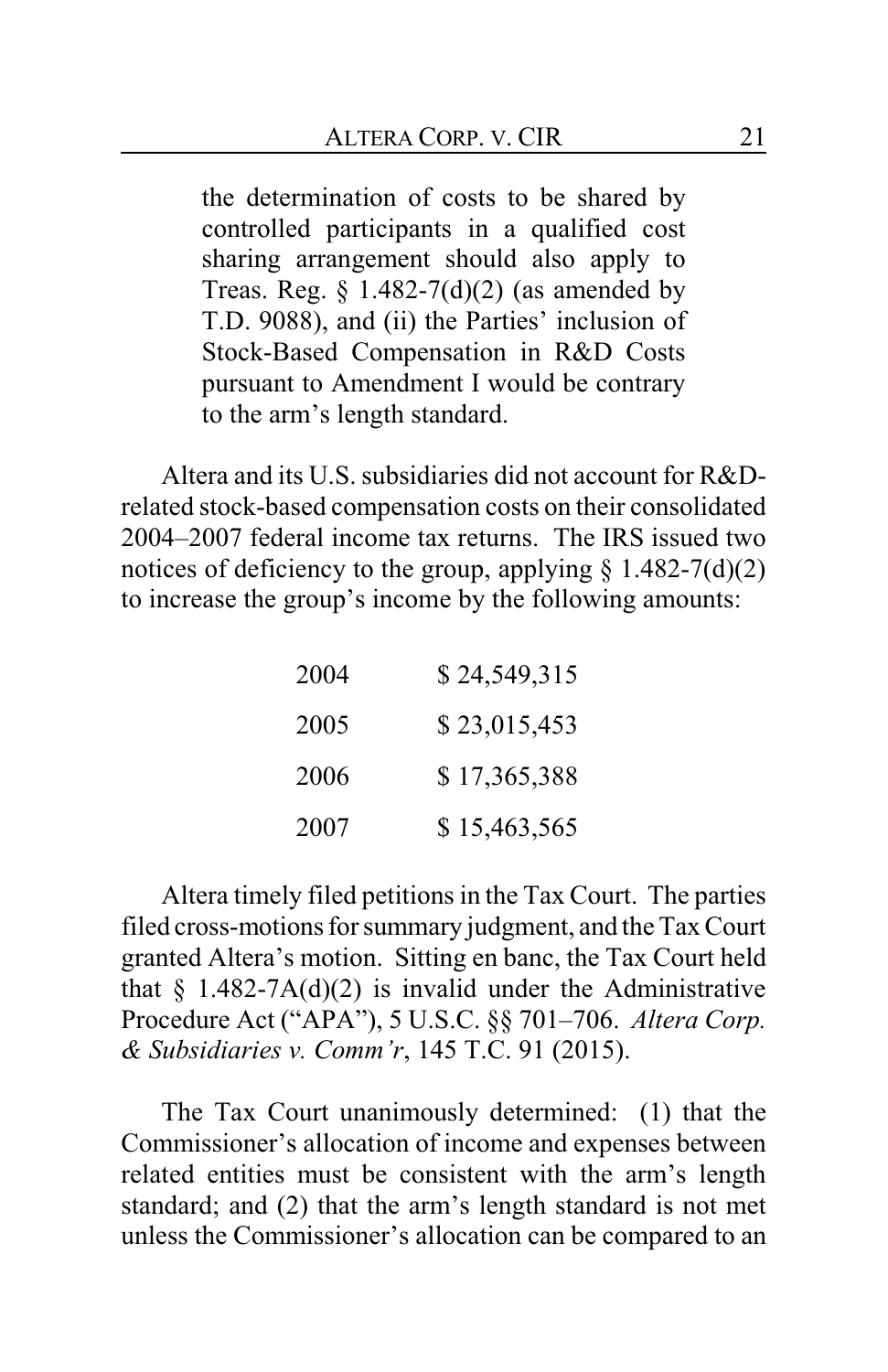the determination of costs to be shared by controlled participants in a qualified cost sharing arrangement should also apply to Treas. Reg.  $\S$  1.482-7(d)(2) (as amended by T.D. 9088), and (ii) the Parties' inclusion of Stock-Based Compensation in R&D Costs pursuant to Amendment I would be contrary to the arm's length standard.

Altera and its U.S. subsidiaries did not account for R&Drelated stock-based compensation costs on their consolidated 2004–2007 federal income tax returns. The IRS issued two notices of deficiency to the group, applying  $\S$  1.482-7(d)(2) to increase the group's income by the following amounts:

| 2004 | \$24,549,315 |
|------|--------------|
| 2005 | \$23,015,453 |
| 2006 | \$17,365,388 |
| 2007 | \$15,463,565 |

Altera timely filed petitions in the Tax Court. The parties filed cross-motions for summary judgment, and the Tax Court granted Altera's motion. Sitting en banc, the Tax Court held that  $\S$  1.482-7A(d)(2) is invalid under the Administrative Procedure Act ("APA"), 5 U.S.C. §§ 701–706. *Altera Corp. & Subsidiaries v. Comm'r*, 145 T.C. 91 (2015).

The Tax Court unanimously determined: (1) that the Commissioner's allocation of income and expenses between related entities must be consistent with the arm's length standard; and (2) that the arm's length standard is not met unless the Commissioner's allocation can be compared to an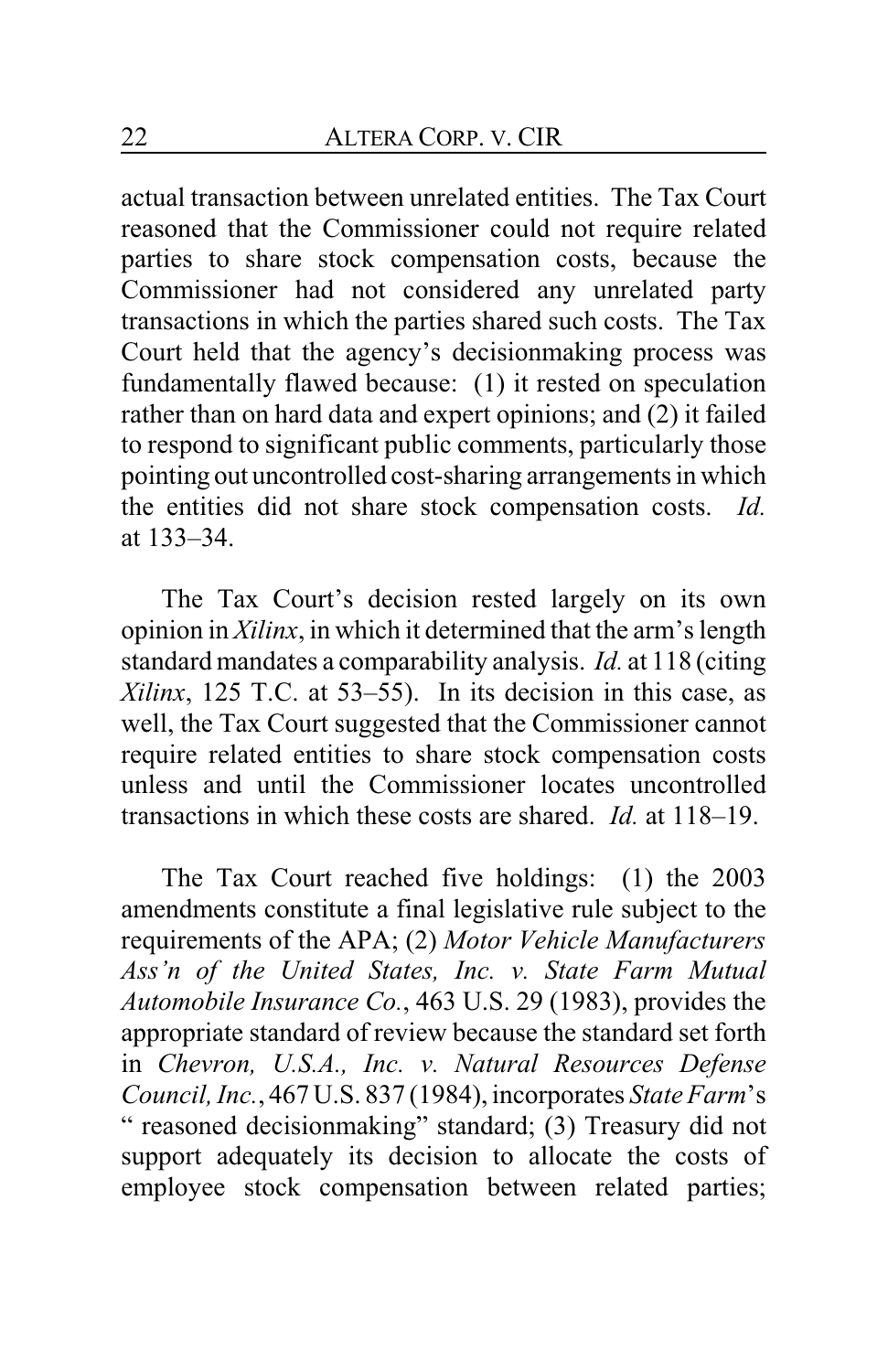actual transaction between unrelated entities. The Tax Court reasoned that the Commissioner could not require related parties to share stock compensation costs, because the Commissioner had not considered any unrelated party transactions in which the parties shared such costs. The Tax Court held that the agency's decisionmaking process was fundamentally flawed because: (1) it rested on speculation rather than on hard data and expert opinions; and (2) it failed to respond to significant public comments, particularly those pointing out uncontrolled cost-sharing arrangements in which the entities did not share stock compensation costs. *Id.* at 133–34.

The Tax Court's decision rested largely on its own opinion in *Xilinx*, in which it determined that the arm's length standard mandates a comparability analysis. *Id.* at 118 (citing *Xilinx*, 125 T.C. at 53–55). In its decision in this case, as well, the Tax Court suggested that the Commissioner cannot require related entities to share stock compensation costs unless and until the Commissioner locates uncontrolled transactions in which these costs are shared. *Id.* at 118–19.

The Tax Court reached five holdings: (1) the 2003 amendments constitute a final legislative rule subject to the requirements of the APA; (2) *Motor Vehicle Manufacturers Ass'n of the United States, Inc. v. State Farm Mutual Automobile Insurance Co.*, 463 U.S. 29 (1983), provides the appropriate standard of review because the standard set forth in *Chevron, U.S.A., Inc. v. Natural Resources Defense Council, Inc.*, 467 U.S. 837 (1984), incorporates *State Farm*'s " reasoned decisionmaking" standard; (3) Treasury did not support adequately its decision to allocate the costs of employee stock compensation between related parties;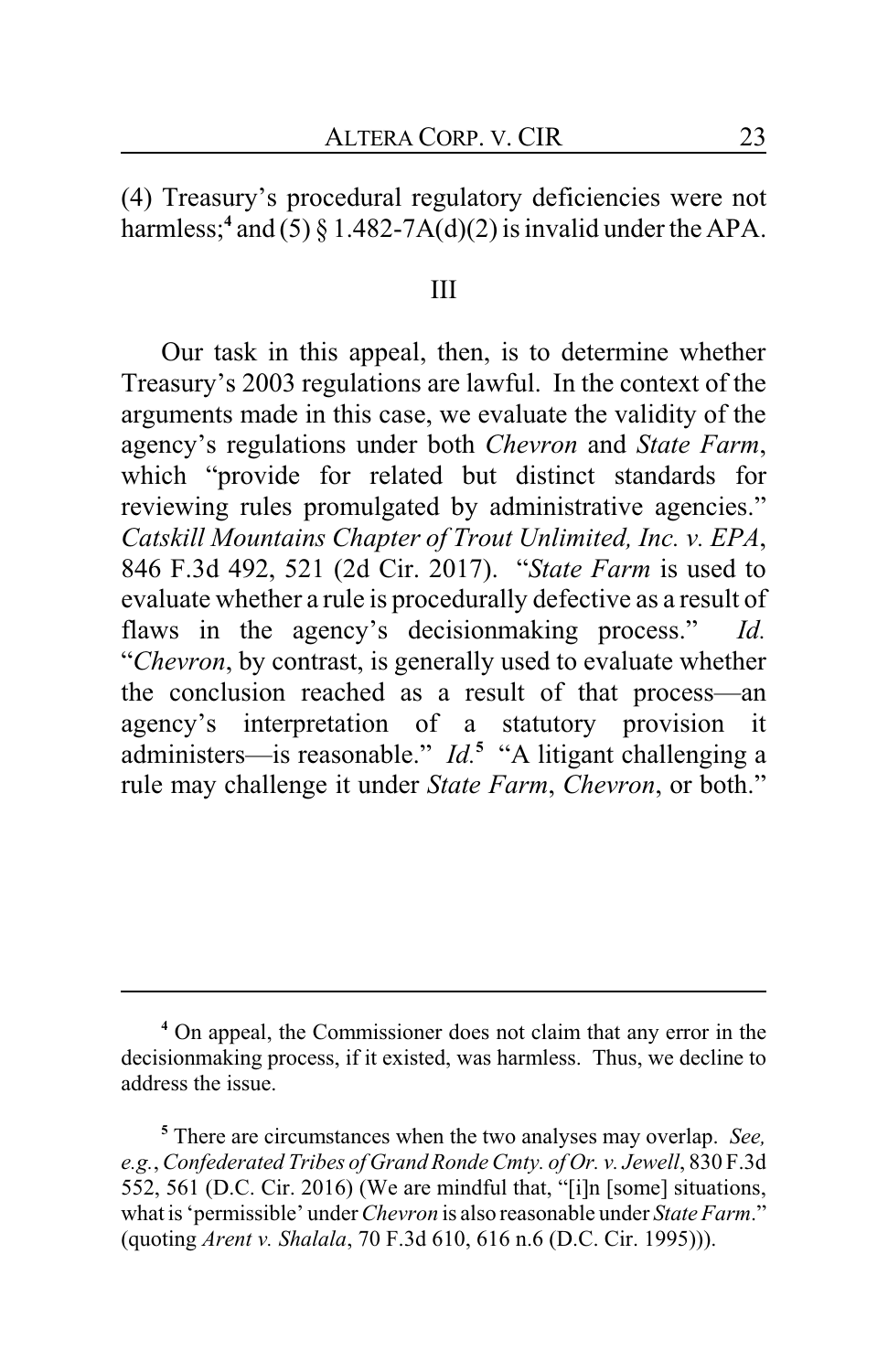(4) Treasury's procedural regulatory deficiencies were not harmless;**<sup>4</sup>** and (5) § 1.482-7A(d)(2) is invalid under the APA.

### III

Our task in this appeal, then, is to determine whether Treasury's 2003 regulations are lawful. In the context of the arguments made in this case, we evaluate the validity of the agency's regulations under both *Chevron* and *State Farm*, which "provide for related but distinct standards for reviewing rules promulgated by administrative agencies." *Catskill Mountains Chapter of Trout Unlimited, Inc. v. EPA*, 846 F.3d 492, 521 (2d Cir. 2017). "*State Farm* is used to evaluate whether a rule is procedurally defective as a result of flaws in the agency's decisionmaking process." *Id.* "*Chevron*, by contrast, is generally used to evaluate whether the conclusion reached as a result of that process—an agency's interpretation of a statutory provision it administers—is reasonable." *Id.***<sup>5</sup>** "A litigant challenging a rule may challenge it under *State Farm*, *Chevron*, or both."

**<sup>4</sup>** On appeal, the Commissioner does not claim that any error in the decisionmaking process, if it existed, was harmless. Thus, we decline to address the issue.

**<sup>5</sup>** There are circumstances when the two analyses may overlap. *See, e.g.*, *Confederated Tribes of Grand Ronde Cmty. of Or. v. Jewell*, 830 F.3d 552, 561 (D.C. Cir. 2016) (We are mindful that, "[i]n [some] situations, what is 'permissible' under *Chevron* is also reasonable under *State Farm*." (quoting *Arent v. Shalala*, 70 F.3d 610, 616 n.6 (D.C. Cir. 1995))).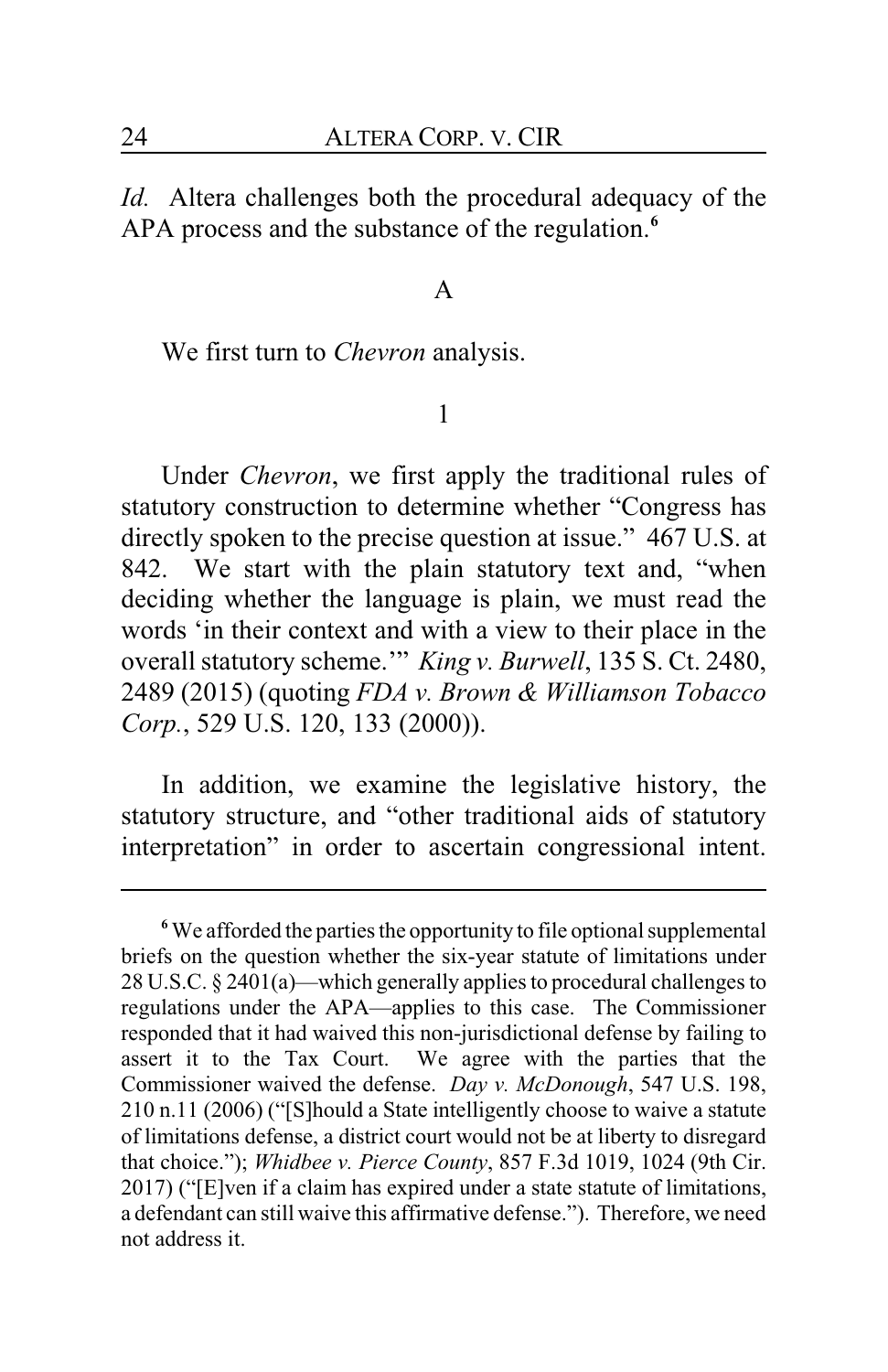*Id.* Altera challenges both the procedural adequacy of the APA process and the substance of the regulation.**<sup>6</sup>**

### A

We first turn to *Chevron* analysis.

#### 1

Under *Chevron*, we first apply the traditional rules of statutory construction to determine whether "Congress has directly spoken to the precise question at issue." 467 U.S. at 842. We start with the plain statutory text and, "when deciding whether the language is plain, we must read the words 'in their context and with a view to their place in the overall statutory scheme.'" *King v. Burwell*, 135 S. Ct. 2480, 2489 (2015) (quoting *FDA v. Brown & Williamson Tobacco Corp.*, 529 U.S. 120, 133 (2000)).

In addition, we examine the legislative history, the statutory structure, and "other traditional aids of statutory interpretation" in order to ascertain congressional intent.

**<sup>6</sup>**We afforded the parties the opportunity to file optional supplemental briefs on the question whether the six-year statute of limitations under 28 U.S.C. § 2401(a)—which generally applies to procedural challenges to regulations under the APA—applies to this case. The Commissioner responded that it had waived this non-jurisdictional defense by failing to assert it to the Tax Court. We agree with the parties that the Commissioner waived the defense. *Day v. McDonough*, 547 U.S. 198, 210 n.11 (2006) ("[S]hould a State intelligently choose to waive a statute of limitations defense, a district court would not be at liberty to disregard that choice."); *Whidbee v. Pierce County*, 857 F.3d 1019, 1024 (9th Cir. 2017) ("[E]ven if a claim has expired under a state statute of limitations, a defendant can still waive this affirmative defense."). Therefore, we need not address it.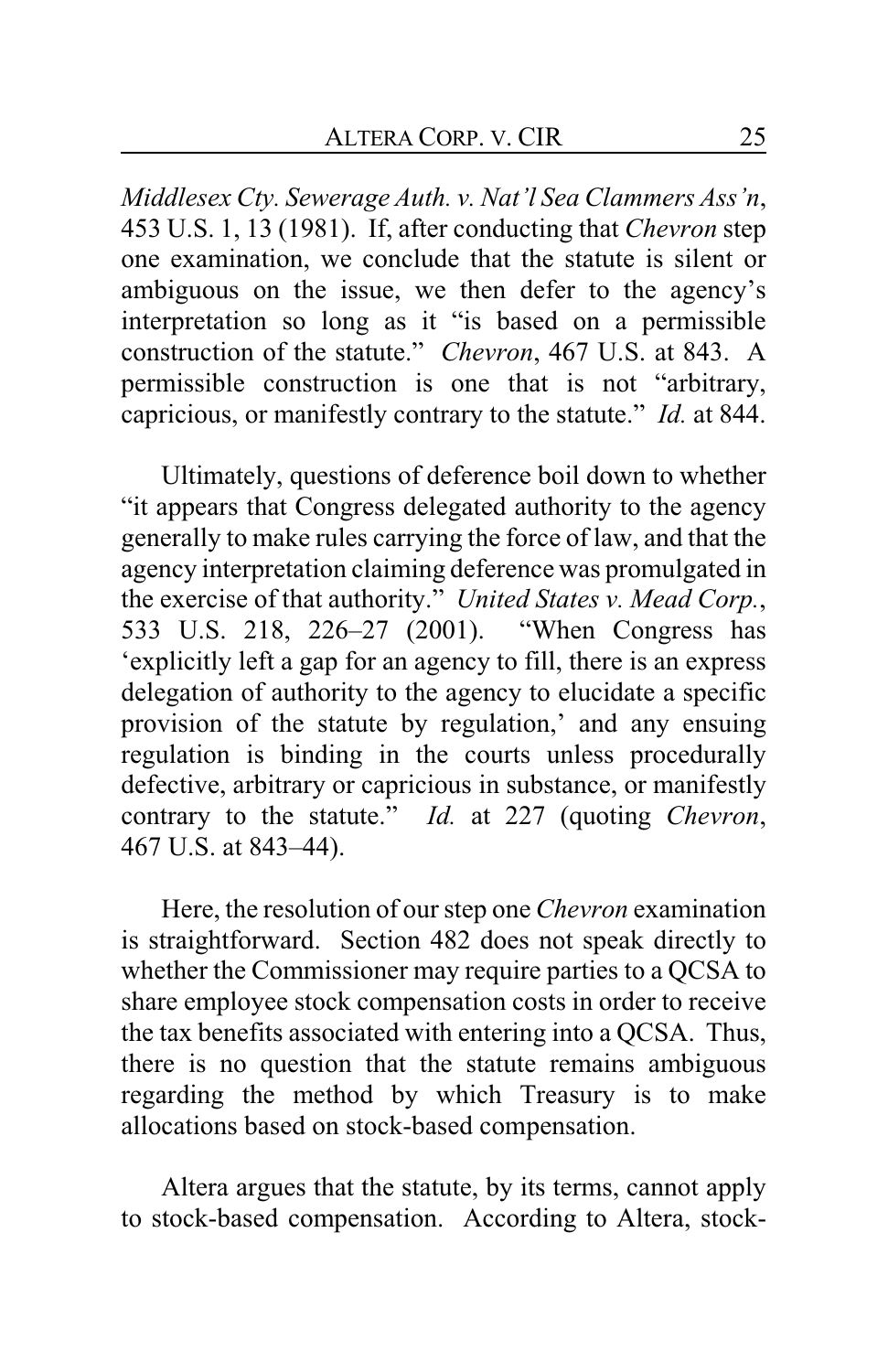*Middlesex Cty. Sewerage Auth. v. Nat'l Sea Clammers Ass'n*, 453 U.S. 1, 13 (1981). If, after conducting that *Chevron* step one examination, we conclude that the statute is silent or ambiguous on the issue, we then defer to the agency's interpretation so long as it "is based on a permissible construction of the statute." *Chevron*, 467 U.S. at 843. A permissible construction is one that is not "arbitrary, capricious, or manifestly contrary to the statute." *Id.* at 844.

Ultimately, questions of deference boil down to whether "it appears that Congress delegated authority to the agency generally to make rules carrying the force of law, and that the agency interpretation claiming deference was promulgated in the exercise of that authority." *United States v. Mead Corp.*, 533 U.S. 218, 226–27 (2001). "When Congress has 'explicitly left a gap for an agency to fill, there is an express delegation of authority to the agency to elucidate a specific provision of the statute by regulation,' and any ensuing regulation is binding in the courts unless procedurally defective, arbitrary or capricious in substance, or manifestly contrary to the statute." *Id.* at 227 (quoting *Chevron*, 467 U.S. at 843–44).

Here, the resolution of our step one *Chevron* examination is straightforward. Section 482 does not speak directly to whether the Commissioner may require parties to a QCSA to share employee stock compensation costs in order to receive the tax benefits associated with entering into a QCSA. Thus, there is no question that the statute remains ambiguous regarding the method by which Treasury is to make allocations based on stock-based compensation.

Altera argues that the statute, by its terms, cannot apply to stock-based compensation. According to Altera, stock-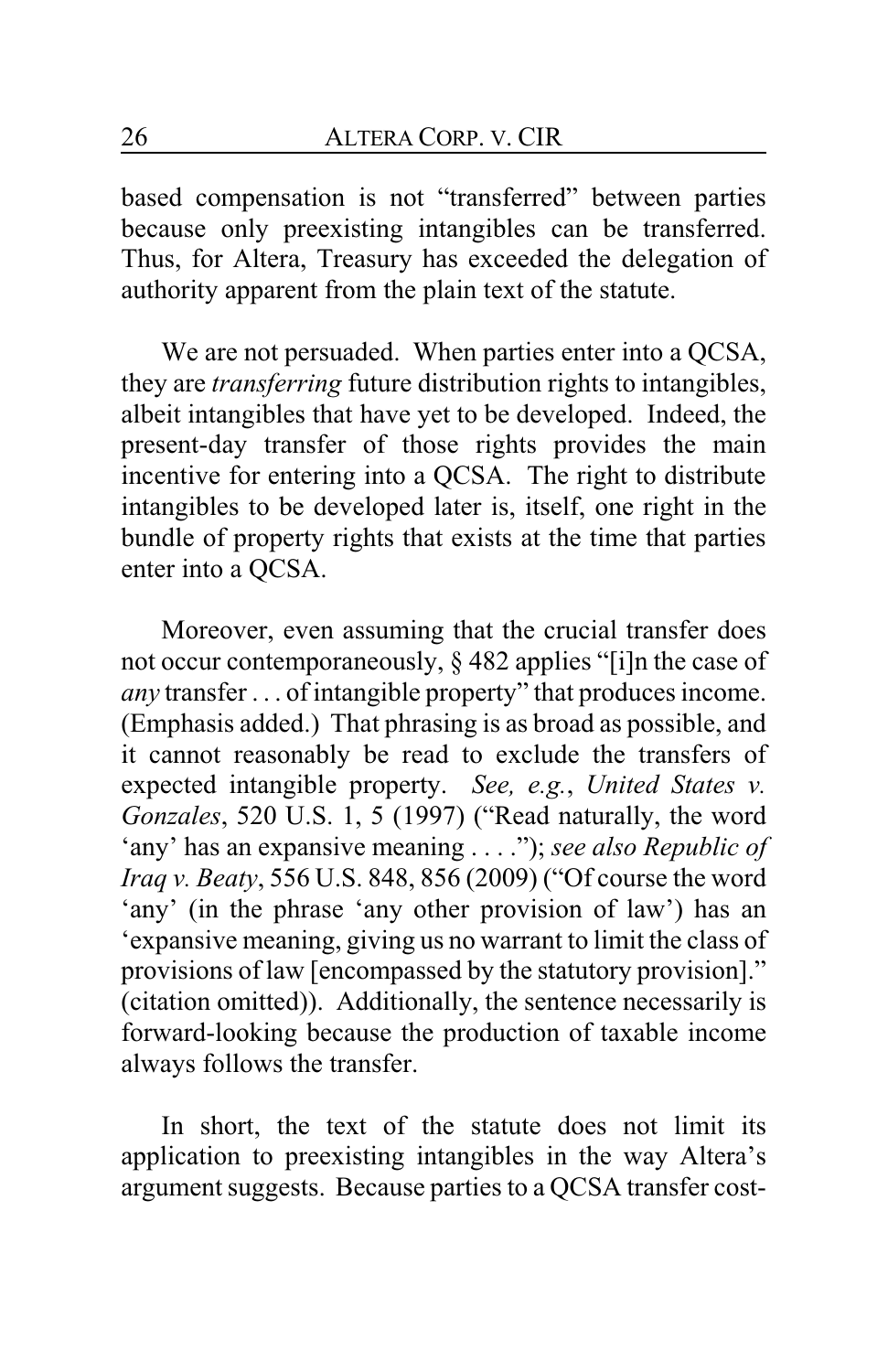based compensation is not "transferred" between parties because only preexisting intangibles can be transferred. Thus, for Altera, Treasury has exceeded the delegation of authority apparent from the plain text of the statute.

We are not persuaded. When parties enter into a QCSA, they are *transferring* future distribution rights to intangibles, albeit intangibles that have yet to be developed. Indeed, the present-day transfer of those rights provides the main incentive for entering into a QCSA. The right to distribute intangibles to be developed later is, itself, one right in the bundle of property rights that exists at the time that parties enter into a QCSA.

Moreover, even assuming that the crucial transfer does not occur contemporaneously, § 482 applies "[i]n the case of *any* transfer . . . of intangible property" that produces income. (Emphasis added.) That phrasing is as broad as possible, and it cannot reasonably be read to exclude the transfers of expected intangible property. *See, e.g.*, *United States v. Gonzales*, 520 U.S. 1, 5 (1997) ("Read naturally, the word 'any' has an expansive meaning . . . ."); *see also Republic of Iraq v. Beaty*, 556 U.S. 848, 856 (2009) ("Of course the word 'any' (in the phrase 'any other provision of law') has an 'expansive meaning, giving us no warrant to limit the class of provisions of law [encompassed by the statutory provision]." (citation omitted)). Additionally, the sentence necessarily is forward-looking because the production of taxable income always follows the transfer.

In short, the text of the statute does not limit its application to preexisting intangibles in the way Altera's argument suggests. Because parties to a QCSA transfer cost-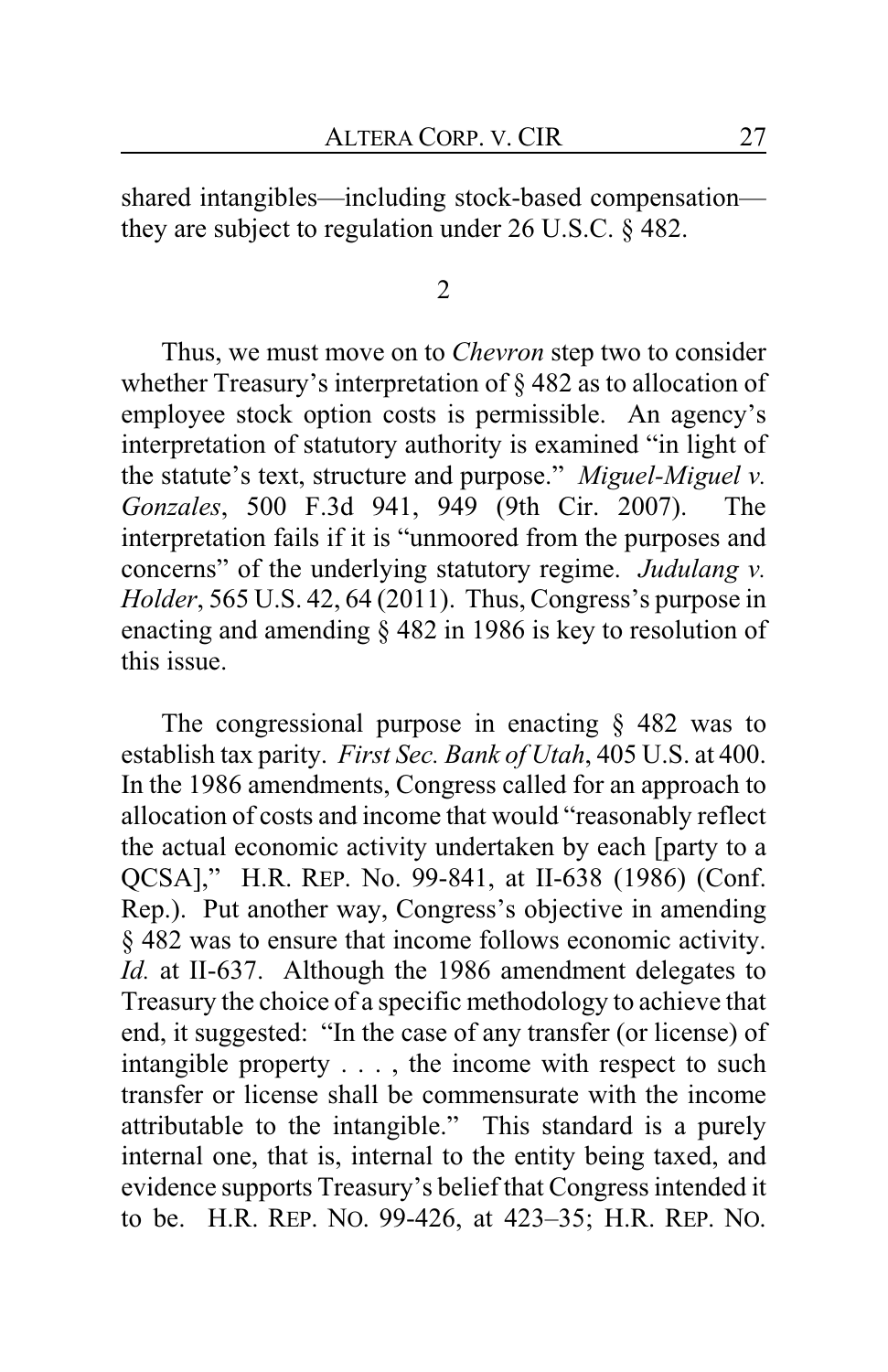shared intangibles—including stock-based compensation they are subject to regulation under 26 U.S.C. § 482.

2

Thus, we must move on to *Chevron* step two to consider whether Treasury's interpretation of § 482 as to allocation of employee stock option costs is permissible. An agency's interpretation of statutory authority is examined "in light of the statute's text, structure and purpose." *Miguel-Miguel v. Gonzales*, 500 F.3d 941, 949 (9th Cir. 2007). The interpretation fails if it is "unmoored from the purposes and concerns" of the underlying statutory regime. *Judulang v. Holder*, 565 U.S. 42, 64 (2011). Thus, Congress's purpose in enacting and amending § 482 in 1986 is key to resolution of this issue.

The congressional purpose in enacting § 482 was to establish tax parity. *First Sec. Bank of Utah*, 405 U.S. at 400. In the 1986 amendments, Congress called for an approach to allocation of costs and income that would "reasonably reflect the actual economic activity undertaken by each [party to a QCSA]," H.R. REP. No. 99-841, at II-638 (1986) (Conf. Rep.). Put another way, Congress's objective in amending § 482 was to ensure that income follows economic activity. *Id.* at II-637. Although the 1986 amendment delegates to Treasury the choice of a specific methodology to achieve that end, it suggested: "In the case of any transfer (or license) of intangible property . . . , the income with respect to such transfer or license shall be commensurate with the income attributable to the intangible." This standard is a purely internal one, that is, internal to the entity being taxed, and evidence supports Treasury's belief that Congress intended it to be. H.R. REP. NO. 99-426, at 423–35; H.R. REP. NO.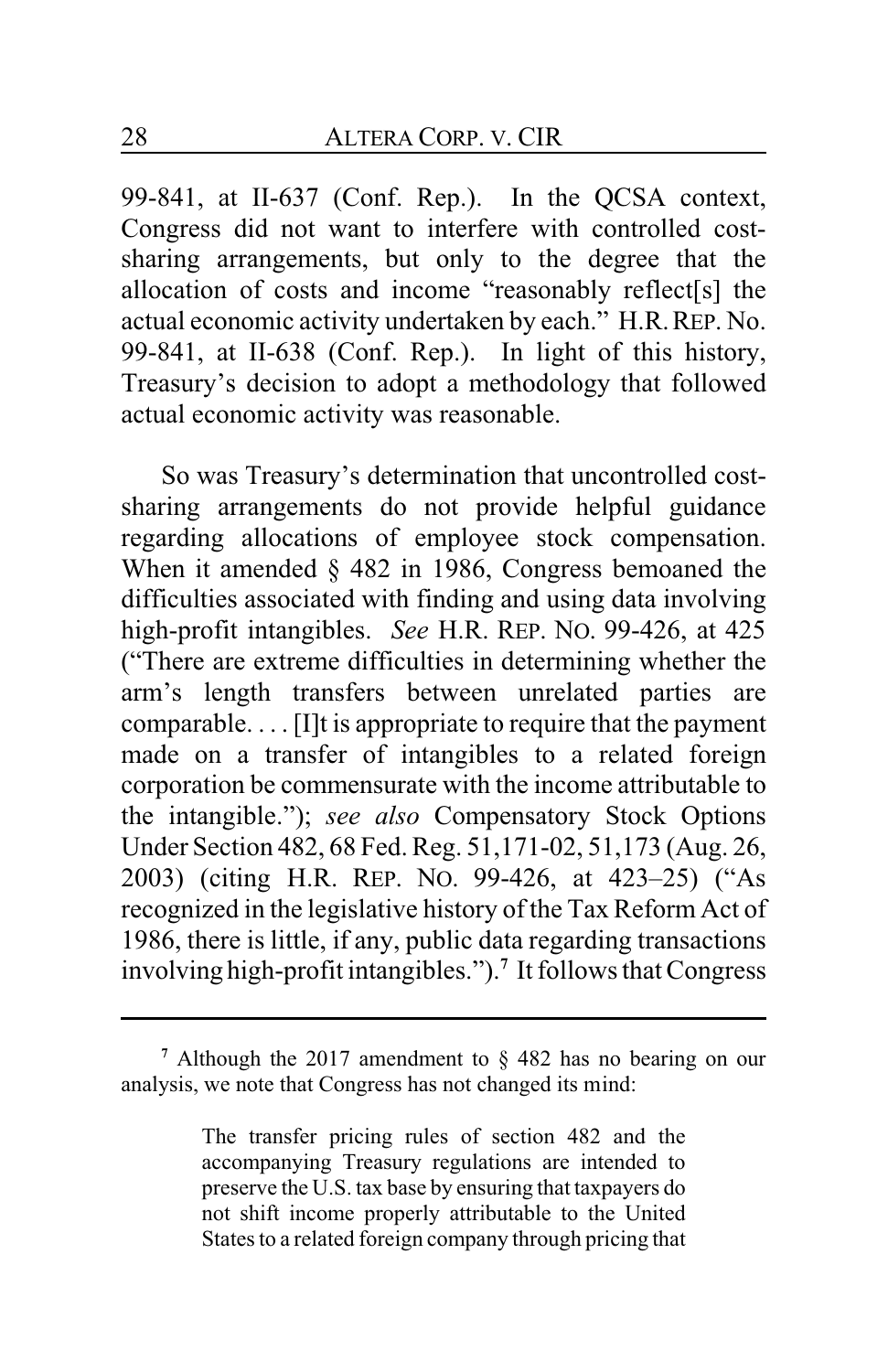99-841, at II-637 (Conf. Rep.). In the QCSA context, Congress did not want to interfere with controlled costsharing arrangements, but only to the degree that the allocation of costs and income "reasonably reflect[s] the actual economic activity undertaken by each." H.R.REP. No. 99-841, at II-638 (Conf. Rep.). In light of this history, Treasury's decision to adopt a methodology that followed actual economic activity was reasonable.

So was Treasury's determination that uncontrolled costsharing arrangements do not provide helpful guidance regarding allocations of employee stock compensation. When it amended § 482 in 1986, Congress bemoaned the difficulties associated with finding and using data involving high-profit intangibles. *See* H.R. REP. NO. 99-426, at 425 ("There are extreme difficulties in determining whether the arm's length transfers between unrelated parties are comparable. . . . [I]t is appropriate to require that the payment made on a transfer of intangibles to a related foreign corporation be commensurate with the income attributable to the intangible."); *see also* Compensatory Stock Options Under Section 482, 68 Fed. Reg. 51,171-02, 51,173 (Aug. 26, 2003) (citing H.R. REP. NO. 99-426, at 423–25) ("As recognized in the legislative history of the Tax Reform Act of 1986, there is little, if any, public data regarding transactions involving high-profit intangibles.").**<sup>7</sup>** It follows that Congress

The transfer pricing rules of section 482 and the accompanying Treasury regulations are intended to preserve the U.S. tax base by ensuring that taxpayers do not shift income properly attributable to the United States to a related foreign company through pricing that

**<sup>7</sup>** Although the 2017 amendment to § 482 has no bearing on our analysis, we note that Congress has not changed its mind: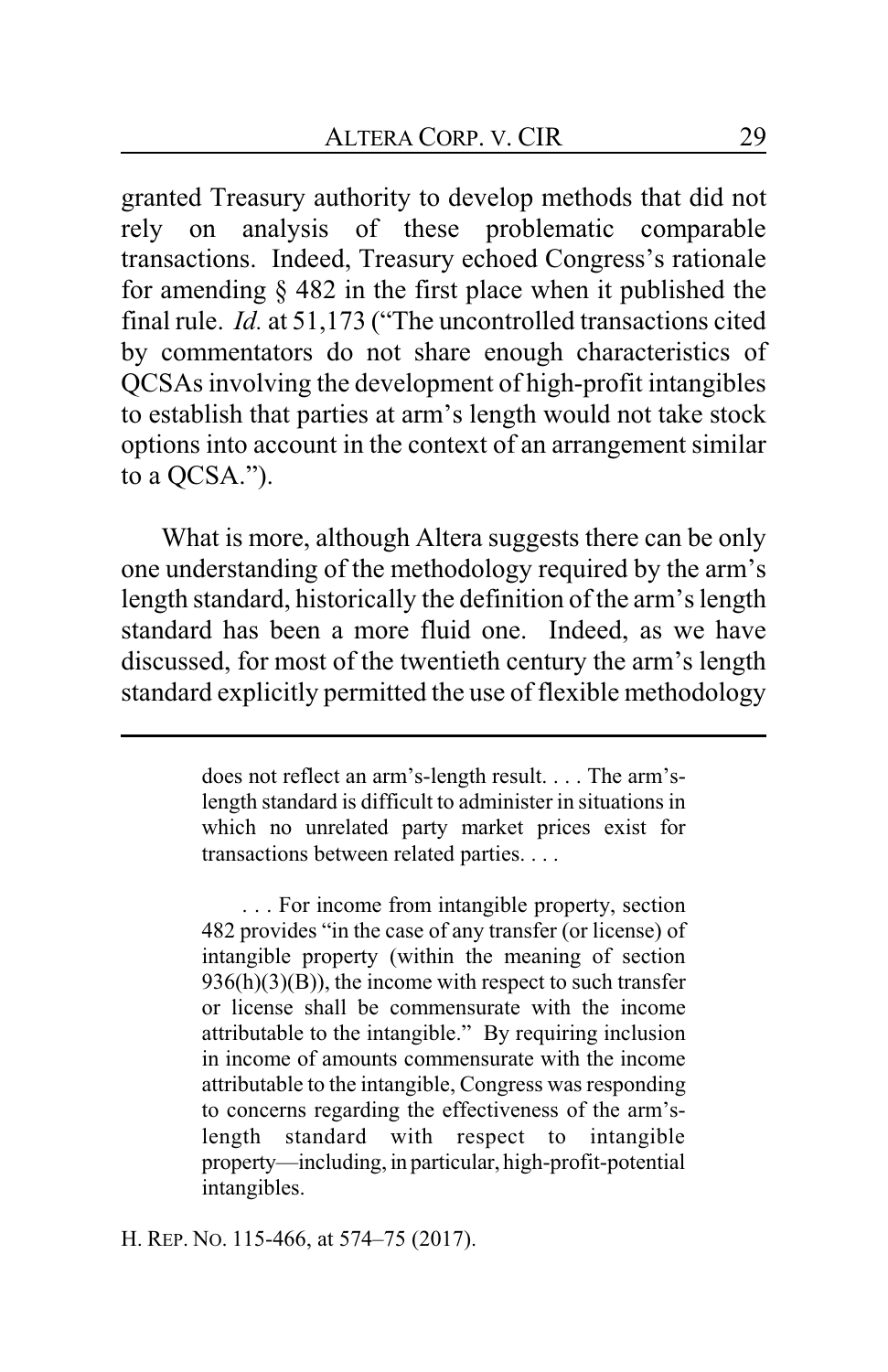granted Treasury authority to develop methods that did not rely on analysis of these problematic comparable transactions. Indeed, Treasury echoed Congress's rationale for amending § 482 in the first place when it published the final rule. *Id.* at 51,173 ("The uncontrolled transactions cited by commentators do not share enough characteristics of QCSAs involving the development of high-profit intangibles to establish that parties at arm's length would not take stock options into account in the context of an arrangement similar to a QCSA.").

What is more, although Altera suggests there can be only one understanding of the methodology required by the arm's length standard, historically the definition of the arm's length standard has been a more fluid one. Indeed, as we have discussed, for most of the twentieth century the arm's length standard explicitly permitted the use of flexible methodology

> does not reflect an arm's-length result. . . . The arm'slength standard is difficult to administer in situations in which no unrelated party market prices exist for transactions between related parties. . . .

> . . . For income from intangible property, section 482 provides "in the case of any transfer (or license) of intangible property (within the meaning of section  $936(h)(3)(B)$ , the income with respect to such transfer or license shall be commensurate with the income attributable to the intangible." By requiring inclusion in income of amounts commensurate with the income attributable to the intangible, Congress was responding to concerns regarding the effectiveness of the arm'slength standard with respect to intangible property—including, in particular, high-profit-potential intangibles.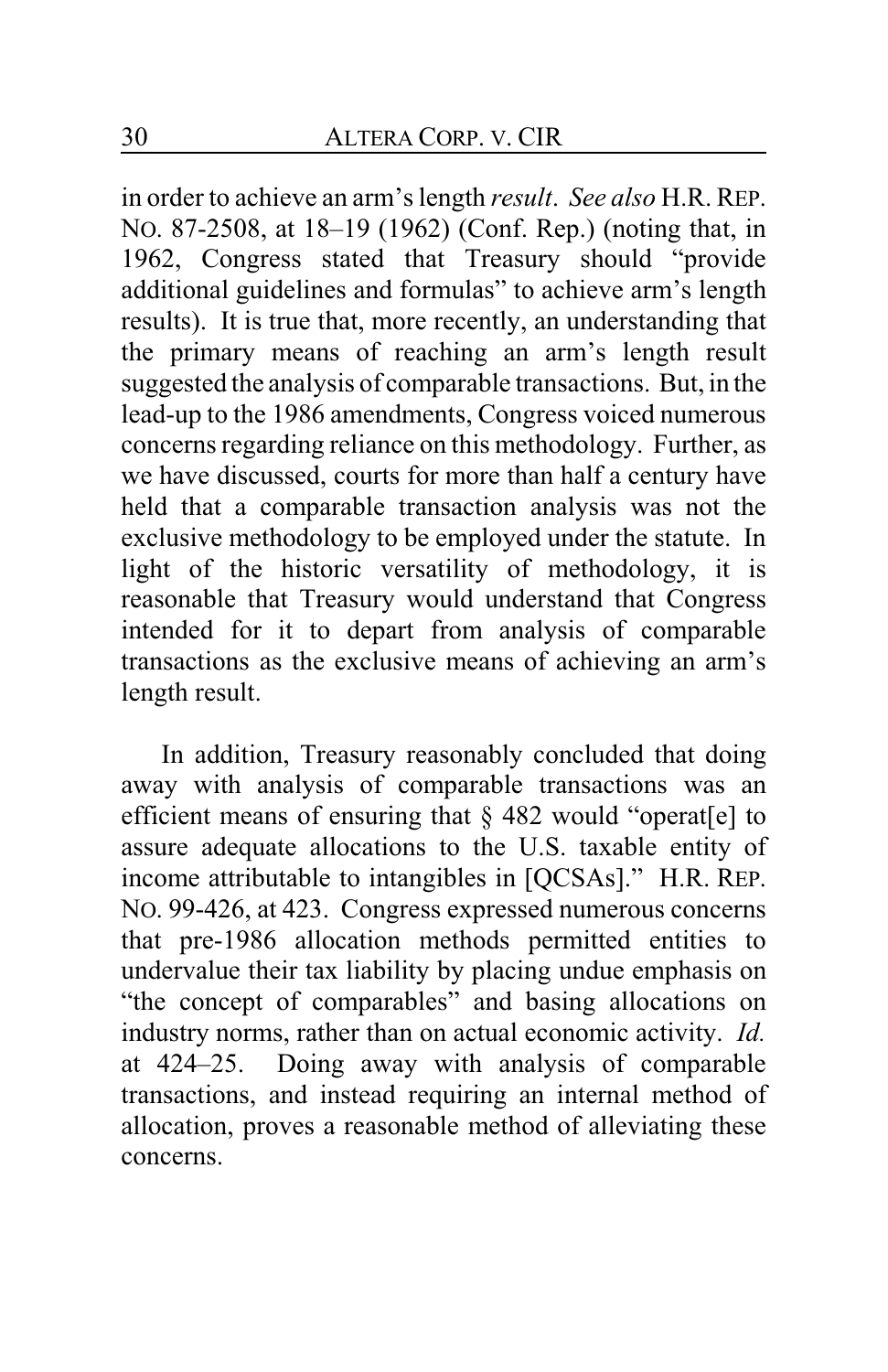in order to achieve an arm's length *result*. *See also* H.R. REP. NO. 87-2508, at 18–19 (1962) (Conf. Rep.) (noting that, in 1962, Congress stated that Treasury should "provide additional guidelines and formulas" to achieve arm's length results). It is true that, more recently, an understanding that the primary means of reaching an arm's length result suggested the analysis of comparable transactions. But, in the lead-up to the 1986 amendments, Congress voiced numerous concerns regarding reliance on this methodology. Further, as we have discussed, courts for more than half a century have held that a comparable transaction analysis was not the exclusive methodology to be employed under the statute. In light of the historic versatility of methodology, it is reasonable that Treasury would understand that Congress intended for it to depart from analysis of comparable transactions as the exclusive means of achieving an arm's length result.

In addition, Treasury reasonably concluded that doing away with analysis of comparable transactions was an efficient means of ensuring that § 482 would "operat[e] to assure adequate allocations to the U.S. taxable entity of income attributable to intangibles in [QCSAs]." H.R. REP. NO. 99-426, at 423. Congress expressed numerous concerns that pre-1986 allocation methods permitted entities to undervalue their tax liability by placing undue emphasis on "the concept of comparables" and basing allocations on industry norms, rather than on actual economic activity. *Id.* at 424–25. Doing away with analysis of comparable transactions, and instead requiring an internal method of allocation, proves a reasonable method of alleviating these concerns.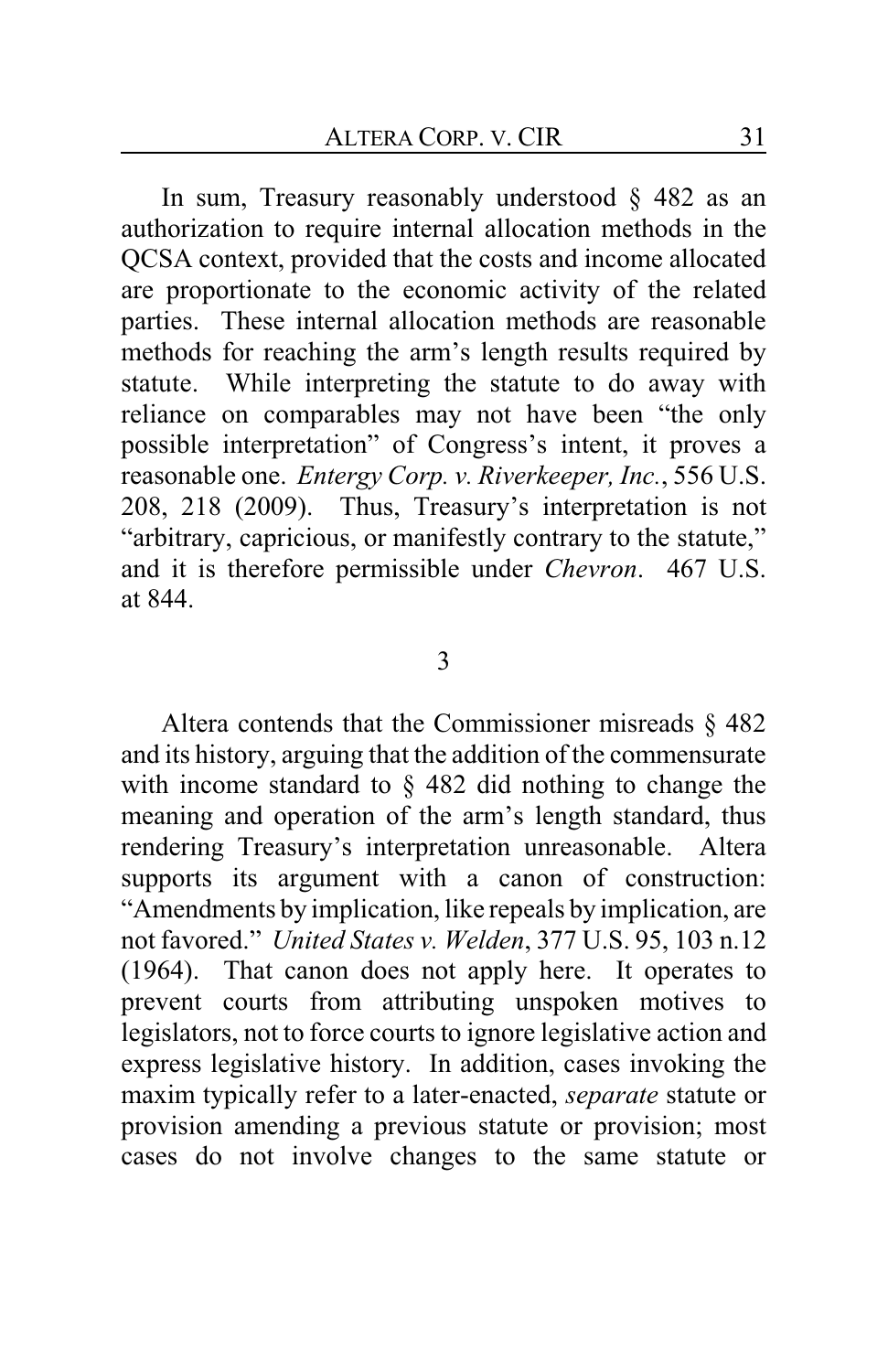In sum, Treasury reasonably understood  $\S$  482 as an authorization to require internal allocation methods in the QCSA context, provided that the costs and income allocated are proportionate to the economic activity of the related parties. These internal allocation methods are reasonable methods for reaching the arm's length results required by statute. While interpreting the statute to do away with reliance on comparables may not have been "the only possible interpretation" of Congress's intent, it proves a reasonable one. *Entergy Corp. v. Riverkeeper, Inc.*, 556 U.S. 208, 218 (2009). Thus, Treasury's interpretation is not "arbitrary, capricious, or manifestly contrary to the statute," and it is therefore permissible under *Chevron*. 467 U.S. at 844.

### 3

Altera contends that the Commissioner misreads § 482 and its history, arguing that the addition of the commensurate with income standard to § 482 did nothing to change the meaning and operation of the arm's length standard, thus rendering Treasury's interpretation unreasonable. Altera supports its argument with a canon of construction: "Amendments by implication, like repeals by implication, are not favored." *United States v. Welden*, 377 U.S. 95, 103 n.12 (1964). That canon does not apply here. It operates to prevent courts from attributing unspoken motives to legislators, not to force courts to ignore legislative action and express legislative history. In addition, cases invoking the maxim typically refer to a later-enacted, *separate* statute or provision amending a previous statute or provision; most cases do not involve changes to the same statute or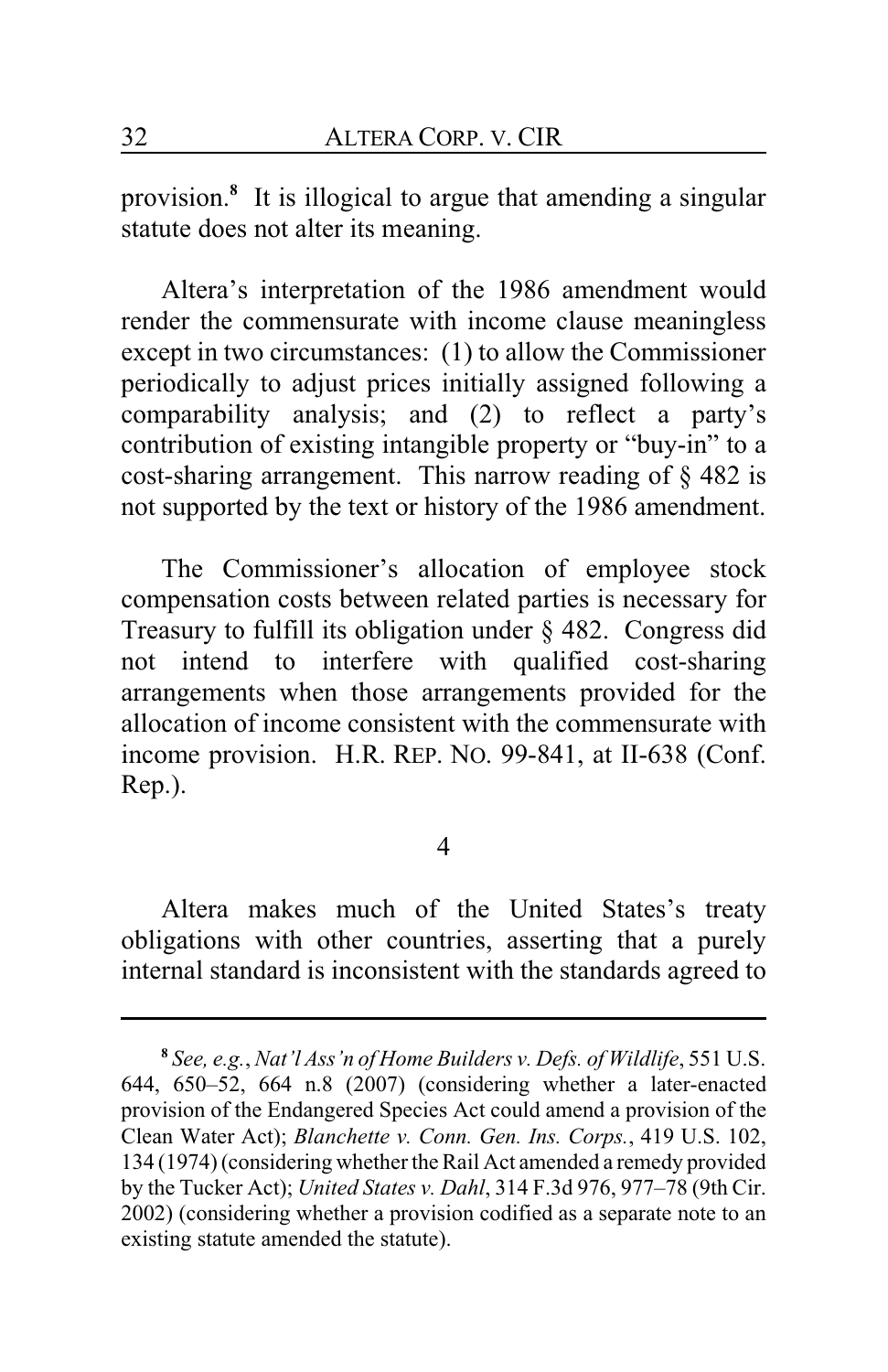provision.**<sup>8</sup>** It is illogical to argue that amending a singular statute does not alter its meaning.

Altera's interpretation of the 1986 amendment would render the commensurate with income clause meaningless except in two circumstances: (1) to allow the Commissioner periodically to adjust prices initially assigned following a comparability analysis; and (2) to reflect a party's contribution of existing intangible property or "buy-in" to a cost-sharing arrangement. This narrow reading of § 482 is not supported by the text or history of the 1986 amendment.

The Commissioner's allocation of employee stock compensation costs between related parties is necessary for Treasury to fulfill its obligation under § 482. Congress did not intend to interfere with qualified cost-sharing arrangements when those arrangements provided for the allocation of income consistent with the commensurate with income provision. H.R. REP. NO. 99-841, at II-638 (Conf. Rep.).

4

Altera makes much of the United States's treaty obligations with other countries, asserting that a purely internal standard is inconsistent with the standards agreed to

**<sup>8</sup>** *See, e.g.*, *Nat'l Ass'n of Home Builders v. Defs. of Wildlife*, 551 U.S. 644, 650–52, 664 n.8 (2007) (considering whether a later-enacted provision of the Endangered Species Act could amend a provision of the Clean Water Act); *Blanchette v. Conn. Gen. Ins. Corps.*, 419 U.S. 102, 134 (1974) (considering whether the Rail Act amended a remedy provided by the Tucker Act); *United States v. Dahl*, 314 F.3d 976, 977–78 (9th Cir. 2002) (considering whether a provision codified as a separate note to an existing statute amended the statute).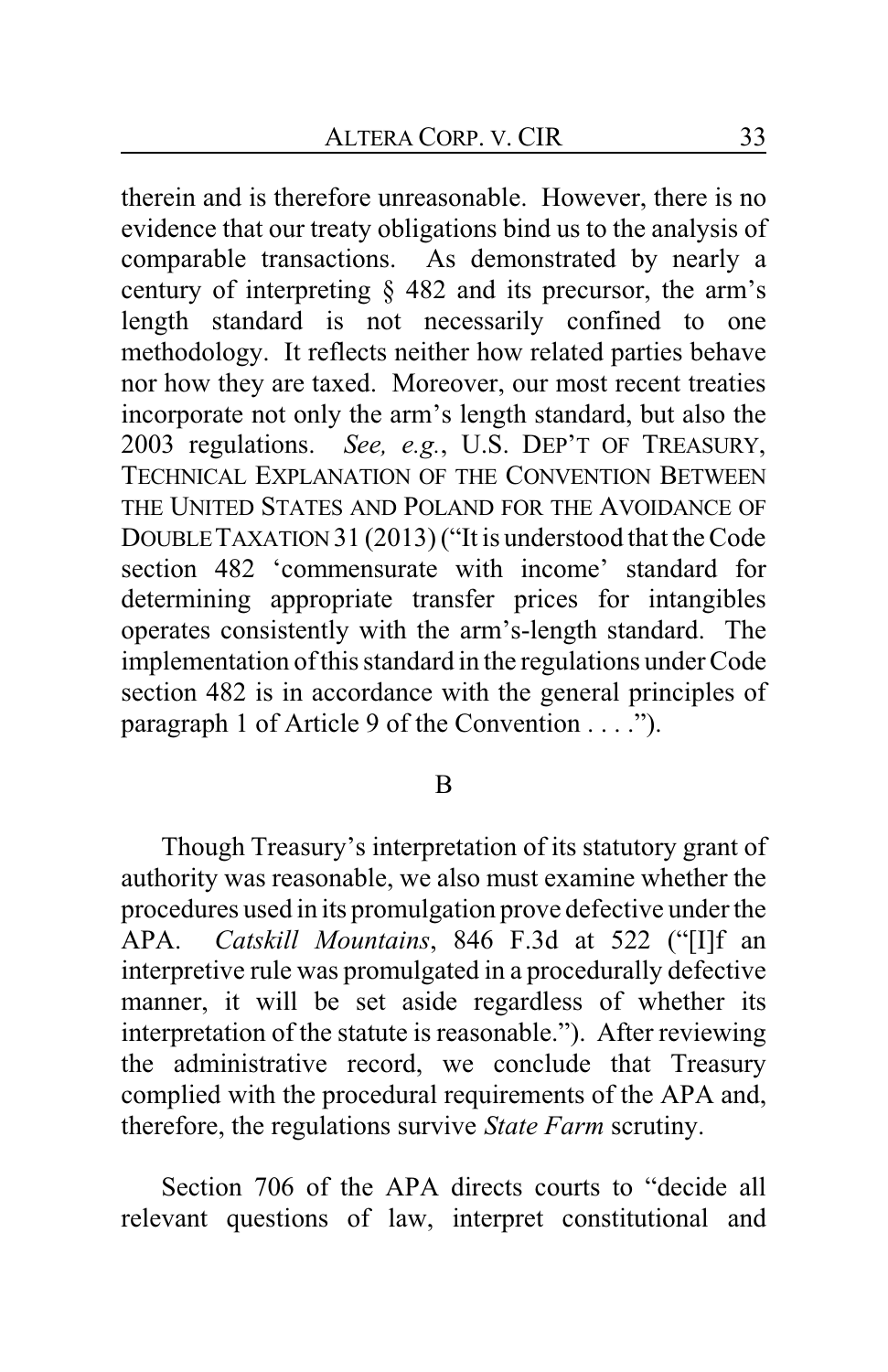therein and is therefore unreasonable. However, there is no evidence that our treaty obligations bind us to the analysis of comparable transactions. As demonstrated by nearly a century of interpreting § 482 and its precursor, the arm's length standard is not necessarily confined to one methodology. It reflects neither how related parties behave nor how they are taxed. Moreover, our most recent treaties incorporate not only the arm's length standard, but also the 2003 regulations. *See, e.g.*, U.S. DEP'T OF TREASURY, TECHNICAL EXPLANATION OF THE CONVENTION BETWEEN THE UNITED STATES AND POLAND FOR THE AVOIDANCE OF DOUBLETAXATION 31 (2013) ("It is understood that the Code section 482 'commensurate with income' standard for determining appropriate transfer prices for intangibles operates consistently with the arm's-length standard. The implementation of this standard in the regulations under Code section 482 is in accordance with the general principles of paragraph 1 of Article 9 of the Convention . . . .").

### B

Though Treasury's interpretation of its statutory grant of authority was reasonable, we also must examine whether the procedures used in its promulgation prove defective under the APA. *Catskill Mountains*, 846 F.3d at 522 ("[I]f an interpretive rule was promulgated in a procedurally defective manner, it will be set aside regardless of whether its interpretation of the statute is reasonable."). After reviewing the administrative record, we conclude that Treasury complied with the procedural requirements of the APA and, therefore, the regulations survive *State Farm* scrutiny.

Section 706 of the APA directs courts to "decide all relevant questions of law, interpret constitutional and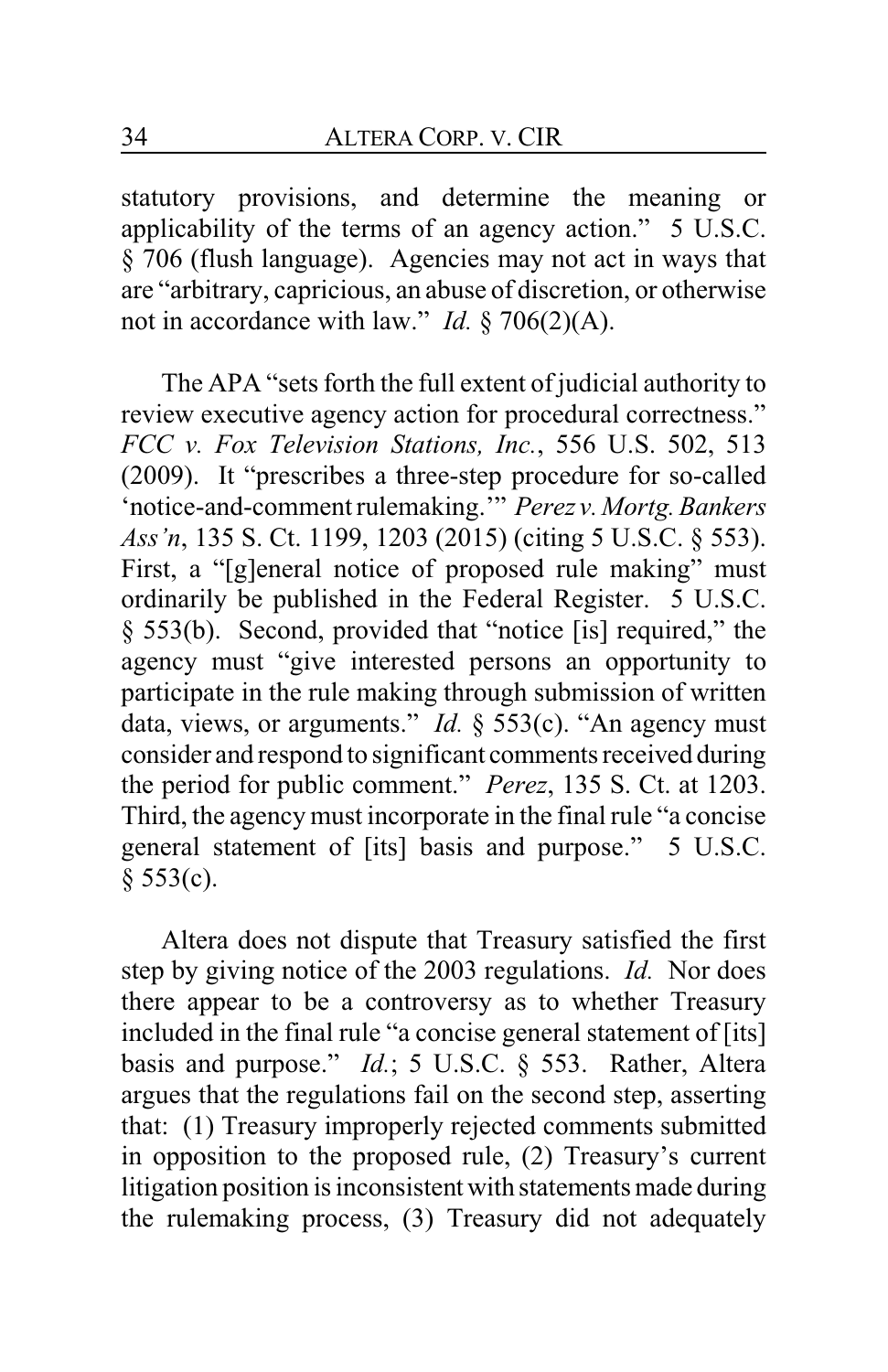statutory provisions, and determine the meaning or applicability of the terms of an agency action." 5 U.S.C. § 706 (flush language). Agencies may not act in ways that are "arbitrary, capricious, an abuse of discretion, or otherwise not in accordance with law." *Id.* § 706(2)(A).

The APA "sets forth the full extent of judicial authority to review executive agency action for procedural correctness." *FCC v. Fox Television Stations, Inc.*, 556 U.S. 502, 513 (2009). It "prescribes a three-step procedure for so-called 'notice-and-comment rulemaking.'" *Perez v. Mortg.Bankers Ass'n*, 135 S. Ct. 1199, 1203 (2015) (citing 5 U.S.C. § 553). First, a "[g]eneral notice of proposed rule making" must ordinarily be published in the Federal Register. 5 U.S.C. § 553(b). Second, provided that "notice [is] required," the agency must "give interested persons an opportunity to participate in the rule making through submission of written data, views, or arguments." *Id.* § 553(c). "An agency must consider and respond to significant comments received during the period for public comment." *Perez*, 135 S. Ct. at 1203. Third, the agency must incorporate in the final rule "a concise general statement of [its] basis and purpose." 5 U.S.C.  $§ 553(c).$ 

Altera does not dispute that Treasury satisfied the first step by giving notice of the 2003 regulations. *Id.* Nor does there appear to be a controversy as to whether Treasury included in the final rule "a concise general statement of [its] basis and purpose." *Id.*; 5 U.S.C. § 553. Rather, Altera argues that the regulations fail on the second step, asserting that: (1) Treasury improperly rejected comments submitted in opposition to the proposed rule, (2) Treasury's current litigation position is inconsistent with statements made during the rulemaking process, (3) Treasury did not adequately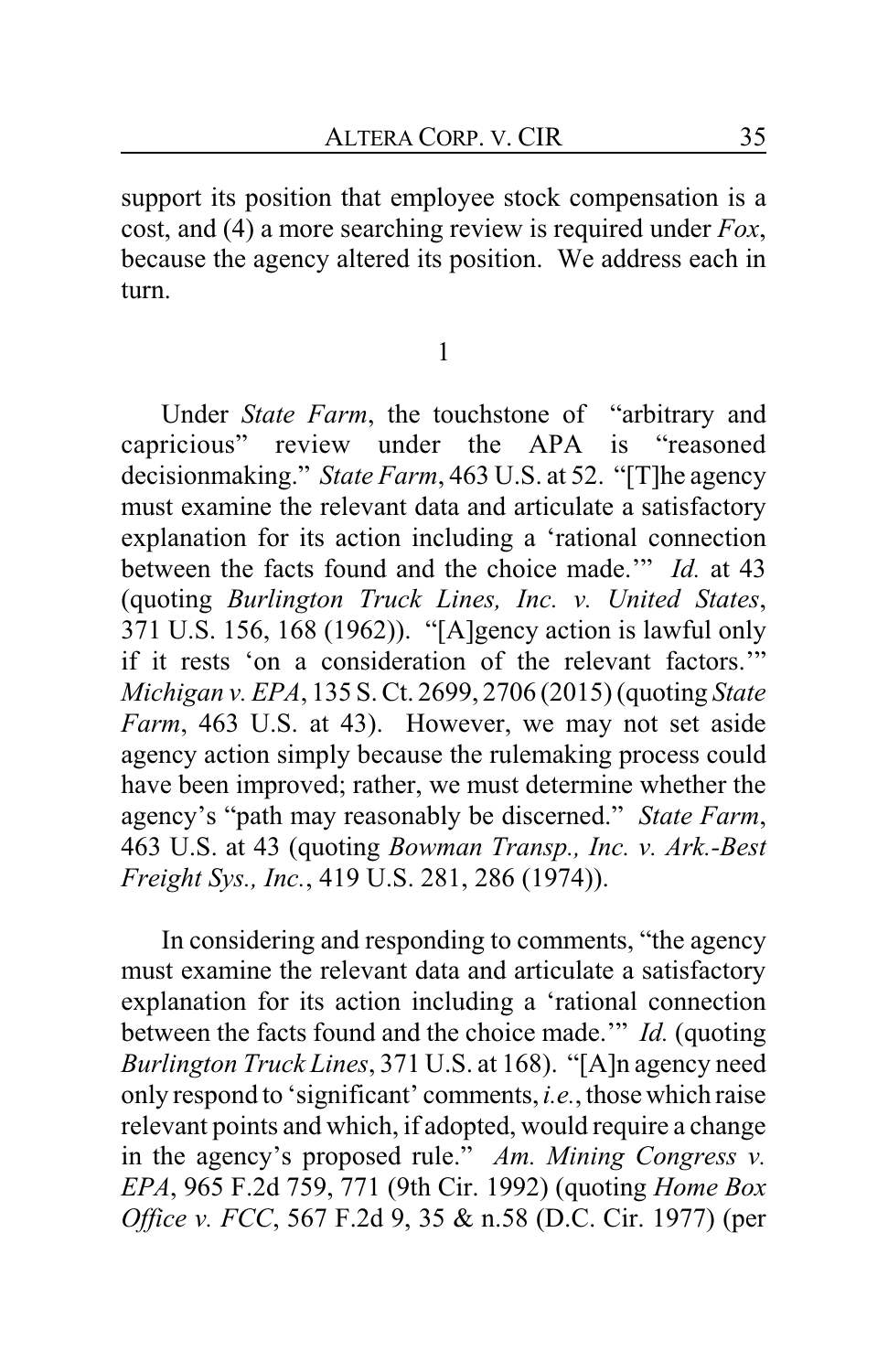support its position that employee stock compensation is a cost, and (4) a more searching review is required under *Fox*, because the agency altered its position. We address each in turn.

1

Under *State Farm*, the touchstone of "arbitrary and capricious" review under the APA is "reasoned decisionmaking." *State Farm*, 463 U.S. at 52. "[T]he agency must examine the relevant data and articulate a satisfactory explanation for its action including a 'rational connection between the facts found and the choice made.'" *Id.* at 43 (quoting *Burlington Truck Lines, Inc. v. United States*, 371 U.S. 156, 168 (1962)). "[A]gency action is lawful only if it rests 'on a consideration of the relevant factors.'" *Michigan v. EPA*, 135 S. Ct. 2699, 2706 (2015) (quoting *State Farm*, 463 U.S. at 43). However, we may not set aside agency action simply because the rulemaking process could have been improved; rather, we must determine whether the agency's "path may reasonably be discerned." *State Farm*, 463 U.S. at 43 (quoting *Bowman Transp., Inc. v. Ark.-Best Freight Sys., Inc.*, 419 U.S. 281, 286 (1974)).

In considering and responding to comments, "the agency must examine the relevant data and articulate a satisfactory explanation for its action including a 'rational connection between the facts found and the choice made.'" *Id.* (quoting *Burlington Truck Lines*, 371 U.S. at 168). "[A]n agency need only respond to 'significant' comments,*i.e.*, those which raise relevant points and which, if adopted, would require a change in the agency's proposed rule." *Am. Mining Congress v. EPA*, 965 F.2d 759, 771 (9th Cir. 1992) (quoting *Home Box Office v. FCC*, 567 F.2d 9, 35 & n.58 (D.C. Cir. 1977) (per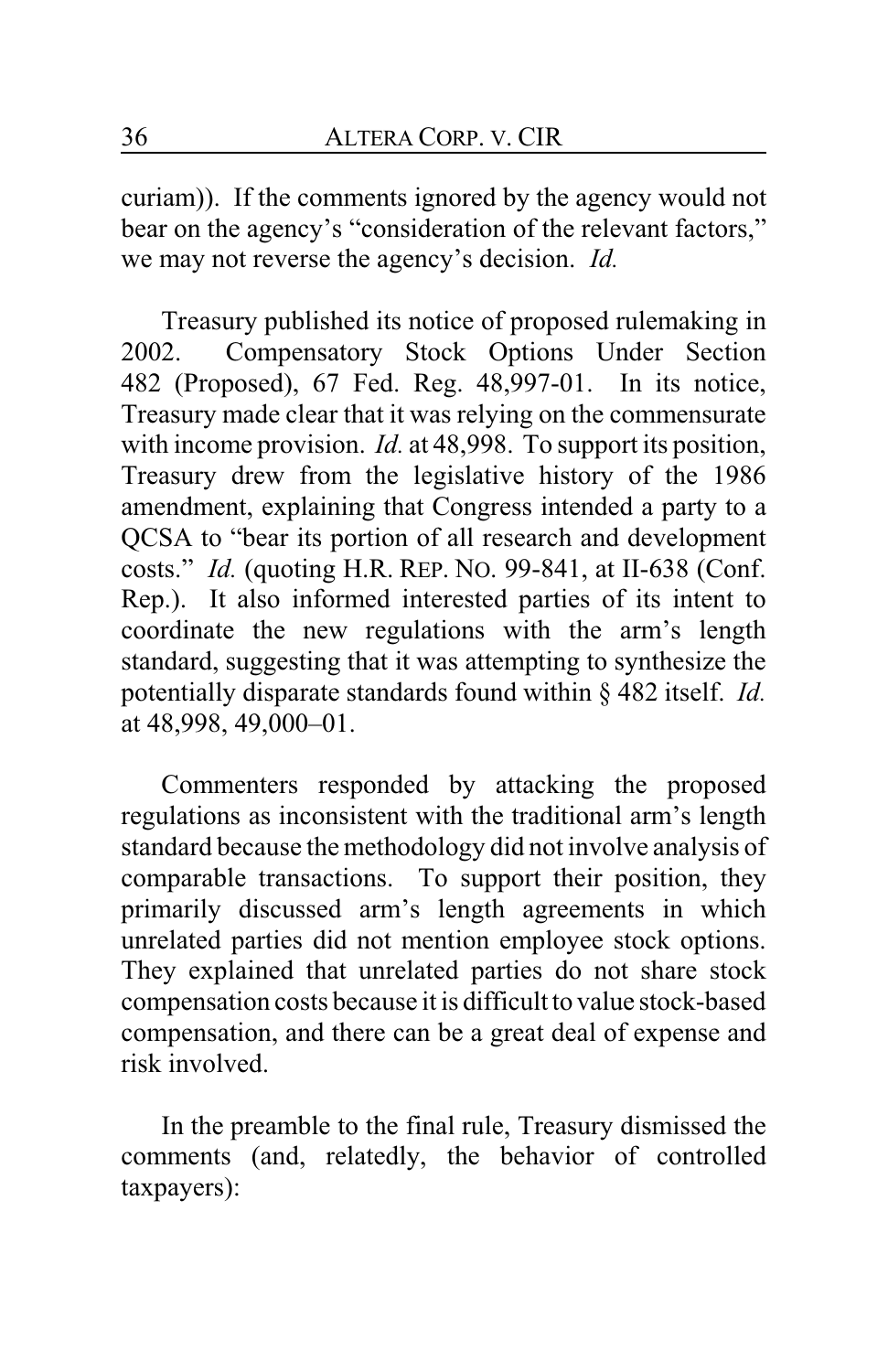curiam)). If the comments ignored by the agency would not bear on the agency's "consideration of the relevant factors," we may not reverse the agency's decision. *Id.*

Treasury published its notice of proposed rulemaking in 2002. Compensatory Stock Options Under Section 482 (Proposed), 67 Fed. Reg. 48,997-01. In its notice, Treasury made clear that it was relying on the commensurate with income provision. *Id.* at 48,998. To support its position, Treasury drew from the legislative history of the 1986 amendment, explaining that Congress intended a party to a QCSA to "bear its portion of all research and development costs." *Id.* (quoting H.R. REP. NO. 99-841, at II-638 (Conf. Rep.). It also informed interested parties of its intent to coordinate the new regulations with the arm's length standard, suggesting that it was attempting to synthesize the potentially disparate standards found within § 482 itself. *Id.* at 48,998, 49,000–01.

Commenters responded by attacking the proposed regulations as inconsistent with the traditional arm's length standard because the methodology did not involve analysis of comparable transactions. To support their position, they primarily discussed arm's length agreements in which unrelated parties did not mention employee stock options. They explained that unrelated parties do not share stock compensation costs because it is difficult to value stock-based compensation, and there can be a great deal of expense and risk involved.

In the preamble to the final rule, Treasury dismissed the comments (and, relatedly, the behavior of controlled taxpayers):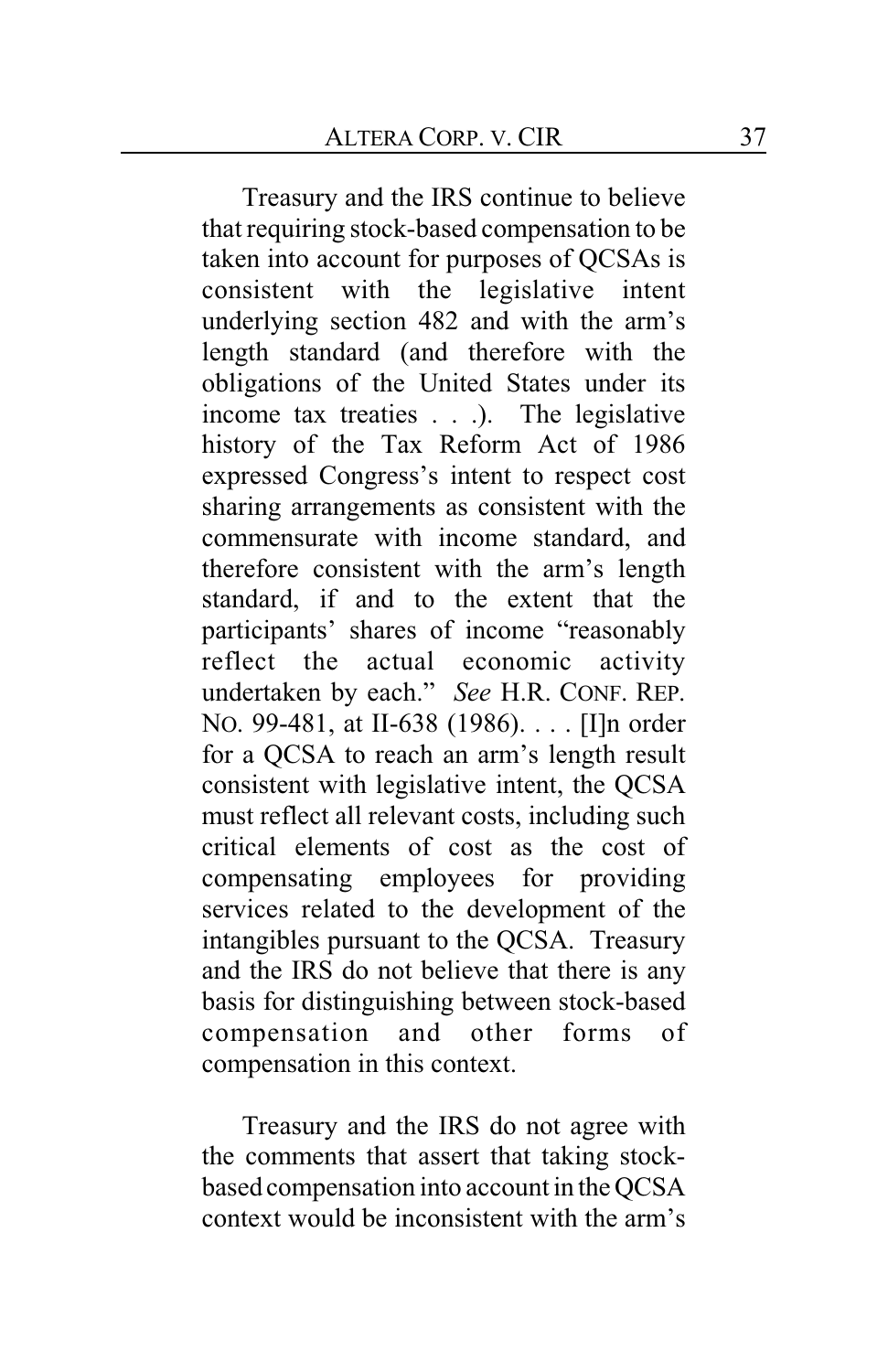Treasury and the IRS continue to believe that requiring stock-based compensation to be taken into account for purposes of QCSAs is consistent with the legislative intent underlying section 482 and with the arm's length standard (and therefore with the obligations of the United States under its income tax treaties . . .). The legislative history of the Tax Reform Act of 1986 expressed Congress's intent to respect cost sharing arrangements as consistent with the commensurate with income standard, and therefore consistent with the arm's length standard, if and to the extent that the participants' shares of income "reasonably reflect the actual economic activity undertaken by each." *See* H.R. CONF. REP. NO. 99-481, at II-638 (1986). . . . [I]n order for a QCSA to reach an arm's length result consistent with legislative intent, the QCSA must reflect all relevant costs, including such critical elements of cost as the cost of compensating employees for providing services related to the development of the intangibles pursuant to the QCSA. Treasury and the IRS do not believe that there is any basis for distinguishing between stock-based compensation and other forms of compensation in this context.

Treasury and the IRS do not agree with the comments that assert that taking stockbased compensation into account in the QCSA context would be inconsistent with the arm's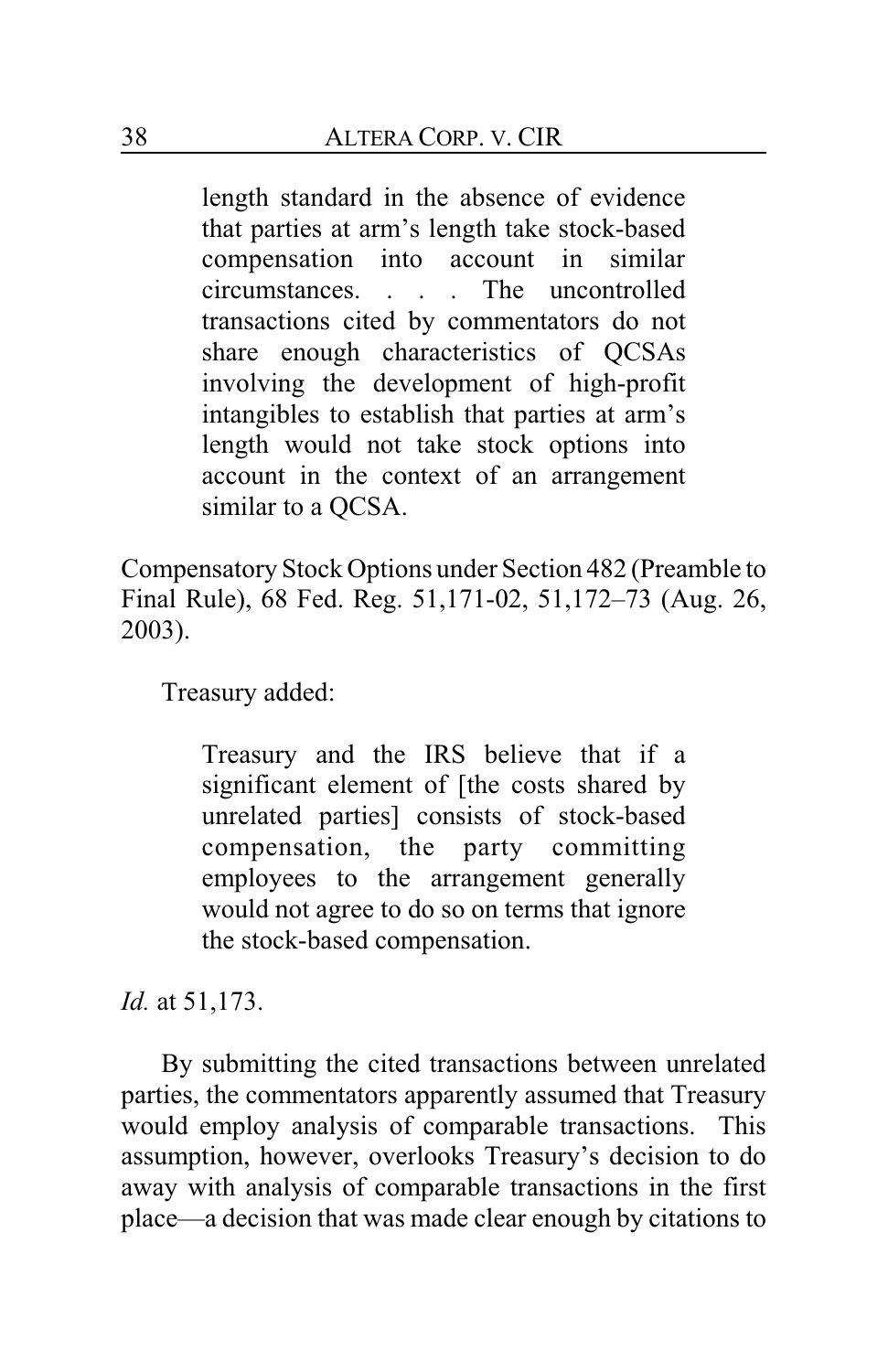length standard in the absence of evidence that parties at arm's length take stock-based compensation into account in similar circumstances. . . . The uncontrolled transactions cited by commentators do not share enough characteristics of QCSAs involving the development of high-profit intangibles to establish that parties at arm's length would not take stock options into account in the context of an arrangement similar to a QCSA.

Compensatory Stock Options under Section 482 (Preamble to Final Rule), 68 Fed. Reg. 51,171-02, 51,172–73 (Aug. 26, 2003).

Treasury added:

Treasury and the IRS believe that if a significant element of [the costs shared by unrelated parties] consists of stock-based compensation, the party committing employees to the arrangement generally would not agree to do so on terms that ignore the stock-based compensation.

*Id.* at 51,173.

By submitting the cited transactions between unrelated parties, the commentators apparently assumed that Treasury would employ analysis of comparable transactions. This assumption, however, overlooks Treasury's decision to do away with analysis of comparable transactions in the first place—a decision that was made clear enough by citations to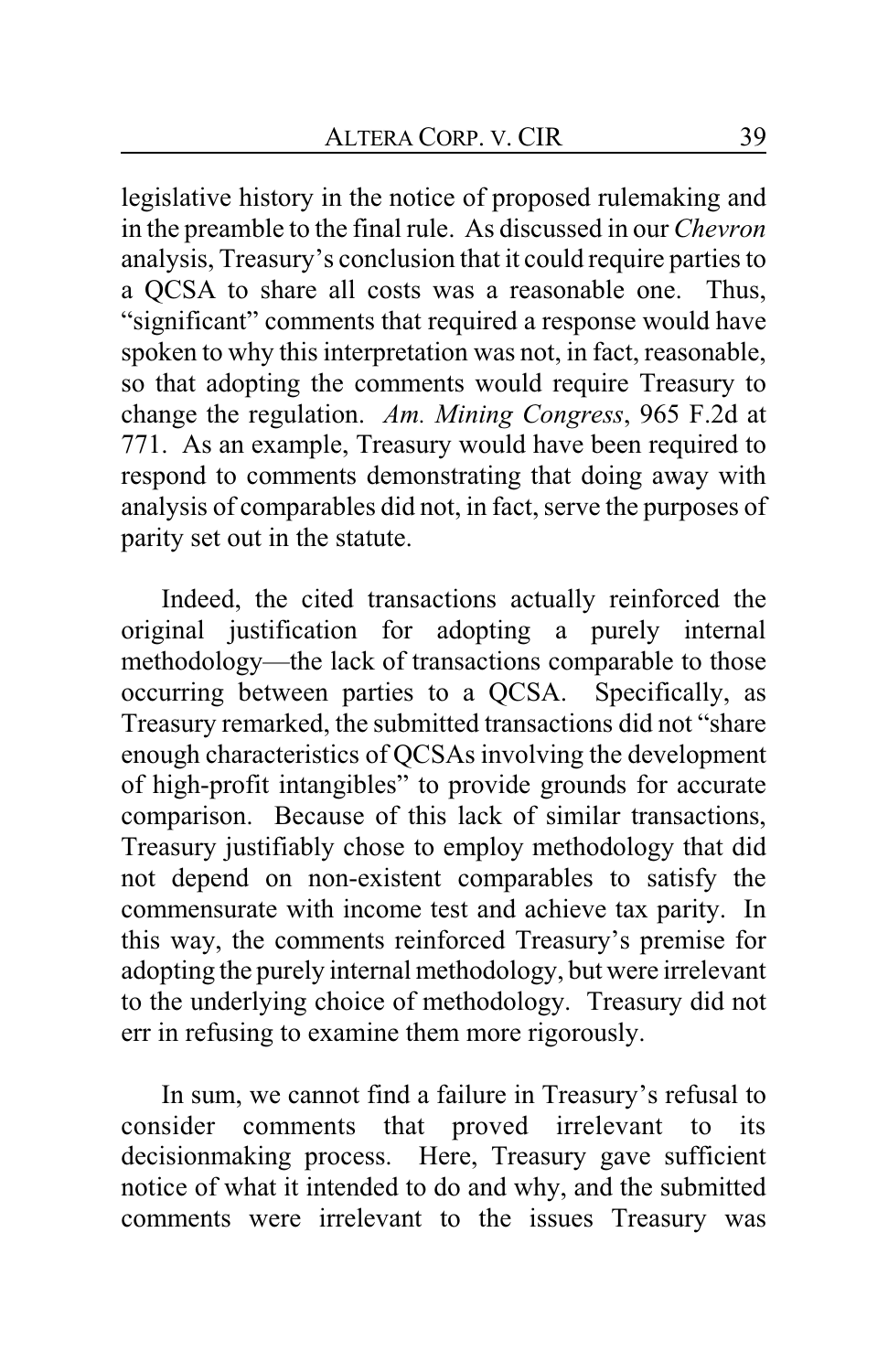legislative history in the notice of proposed rulemaking and in the preamble to the final rule. As discussed in our *Chevron* analysis, Treasury's conclusion that it could require parties to a QCSA to share all costs was a reasonable one. Thus, "significant" comments that required a response would have spoken to why this interpretation was not, in fact, reasonable, so that adopting the comments would require Treasury to change the regulation. *Am. Mining Congress*, 965 F.2d at 771. As an example, Treasury would have been required to respond to comments demonstrating that doing away with analysis of comparables did not, in fact, serve the purposes of parity set out in the statute.

Indeed, the cited transactions actually reinforced the original justification for adopting a purely internal methodology—the lack of transactions comparable to those occurring between parties to a QCSA. Specifically, as Treasury remarked, the submitted transactions did not "share enough characteristics of QCSAs involving the development of high-profit intangibles" to provide grounds for accurate comparison. Because of this lack of similar transactions, Treasury justifiably chose to employ methodology that did not depend on non-existent comparables to satisfy the commensurate with income test and achieve tax parity. In this way, the comments reinforced Treasury's premise for adopting the purely internal methodology, but were irrelevant to the underlying choice of methodology. Treasury did not err in refusing to examine them more rigorously.

In sum, we cannot find a failure in Treasury's refusal to consider comments that proved irrelevant to its decisionmaking process. Here, Treasury gave sufficient notice of what it intended to do and why, and the submitted comments were irrelevant to the issues Treasury was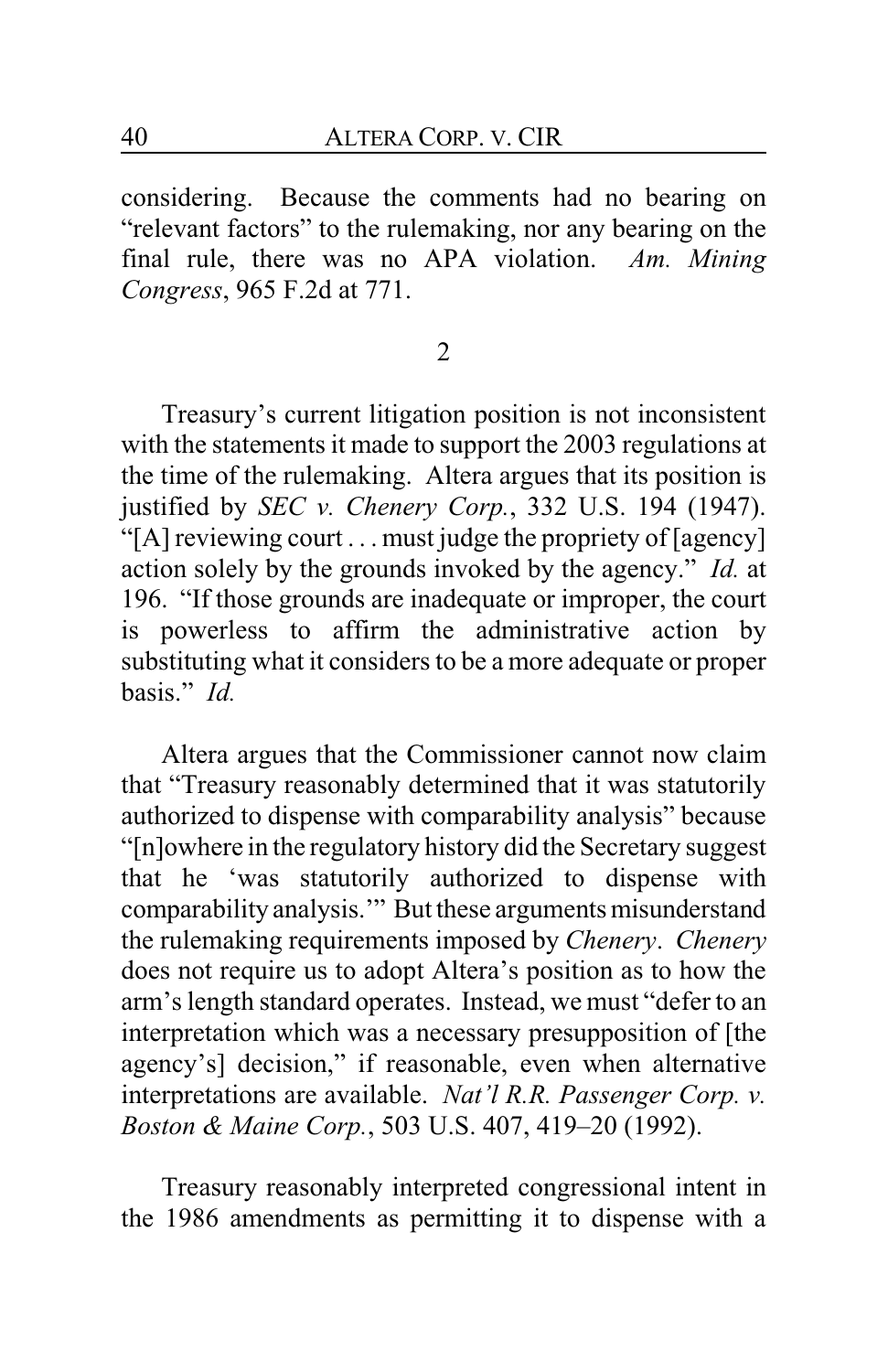considering. Because the comments had no bearing on "relevant factors" to the rulemaking, nor any bearing on the final rule, there was no APA violation. *Am. Mining Congress*, 965 F.2d at 771.

2

Treasury's current litigation position is not inconsistent with the statements it made to support the 2003 regulations at the time of the rulemaking. Altera argues that its position is justified by *SEC v. Chenery Corp.*, 332 U.S. 194 (1947). "[A] reviewing court . . . must judge the propriety of [agency] action solely by the grounds invoked by the agency." *Id.* at 196. "If those grounds are inadequate or improper, the court is powerless to affirm the administrative action by substituting what it considers to be a more adequate or proper basis." *Id.*

Altera argues that the Commissioner cannot now claim that "Treasury reasonably determined that it was statutorily authorized to dispense with comparability analysis" because "[n]owhere in the regulatory history did the Secretary suggest that he 'was statutorily authorized to dispense with comparability analysis.'" But these arguments misunderstand the rulemaking requirements imposed by *Chenery*. *Chenery* does not require us to adopt Altera's position as to how the arm's length standard operates. Instead, we must "defer to an interpretation which was a necessary presupposition of [the agency's] decision," if reasonable, even when alternative interpretations are available. *Nat'l R.R. Passenger Corp. v. Boston & Maine Corp.*, 503 U.S. 407, 419–20 (1992).

Treasury reasonably interpreted congressional intent in the 1986 amendments as permitting it to dispense with a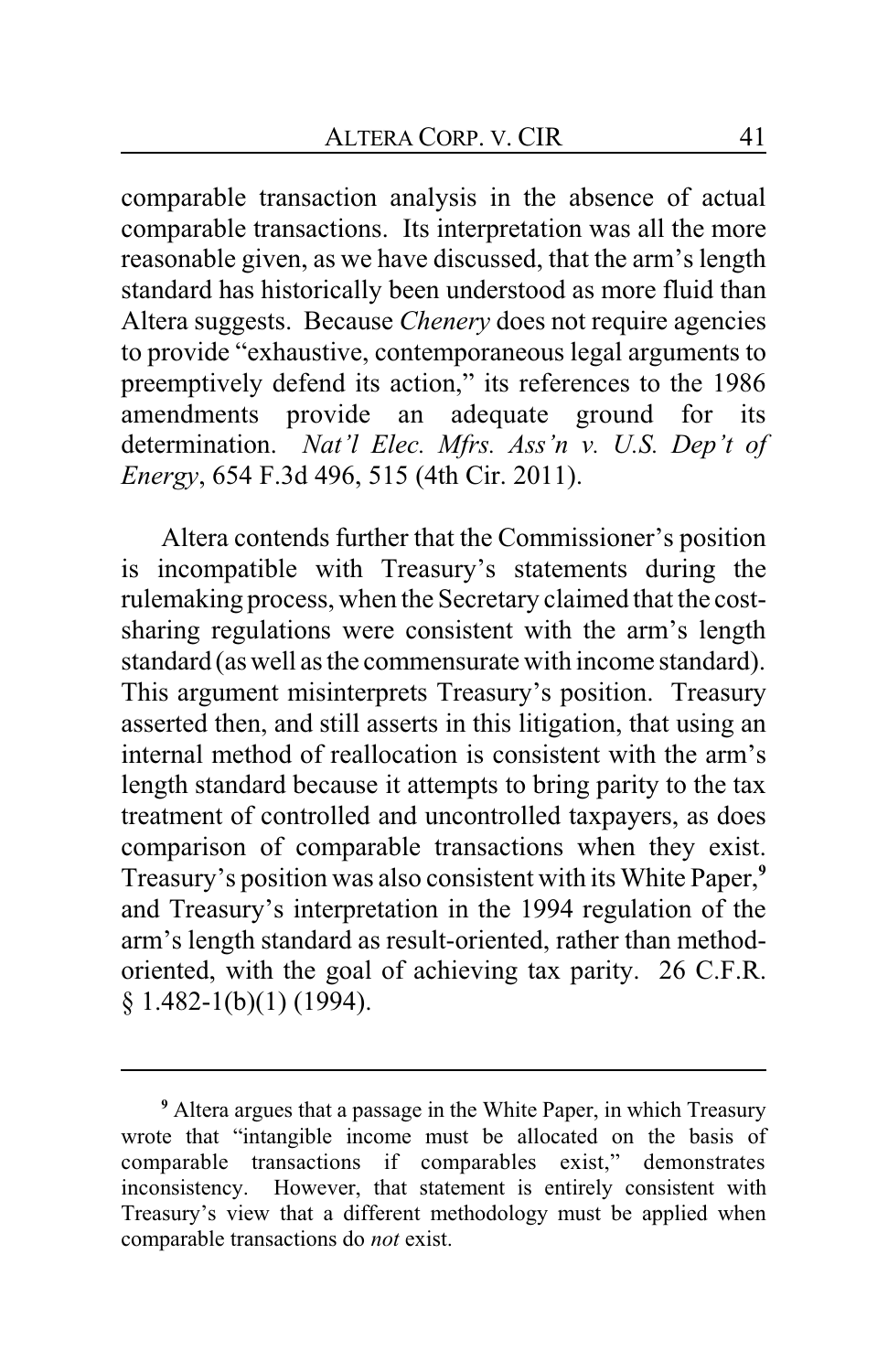comparable transaction analysis in the absence of actual comparable transactions. Its interpretation was all the more reasonable given, as we have discussed, that the arm's length standard has historically been understood as more fluid than Altera suggests. Because *Chenery* does not require agencies to provide "exhaustive, contemporaneous legal arguments to preemptively defend its action," its references to the 1986 amendments provide an adequate ground for its determination. *Nat'l Elec. Mfrs. Ass'n v. U.S. Dep't of Energy*, 654 F.3d 496, 515 (4th Cir. 2011).

Altera contends further that the Commissioner's position is incompatible with Treasury's statements during the rulemaking process, when the Secretary claimed that the costsharing regulations were consistent with the arm's length standard (as well as the commensurate with income standard). This argument misinterprets Treasury's position. Treasury asserted then, and still asserts in this litigation, that using an internal method of reallocation is consistent with the arm's length standard because it attempts to bring parity to the tax treatment of controlled and uncontrolled taxpayers, as does comparison of comparable transactions when they exist. Treasury's position was also consistent with its White Paper,**<sup>9</sup>** and Treasury's interpretation in the 1994 regulation of the arm's length standard as result-oriented, rather than methodoriented, with the goal of achieving tax parity. 26 C.F.R.  $§ 1.482-1(b)(1) (1994).$ 

**<sup>9</sup>** Altera argues that a passage in the White Paper, in which Treasury wrote that "intangible income must be allocated on the basis of comparable transactions if comparables exist," demonstrates inconsistency. However, that statement is entirely consistent with Treasury's view that a different methodology must be applied when comparable transactions do *not* exist.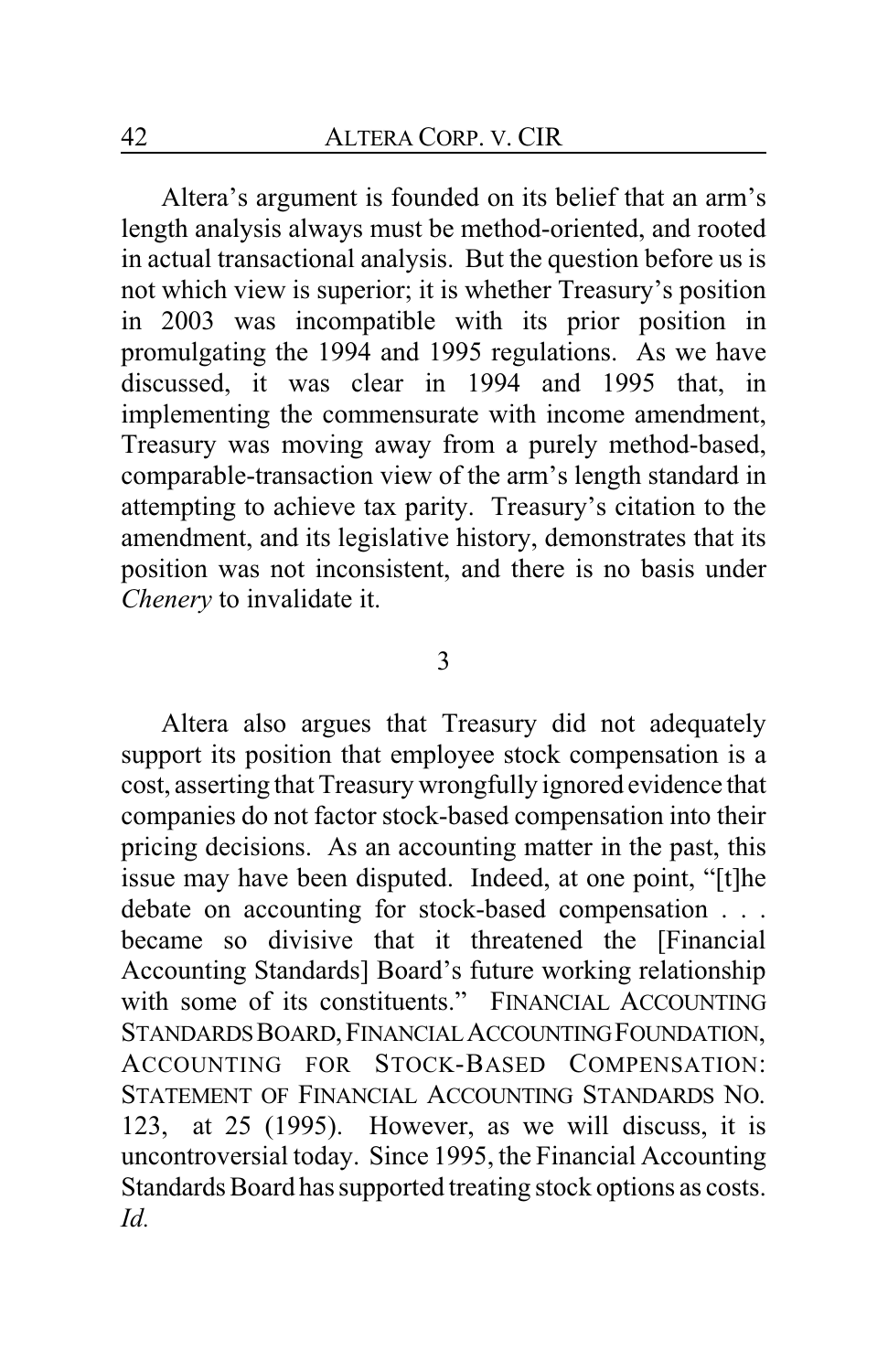Altera's argument is founded on its belief that an arm's length analysis always must be method-oriented, and rooted in actual transactional analysis. But the question before us is not which view is superior; it is whether Treasury's position in 2003 was incompatible with its prior position in promulgating the 1994 and 1995 regulations. As we have discussed, it was clear in 1994 and 1995 that, in implementing the commensurate with income amendment, Treasury was moving away from a purely method-based, comparable-transaction view of the arm's length standard in attempting to achieve tax parity. Treasury's citation to the amendment, and its legislative history, demonstrates that its position was not inconsistent, and there is no basis under *Chenery* to invalidate it.

#### 3

Altera also argues that Treasury did not adequately support its position that employee stock compensation is a cost, asserting that Treasury wrongfully ignored evidence that companies do not factor stock-based compensation into their pricing decisions. As an accounting matter in the past, this issue may have been disputed. Indeed, at one point, "[t]he debate on accounting for stock-based compensation . . . became so divisive that it threatened the [Financial Accounting Standards] Board's future working relationship with some of its constituents." FINANCIAL ACCOUNTING STANDARDS BOARD, FINANCIAL ACCOUNTING FOUNDATION, ACCOUNTING FOR STOCK-BASED COMPENSATION: STATEMENT OF FINANCIAL ACCOUNTING STANDARDS NO. 123, at 25 (1995). However, as we will discuss, it is uncontroversial today. Since 1995, the Financial Accounting Standards Board has supported treating stock options as costs. *Id.*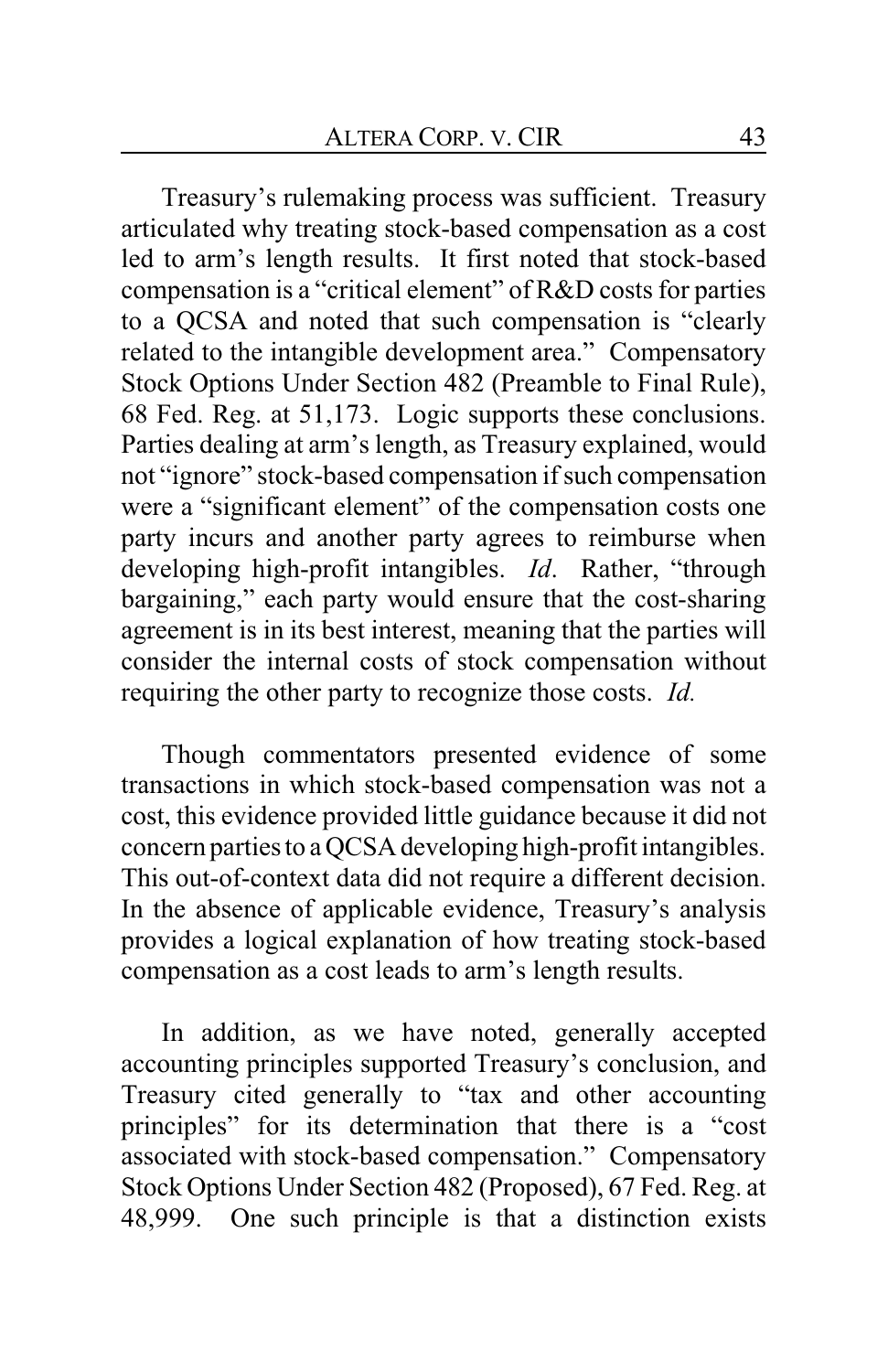Treasury's rulemaking process was sufficient. Treasury articulated why treating stock-based compensation as a cost led to arm's length results. It first noted that stock-based compensation is a "critical element" of R&D costs for parties to a QCSA and noted that such compensation is "clearly related to the intangible development area." Compensatory Stock Options Under Section 482 (Preamble to Final Rule), 68 Fed. Reg. at 51,173. Logic supports these conclusions. Parties dealing at arm's length, as Treasury explained, would not "ignore" stock-based compensation if such compensation were a "significant element" of the compensation costs one party incurs and another party agrees to reimburse when developing high-profit intangibles. *Id*. Rather, "through bargaining," each party would ensure that the cost-sharing agreement is in its best interest, meaning that the parties will consider the internal costs of stock compensation without requiring the other party to recognize those costs. *Id.*

Though commentators presented evidence of some transactions in which stock-based compensation was not a cost, this evidence provided little guidance because it did not concern parties to a QCSA developing high-profit intangibles. This out-of-context data did not require a different decision. In the absence of applicable evidence, Treasury's analysis provides a logical explanation of how treating stock-based compensation as a cost leads to arm's length results.

In addition, as we have noted, generally accepted accounting principles supported Treasury's conclusion, and Treasury cited generally to "tax and other accounting principles" for its determination that there is a "cost associated with stock-based compensation." Compensatory Stock Options Under Section 482 (Proposed), 67 Fed. Reg. at 48,999. One such principle is that a distinction exists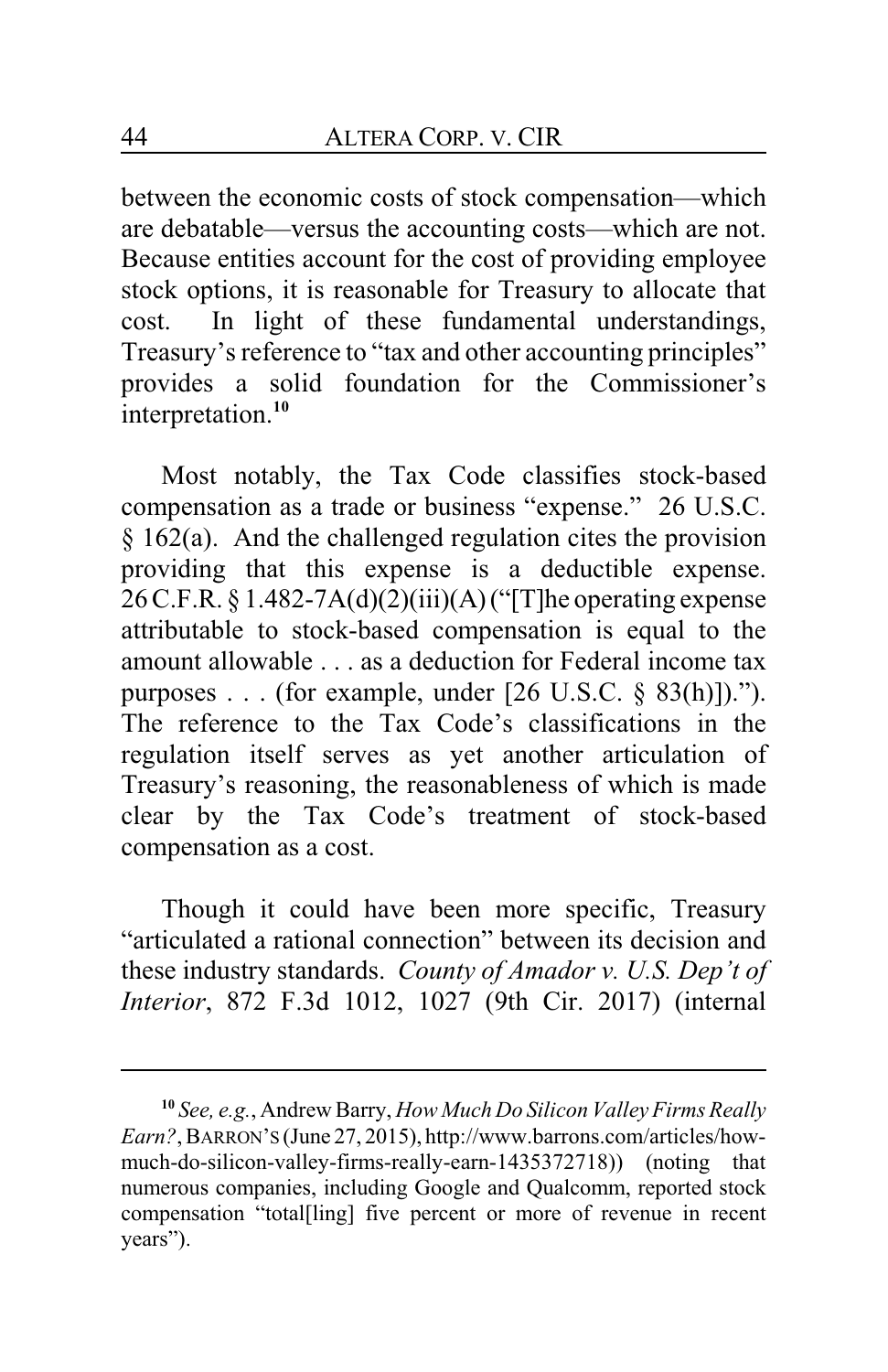between the economic costs of stock compensation—which are debatable—versus the accounting costs—which are not. Because entities account for the cost of providing employee stock options, it is reasonable for Treasury to allocate that cost. In light of these fundamental understandings, Treasury's reference to "tax and other accounting principles" provides a solid foundation for the Commissioner's interpretation.**<sup>10</sup>**

Most notably, the Tax Code classifies stock-based compensation as a trade or business "expense." 26 U.S.C.  $§$  162(a). And the challenged regulation cites the provision providing that this expense is a deductible expense.  $26$  C.F.R. § 1.482-7A(d)(2)(iii)(A) ("[T]he operating expense attributable to stock-based compensation is equal to the amount allowable . . . as a deduction for Federal income tax purposes . . . (for example, under [26 U.S.C. § 83(h)])."). The reference to the Tax Code's classifications in the regulation itself serves as yet another articulation of Treasury's reasoning, the reasonableness of which is made clear by the Tax Code's treatment of stock-based compensation as a cost.

Though it could have been more specific, Treasury "articulated a rational connection" between its decision and these industry standards. *County of Amador v. U.S. Dep't of Interior*, 872 F.3d 1012, 1027 (9th Cir. 2017) (internal

**<sup>10</sup>** *See, e.g.*, Andrew Barry, *How Much Do Silicon Valley Firms Really Earn?*, BARRON'S (June 27, 2015), http://www.barrons.com/articles/howmuch-do-silicon-valley-firms-really-earn-1435372718)) (noting that numerous companies, including Google and Qualcomm, reported stock compensation "total[ling] five percent or more of revenue in recent years").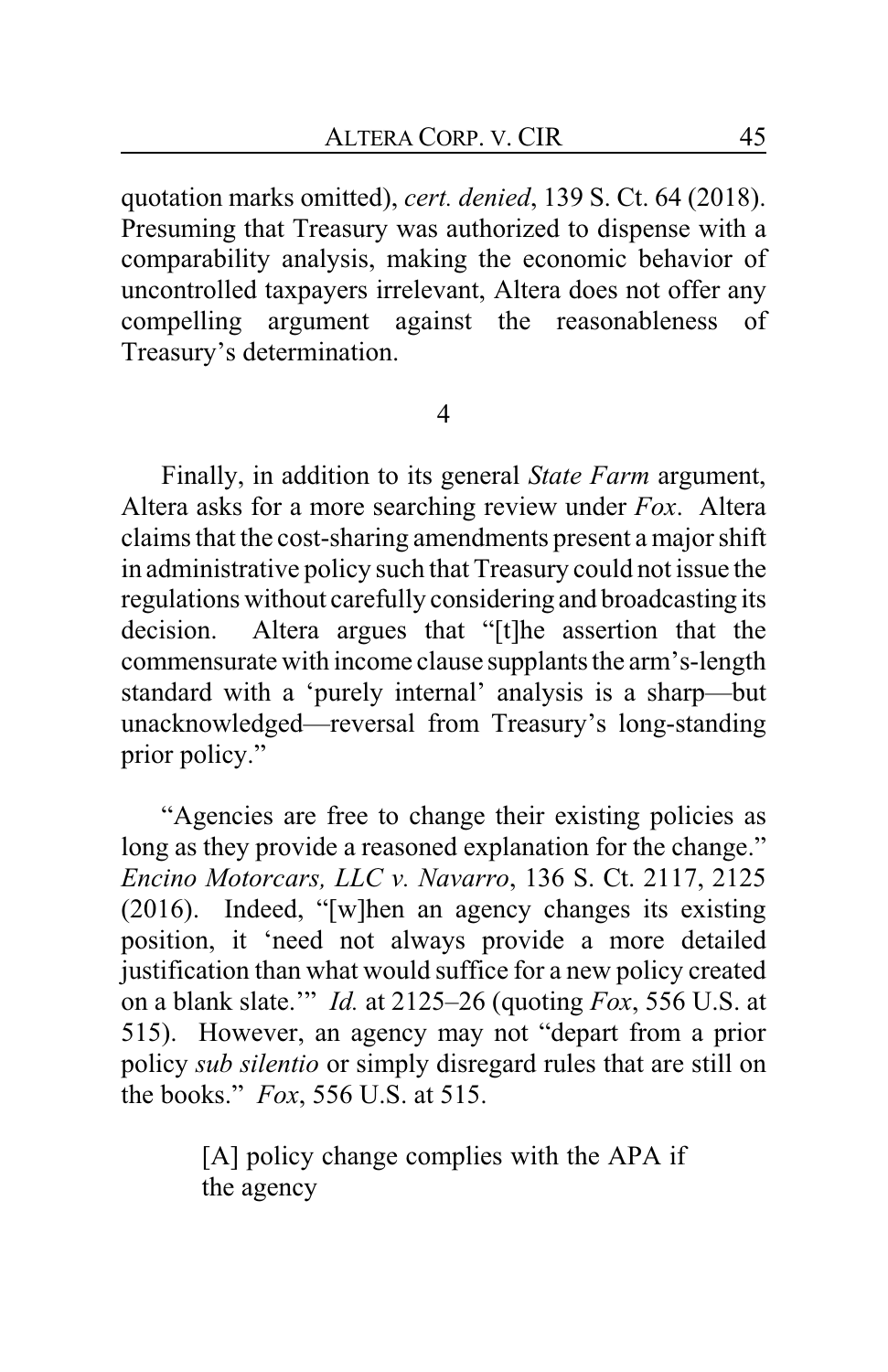quotation marks omitted), *cert. denied*, 139 S. Ct. 64 (2018). Presuming that Treasury was authorized to dispense with a comparability analysis, making the economic behavior of uncontrolled taxpayers irrelevant, Altera does not offer any compelling argument against the reasonableness of Treasury's determination.

4

Finally, in addition to its general *State Farm* argument, Altera asks for a more searching review under *Fox*. Altera claims that the cost-sharing amendments present a major shift in administrative policy such that Treasury could not issue the regulations without carefully considering and broadcasting its decision. Altera argues that "[t]he assertion that the commensurate with income clause supplants the arm's-length standard with a 'purely internal' analysis is a sharp—but unacknowledged—reversal from Treasury's long-standing prior policy."

"Agencies are free to change their existing policies as long as they provide a reasoned explanation for the change." *Encino Motorcars, LLC v. Navarro*, 136 S. Ct. 2117, 2125 (2016). Indeed, "[w]hen an agency changes its existing position, it 'need not always provide a more detailed justification than what would suffice for a new policy created on a blank slate.'" *Id.* at 2125–26 (quoting *Fox*, 556 U.S. at 515). However, an agency may not "depart from a prior policy *sub silentio* or simply disregard rules that are still on the books." *Fox*, 556 U.S. at 515.

> [A] policy change complies with the APA if the agency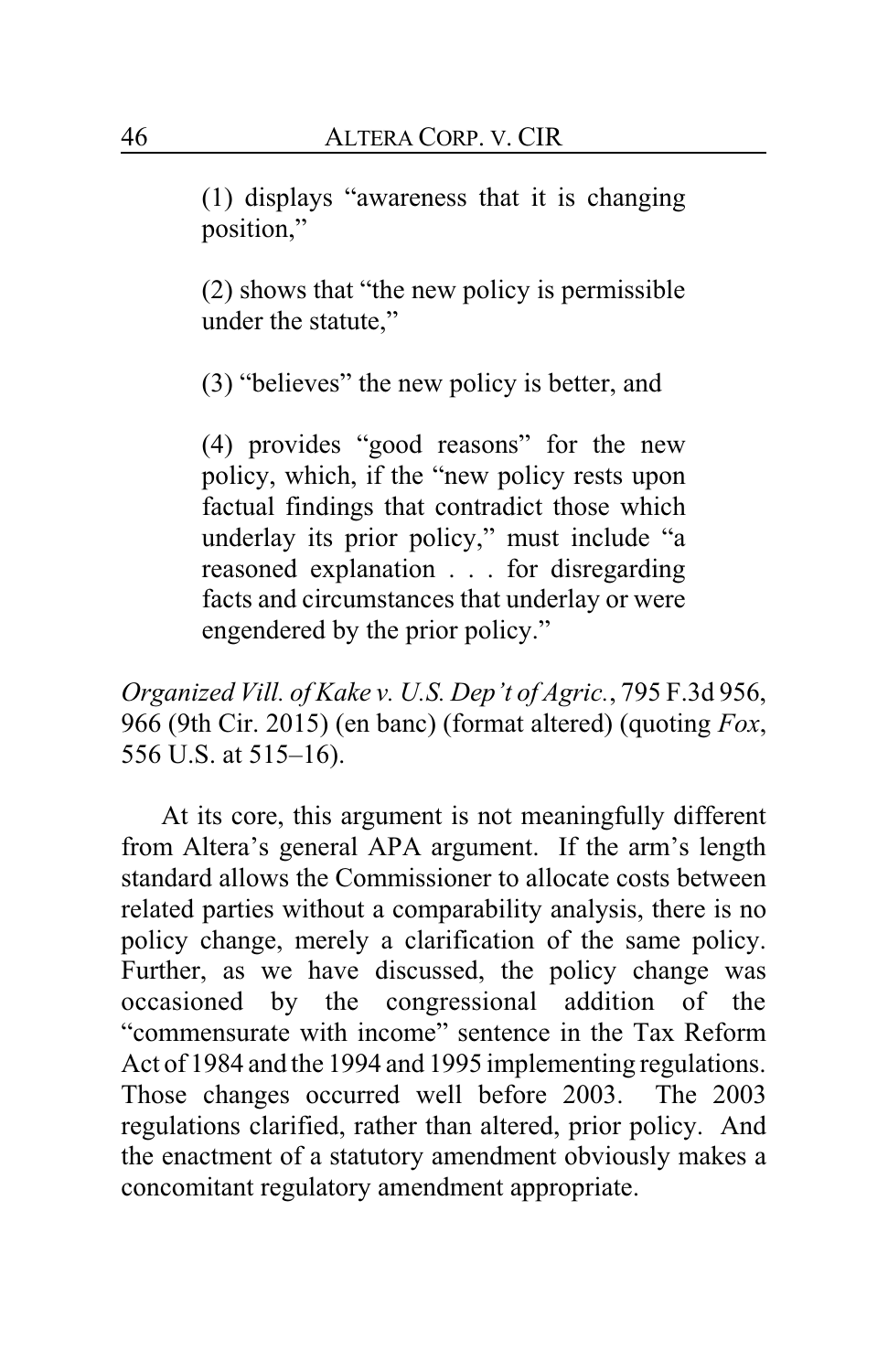(1) displays "awareness that it is changing position,"

(2) shows that "the new policy is permissible under the statute,"

(3) "believes" the new policy is better, and

(4) provides "good reasons" for the new policy, which, if the "new policy rests upon factual findings that contradict those which underlay its prior policy," must include "a reasoned explanation . . . for disregarding facts and circumstances that underlay or were engendered by the prior policy."

*Organized Vill. of Kake v. U.S. Dep't of Agric.*, 795 F.3d 956, 966 (9th Cir. 2015) (en banc) (format altered) (quoting *Fox*, 556 U.S. at 515–16).

At its core, this argument is not meaningfully different from Altera's general APA argument. If the arm's length standard allows the Commissioner to allocate costs between related parties without a comparability analysis, there is no policy change, merely a clarification of the same policy. Further, as we have discussed, the policy change was occasioned by the congressional addition of the "commensurate with income" sentence in the Tax Reform Act of 1984 and the 1994 and 1995 implementing regulations. Those changes occurred well before 2003. The 2003 regulations clarified, rather than altered, prior policy. And the enactment of a statutory amendment obviously makes a concomitant regulatory amendment appropriate.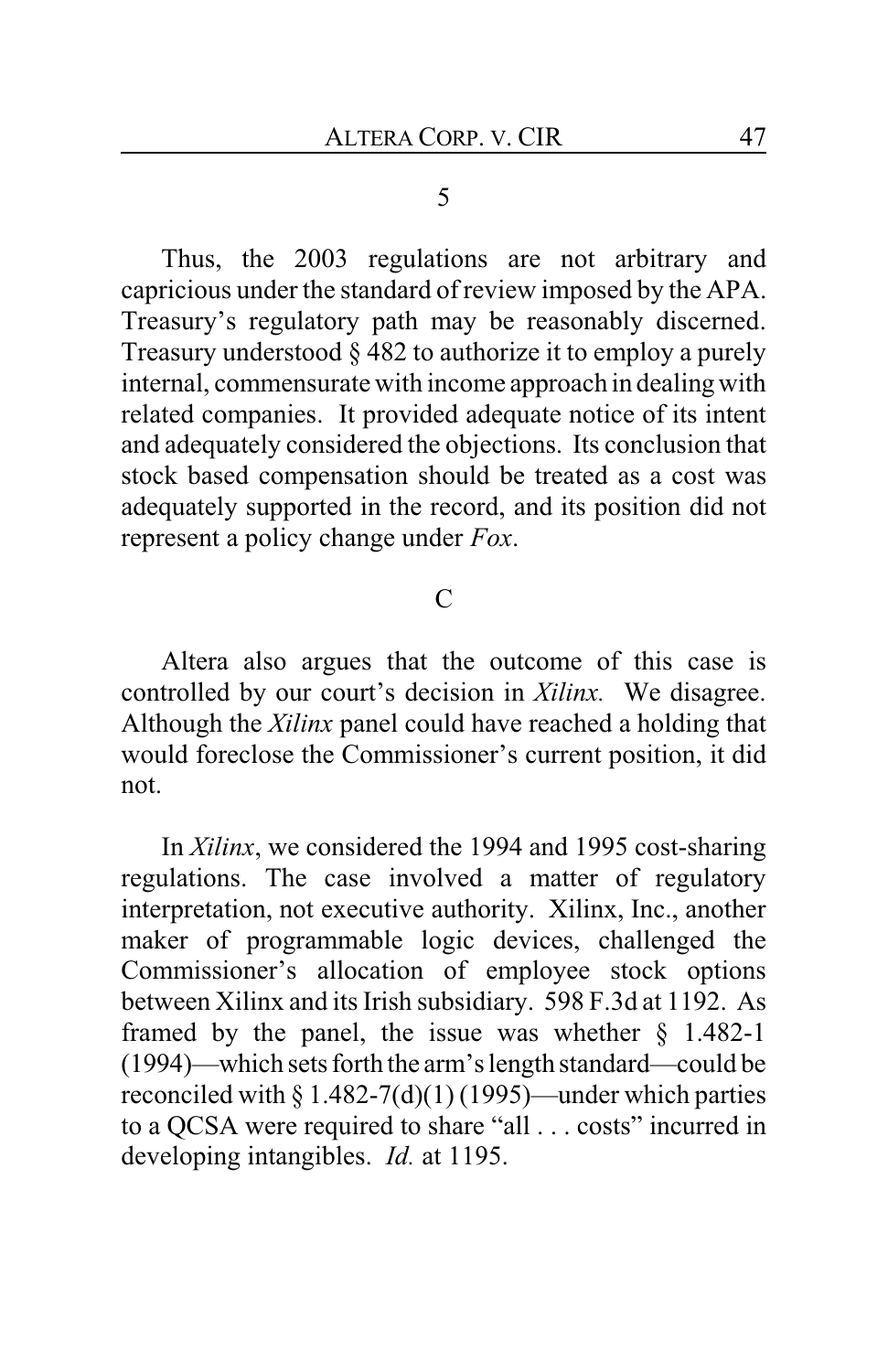5

Thus, the 2003 regulations are not arbitrary and capricious under the standard of review imposed by the APA. Treasury's regulatory path may be reasonably discerned. Treasury understood § 482 to authorize it to employ a purely internal, commensurate with income approach in dealing with related companies. It provided adequate notice of its intent and adequately considered the objections. Its conclusion that stock based compensation should be treated as a cost was adequately supported in the record, and its position did not represent a policy change under *Fox*.

## $\mathcal{C}$

Altera also argues that the outcome of this case is controlled by our court's decision in *Xilinx.* We disagree. Although the *Xilinx* panel could have reached a holding that would foreclose the Commissioner's current position, it did not.

In *Xilinx*, we considered the 1994 and 1995 cost-sharing regulations. The case involved a matter of regulatory interpretation, not executive authority. Xilinx, Inc., another maker of programmable logic devices, challenged the Commissioner's allocation of employee stock options between Xilinx and its Irish subsidiary. 598 F.3d at 1192. As framed by the panel, the issue was whether  $\S$  1.482-1 (1994)—which sets forth the arm's length standard—could be reconciled with  $\S 1.482-7(d)(1)(1995)$ —under which parties to a QCSA were required to share "all . . . costs" incurred in developing intangibles. *Id.* at 1195.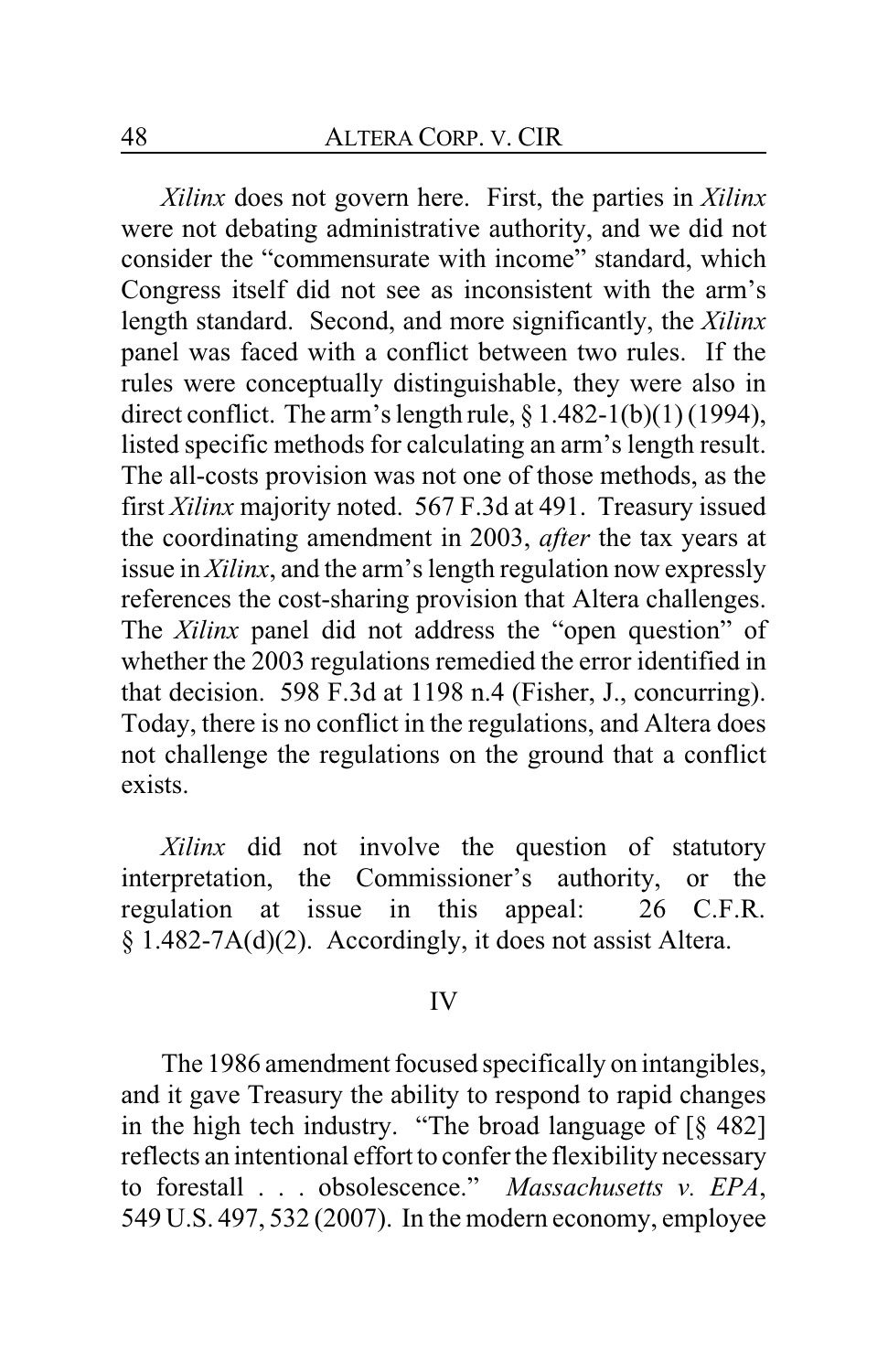*Xilinx* does not govern here. First, the parties in *Xilinx* were not debating administrative authority, and we did not consider the "commensurate with income" standard, which Congress itself did not see as inconsistent with the arm's length standard. Second, and more significantly, the *Xilinx* panel was faced with a conflict between two rules. If the rules were conceptually distinguishable, they were also in direct conflict. The arm's length rule,  $\frac{8}{1.482 - 1(b)(1)(1994)}$ , listed specific methods for calculating an arm's length result. The all-costs provision was not one of those methods, as the first *Xilinx* majority noted. 567 F.3d at 491. Treasury issued the coordinating amendment in 2003, *after* the tax years at issue in *Xilinx*, and the arm's length regulation now expressly references the cost-sharing provision that Altera challenges. The *Xilinx* panel did not address the "open question" of whether the 2003 regulations remedied the error identified in that decision. 598 F.3d at 1198 n.4 (Fisher, J., concurring). Today, there is no conflict in the regulations, and Altera does not challenge the regulations on the ground that a conflict exists.

*Xilinx* did not involve the question of statutory interpretation, the Commissioner's authority, or the regulation at issue in this appeal: 26 C.F.R. § 1.482-7A(d)(2). Accordingly, it does not assist Altera.

#### IV

The 1986 amendment focused specifically on intangibles, and it gave Treasury the ability to respond to rapid changes in the high tech industry. "The broad language of [§ 482] reflects an intentional effort to confer the flexibility necessary to forestall . . . obsolescence." *Massachusetts v. EPA*, 549 U.S. 497, 532 (2007). In the modern economy, employee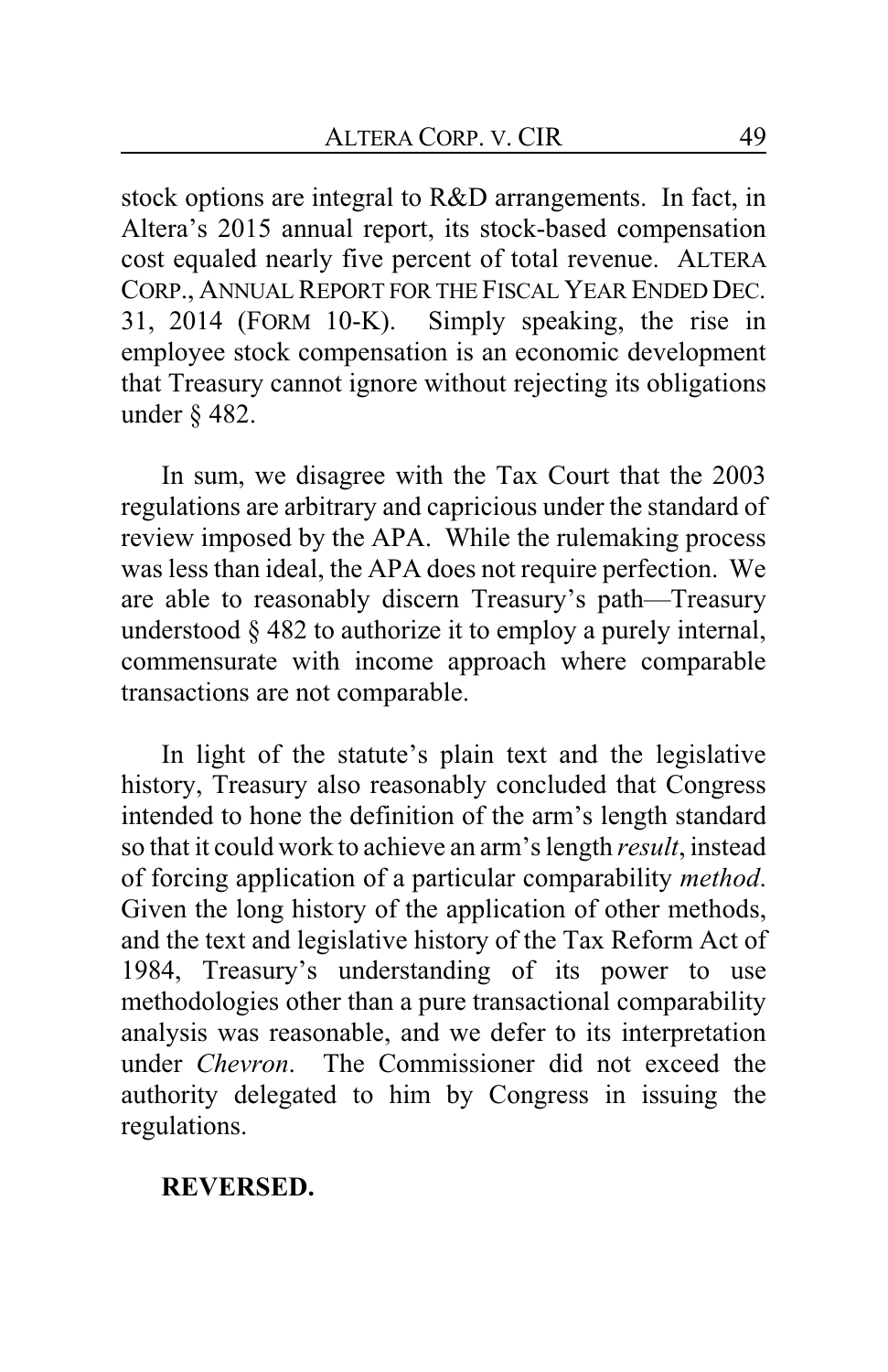stock options are integral to R&D arrangements. In fact, in Altera's 2015 annual report, its stock-based compensation cost equaled nearly five percent of total revenue. ALTERA CORP., ANNUAL REPORT FOR THE FISCAL YEAR ENDED DEC. 31, 2014 (FORM 10-K). Simply speaking, the rise in employee stock compensation is an economic development that Treasury cannot ignore without rejecting its obligations under § 482.

In sum, we disagree with the Tax Court that the 2003 regulations are arbitrary and capricious under the standard of review imposed by the APA. While the rulemaking process was less than ideal, the APA does not require perfection. We are able to reasonably discern Treasury's path—Treasury understood § 482 to authorize it to employ a purely internal, commensurate with income approach where comparable transactions are not comparable.

In light of the statute's plain text and the legislative history, Treasury also reasonably concluded that Congress intended to hone the definition of the arm's length standard so that it could work to achieve an arm's length *result*, instead of forcing application of a particular comparability *method*. Given the long history of the application of other methods, and the text and legislative history of the Tax Reform Act of 1984, Treasury's understanding of its power to use methodologies other than a pure transactional comparability analysis was reasonable, and we defer to its interpretation under *Chevron*. The Commissioner did not exceed the authority delegated to him by Congress in issuing the regulations.

### **REVERSED.**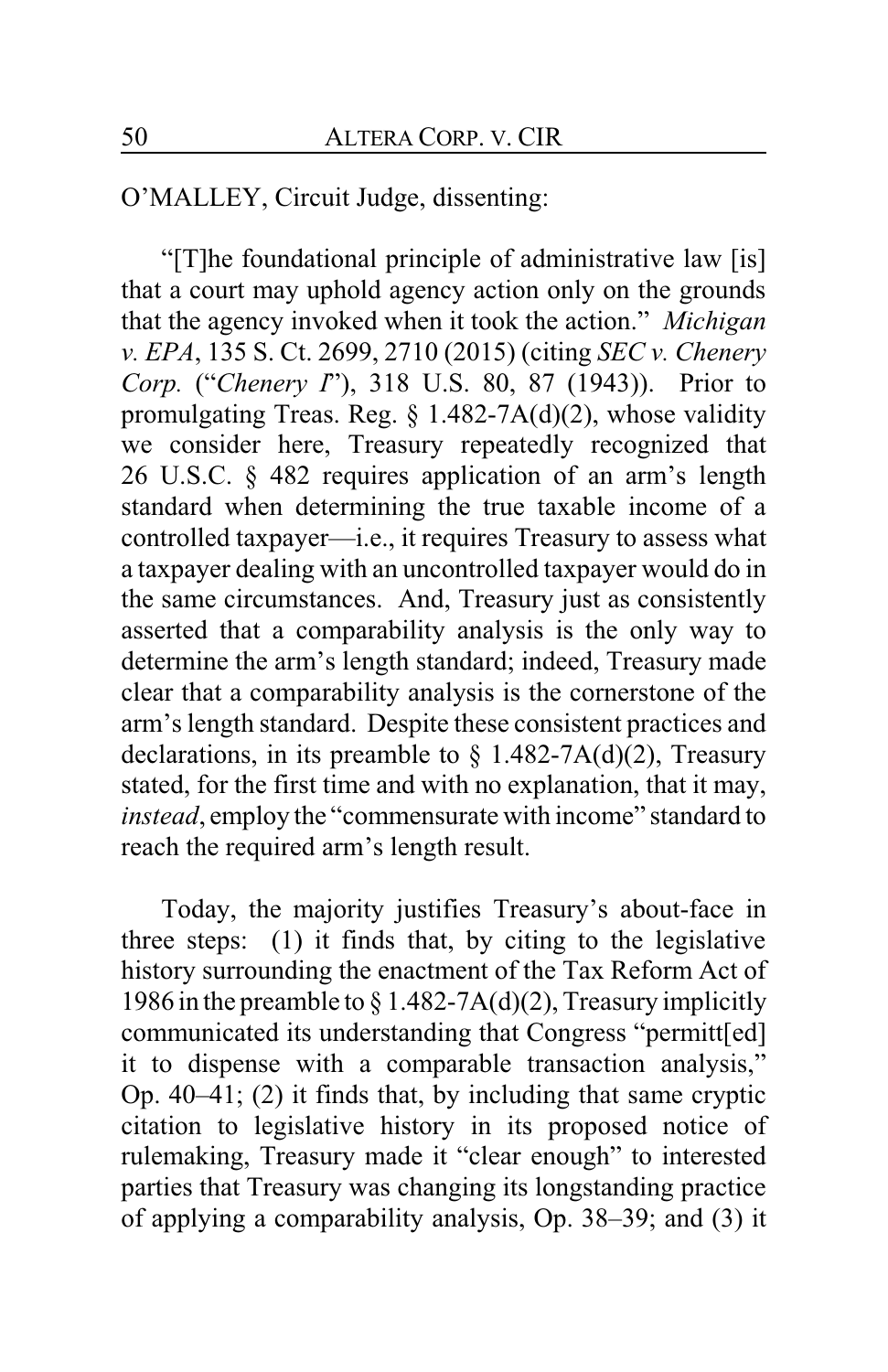O'MALLEY, Circuit Judge, dissenting:

"[T]he foundational principle of administrative law [is] that a court may uphold agency action only on the grounds that the agency invoked when it took the action." *Michigan v. EPA*, 135 S. Ct. 2699, 2710 (2015) (citing *SEC v. Chenery Corp.* ("*Chenery I*"), 318 U.S. 80, 87 (1943)). Prior to promulgating Treas. Reg. § 1.482-7A(d)(2), whose validity we consider here, Treasury repeatedly recognized that 26 U.S.C. § 482 requires application of an arm's length standard when determining the true taxable income of a controlled taxpayer—i.e., it requires Treasury to assess what a taxpayer dealing with an uncontrolled taxpayer would do in the same circumstances. And, Treasury just as consistently asserted that a comparability analysis is the only way to determine the arm's length standard; indeed, Treasury made clear that a comparability analysis is the cornerstone of the arm's length standard. Despite these consistent practices and declarations, in its preamble to  $\S$  1.482-7A(d)(2), Treasury stated, for the first time and with no explanation, that it may, *instead*, employ the "commensurate with income" standard to reach the required arm's length result.

Today, the majority justifies Treasury's about-face in three steps: (1) it finds that, by citing to the legislative history surrounding the enactment of the Tax Reform Act of 1986 in the preamble to  $\S 1.482-7A(d)(2)$ , Treasury implicitly communicated its understanding that Congress "permitt[ed] it to dispense with a comparable transaction analysis," Op. 40–41; (2) it finds that, by including that same cryptic citation to legislative history in its proposed notice of rulemaking, Treasury made it "clear enough" to interested parties that Treasury was changing its longstanding practice of applying a comparability analysis, Op. 38–39; and (3) it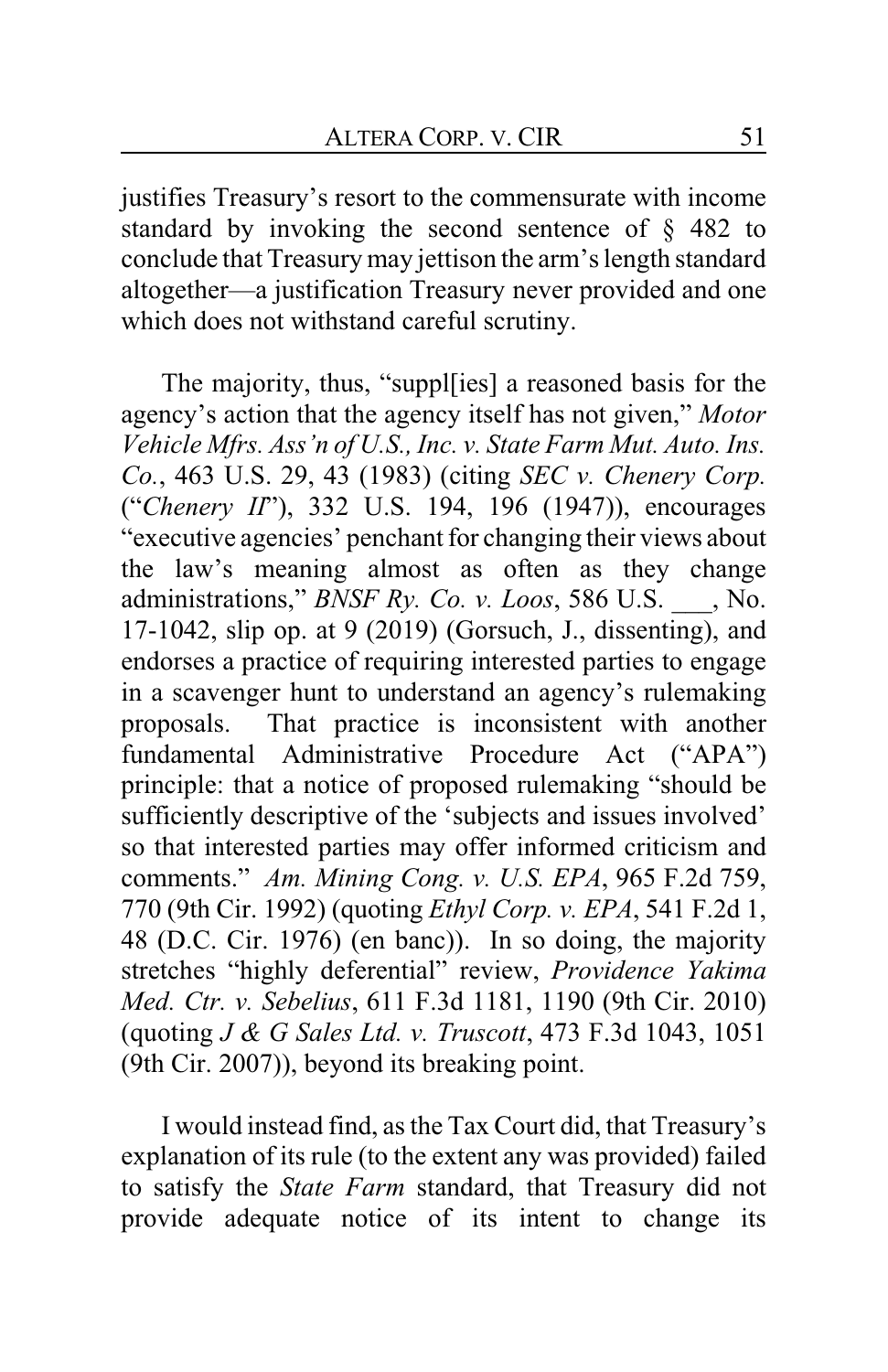justifies Treasury's resort to the commensurate with income standard by invoking the second sentence of § 482 to conclude that Treasury may jettison the arm's length standard altogether—a justification Treasury never provided and one which does not withstand careful scrutiny.

The majority, thus, "suppl[ies] a reasoned basis for the agency's action that the agency itself has not given," *Motor Vehicle Mfrs. Ass'n of U.S., Inc. v. State Farm Mut. Auto. Ins. Co.*, 463 U.S. 29, 43 (1983) (citing *SEC v. Chenery Corp.* ("*Chenery II*"), 332 U.S. 194, 196 (1947)), encourages "executive agencies' penchant for changing their views about the law's meaning almost as often as they change administrations," *BNSF Ry. Co. v. Loos*, 586 U.S. \_\_\_, No. 17-1042, slip op. at 9 (2019) (Gorsuch, J., dissenting), and endorses a practice of requiring interested parties to engage in a scavenger hunt to understand an agency's rulemaking proposals. That practice is inconsistent with another fundamental Administrative Procedure Act ("APA") principle: that a notice of proposed rulemaking "should be sufficiently descriptive of the 'subjects and issues involved' so that interested parties may offer informed criticism and comments." *Am. Mining Cong. v. U.S. EPA*, 965 F.2d 759, 770 (9th Cir. 1992) (quoting *Ethyl Corp. v. EPA*, 541 F.2d 1, 48 (D.C. Cir. 1976) (en banc)). In so doing, the majority stretches "highly deferential" review, *Providence Yakima Med. Ctr. v. Sebelius*, 611 F.3d 1181, 1190 (9th Cir. 2010) (quoting *J & G Sales Ltd. v. Truscott*, 473 F.3d 1043, 1051 (9th Cir. 2007)), beyond its breaking point.

I would instead find, as the Tax Court did, that Treasury's explanation of its rule (to the extent any was provided) failed to satisfy the *State Farm* standard, that Treasury did not provide adequate notice of its intent to change its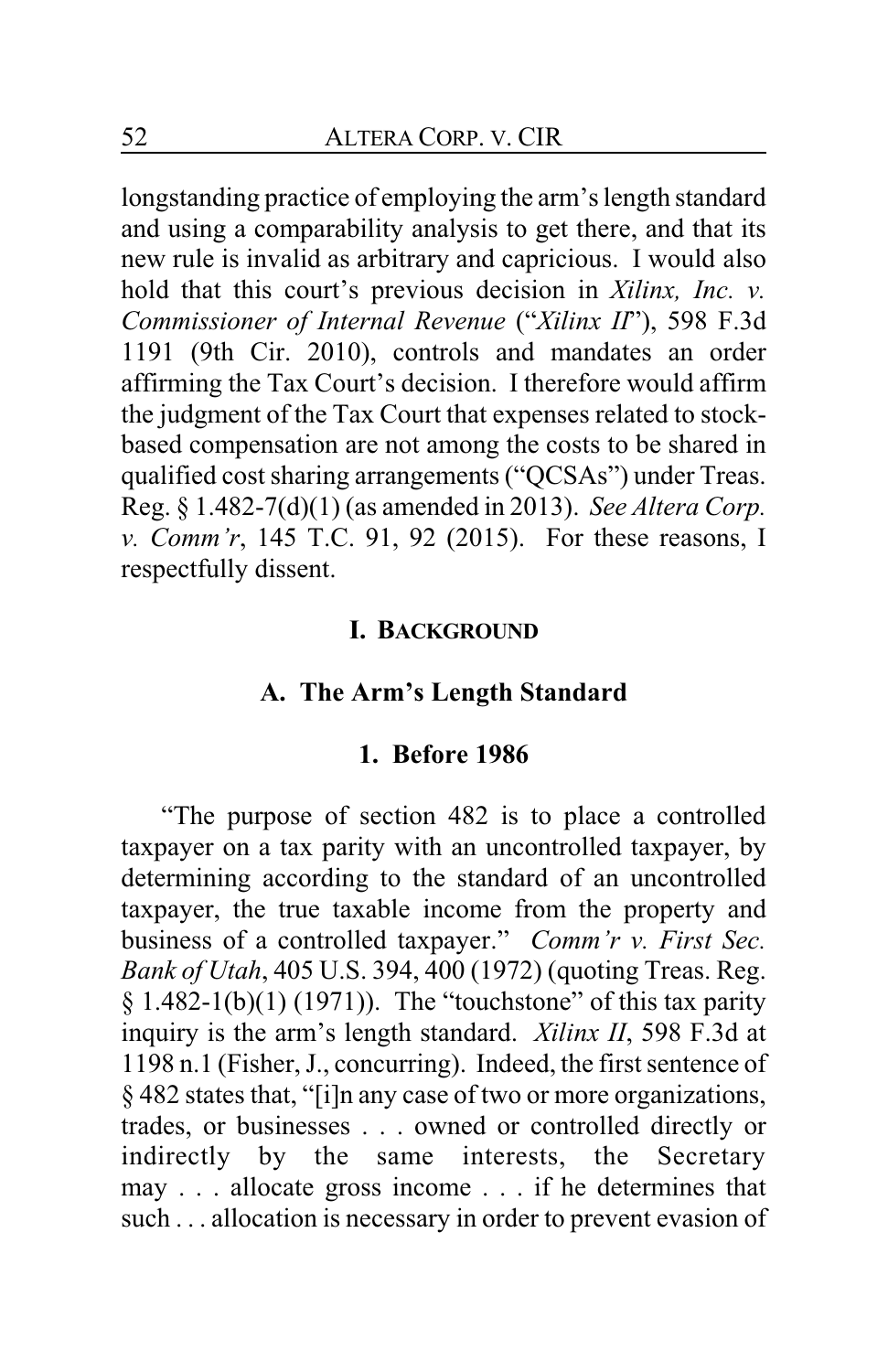longstanding practice of employing the arm's length standard and using a comparability analysis to get there, and that its new rule is invalid as arbitrary and capricious. I would also hold that this court's previous decision in *Xilinx, Inc. v. Commissioner of Internal Revenue* ("*Xilinx II*"), 598 F.3d 1191 (9th Cir. 2010), controls and mandates an order affirming the Tax Court's decision. I therefore would affirm the judgment of the Tax Court that expenses related to stockbased compensation are not among the costs to be shared in qualified cost sharing arrangements ("QCSAs") under Treas. Reg. § 1.482-7(d)(1) (as amended in 2013). *See Altera Corp. v. Comm'r*, 145 T.C. 91, 92 (2015). For these reasons, I respectfully dissent.

### **I. BACKGROUND**

# **A. The Arm's Length Standard**

### **1. Before 1986**

"The purpose of section 482 is to place a controlled taxpayer on a tax parity with an uncontrolled taxpayer, by determining according to the standard of an uncontrolled taxpayer, the true taxable income from the property and business of a controlled taxpayer." *Comm'r v. First Sec. Bank of Utah*, 405 U.S. 394, 400 (1972) (quoting Treas. Reg.  $§$  1.482-1(b)(1) (1971)). The "touchstone" of this tax parity inquiry is the arm's length standard. *Xilinx II*, 598 F.3d at 1198 n.1 (Fisher, J., concurring). Indeed, the first sentence of § 482 states that, "[i]n any case of two or more organizations, trades, or businesses . . . owned or controlled directly or indirectly by the same interests, the Secretary may . . . allocate gross income . . . if he determines that such . . . allocation is necessary in order to prevent evasion of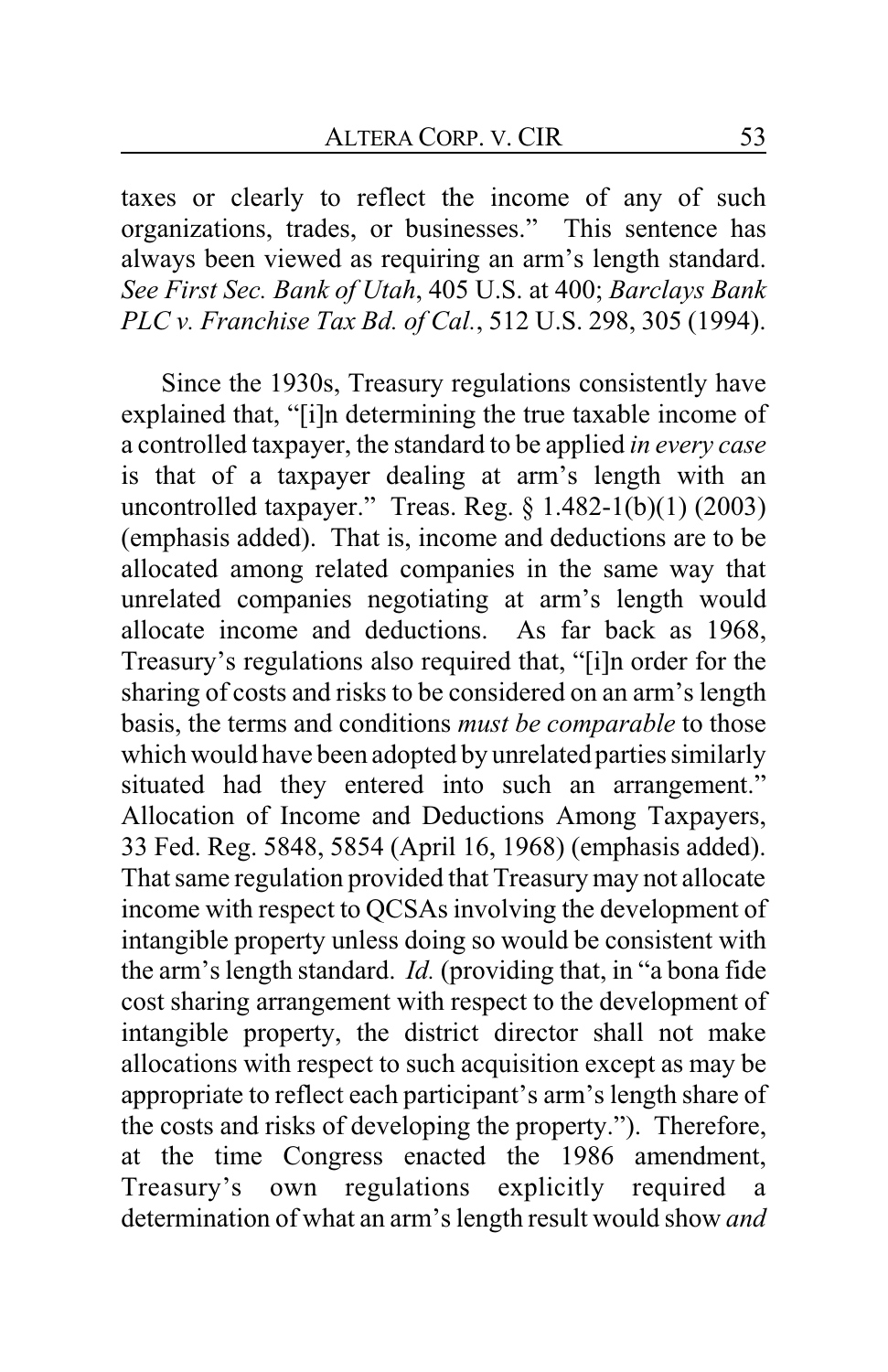taxes or clearly to reflect the income of any of such organizations, trades, or businesses." This sentence has always been viewed as requiring an arm's length standard. *See First Sec. Bank of Utah*, 405 U.S. at 400; *Barclays Bank PLC v. Franchise Tax Bd. of Cal.*, 512 U.S. 298, 305 (1994).

Since the 1930s, Treasury regulations consistently have explained that, "[i]n determining the true taxable income of a controlled taxpayer, the standard to be applied *in every case* is that of a taxpayer dealing at arm's length with an uncontrolled taxpayer." Treas. Reg.  $\S$  1.482-1(b)(1) (2003) (emphasis added). That is, income and deductions are to be allocated among related companies in the same way that unrelated companies negotiating at arm's length would allocate income and deductions. As far back as 1968, Treasury's regulations also required that, "[i]n order for the sharing of costs and risks to be considered on an arm's length basis, the terms and conditions *must be comparable* to those which would have been adopted by unrelated parties similarly situated had they entered into such an arrangement." Allocation of Income and Deductions Among Taxpayers, 33 Fed. Reg. 5848, 5854 (April 16, 1968) (emphasis added). That same regulation provided that Treasury may not allocate income with respect to QCSAs involving the development of intangible property unless doing so would be consistent with the arm's length standard. *Id.* (providing that, in "a bona fide cost sharing arrangement with respect to the development of intangible property, the district director shall not make allocations with respect to such acquisition except as may be appropriate to reflect each participant's arm's length share of the costs and risks of developing the property."). Therefore, at the time Congress enacted the 1986 amendment, Treasury's own regulations explicitly required a determination of what an arm's length result would show *and*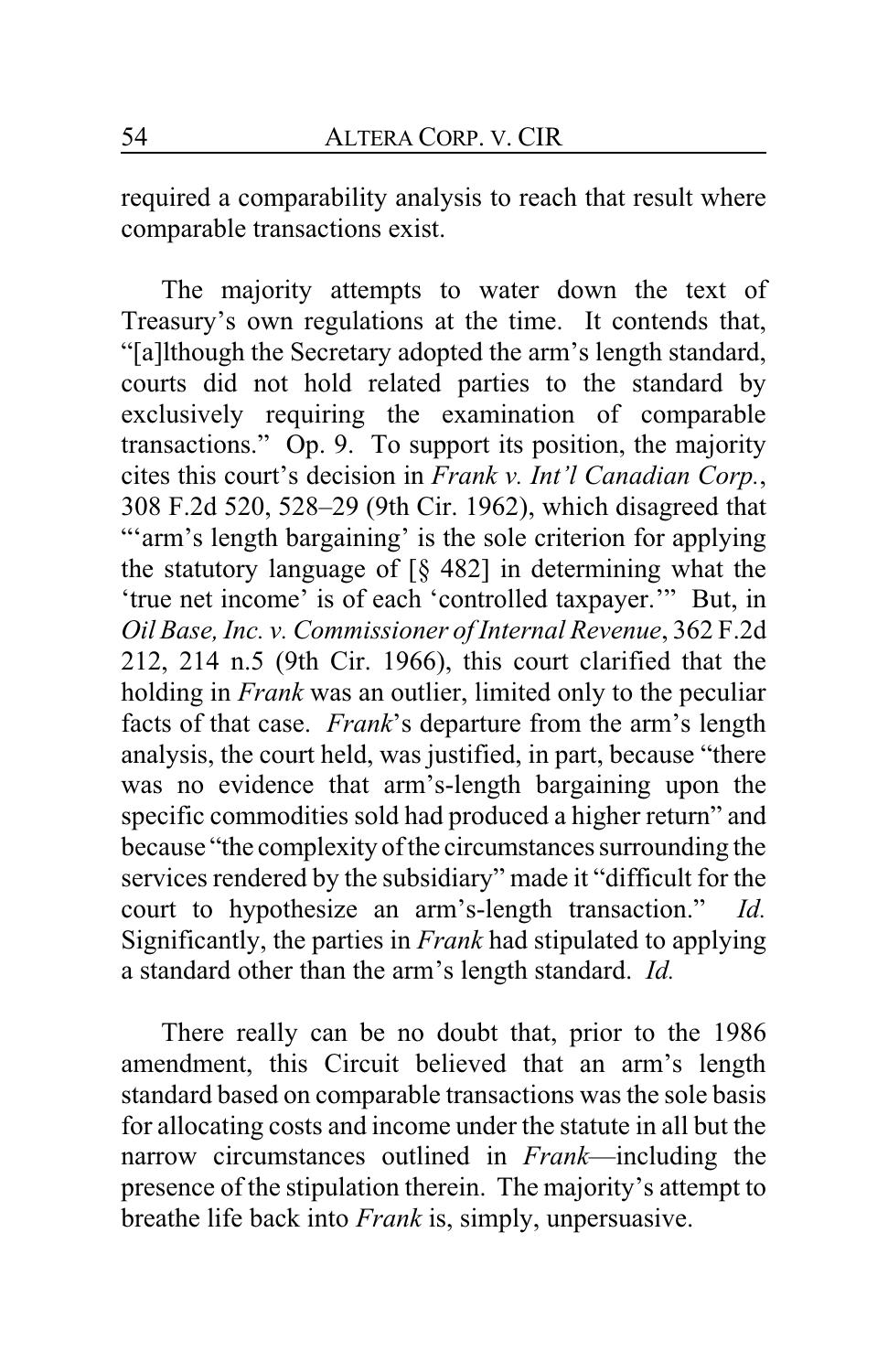required a comparability analysis to reach that result where comparable transactions exist.

The majority attempts to water down the text of Treasury's own regulations at the time. It contends that, "[a]lthough the Secretary adopted the arm's length standard, courts did not hold related parties to the standard by exclusively requiring the examination of comparable transactions." Op. 9. To support its position, the majority cites this court's decision in *Frank v. Int'l Canadian Corp.*, 308 F.2d 520, 528–29 (9th Cir. 1962), which disagreed that ""arm's length bargaining' is the sole criterion for applying the statutory language of  $\lceil \S 482 \rceil$  in determining what the 'true net income' is of each 'controlled taxpayer.'" But, in *Oil Base, Inc. v. Commissioner of Internal Revenue*, 362 F.2d 212, 214 n.5 (9th Cir. 1966), this court clarified that the holding in *Frank* was an outlier, limited only to the peculiar facts of that case. *Frank*'s departure from the arm's length analysis, the court held, was justified, in part, because "there was no evidence that arm's-length bargaining upon the specific commodities sold had produced a higher return" and because "the complexity of the circumstances surrounding the services rendered by the subsidiary" made it "difficult for the court to hypothesize an arm's-length transaction." *Id.*  Significantly, the parties in *Frank* had stipulated to applying a standard other than the arm's length standard. *Id.*

There really can be no doubt that, prior to the 1986 amendment, this Circuit believed that an arm's length standard based on comparable transactions was the sole basis for allocating costs and income under the statute in all but the narrow circumstances outlined in *Frank*—including the presence of the stipulation therein. The majority's attempt to breathe life back into *Frank* is, simply, unpersuasive.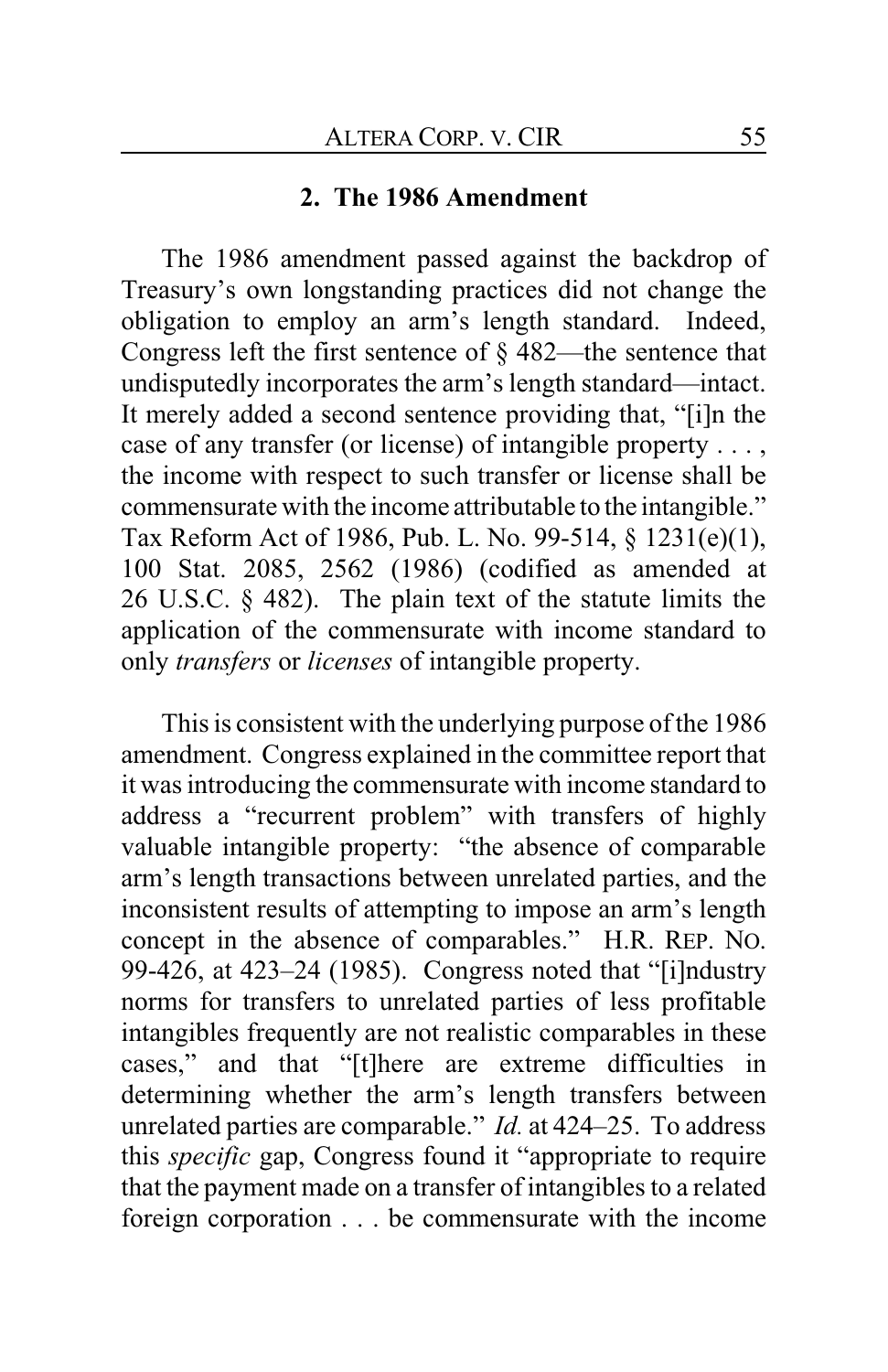# **2. The 1986 Amendment**

The 1986 amendment passed against the backdrop of Treasury's own longstanding practices did not change the obligation to employ an arm's length standard. Indeed, Congress left the first sentence of § 482—the sentence that undisputedly incorporates the arm's length standard—intact. It merely added a second sentence providing that, "[i]n the case of any transfer (or license) of intangible property . . . , the income with respect to such transfer or license shall be commensurate with the income attributable to the intangible." Tax Reform Act of 1986, Pub. L. No. 99-514, § 1231(e)(1), 100 Stat. 2085, 2562 (1986) (codified as amended at 26 U.S.C. § 482). The plain text of the statute limits the application of the commensurate with income standard to only *transfers* or *licenses* of intangible property.

This is consistent with the underlying purpose of the 1986 amendment. Congress explained in the committee report that it was introducing the commensurate with income standard to address a "recurrent problem" with transfers of highly valuable intangible property: "the absence of comparable arm's length transactions between unrelated parties, and the inconsistent results of attempting to impose an arm's length concept in the absence of comparables." H.R. REP. NO. 99-426, at 423–24 (1985). Congress noted that "[i]ndustry norms for transfers to unrelated parties of less profitable intangibles frequently are not realistic comparables in these cases," and that "[t]here are extreme difficulties in determining whether the arm's length transfers between unrelated parties are comparable." *Id.* at 424–25. To address this *specific* gap, Congress found it "appropriate to require that the payment made on a transfer of intangibles to a related foreign corporation . . . be commensurate with the income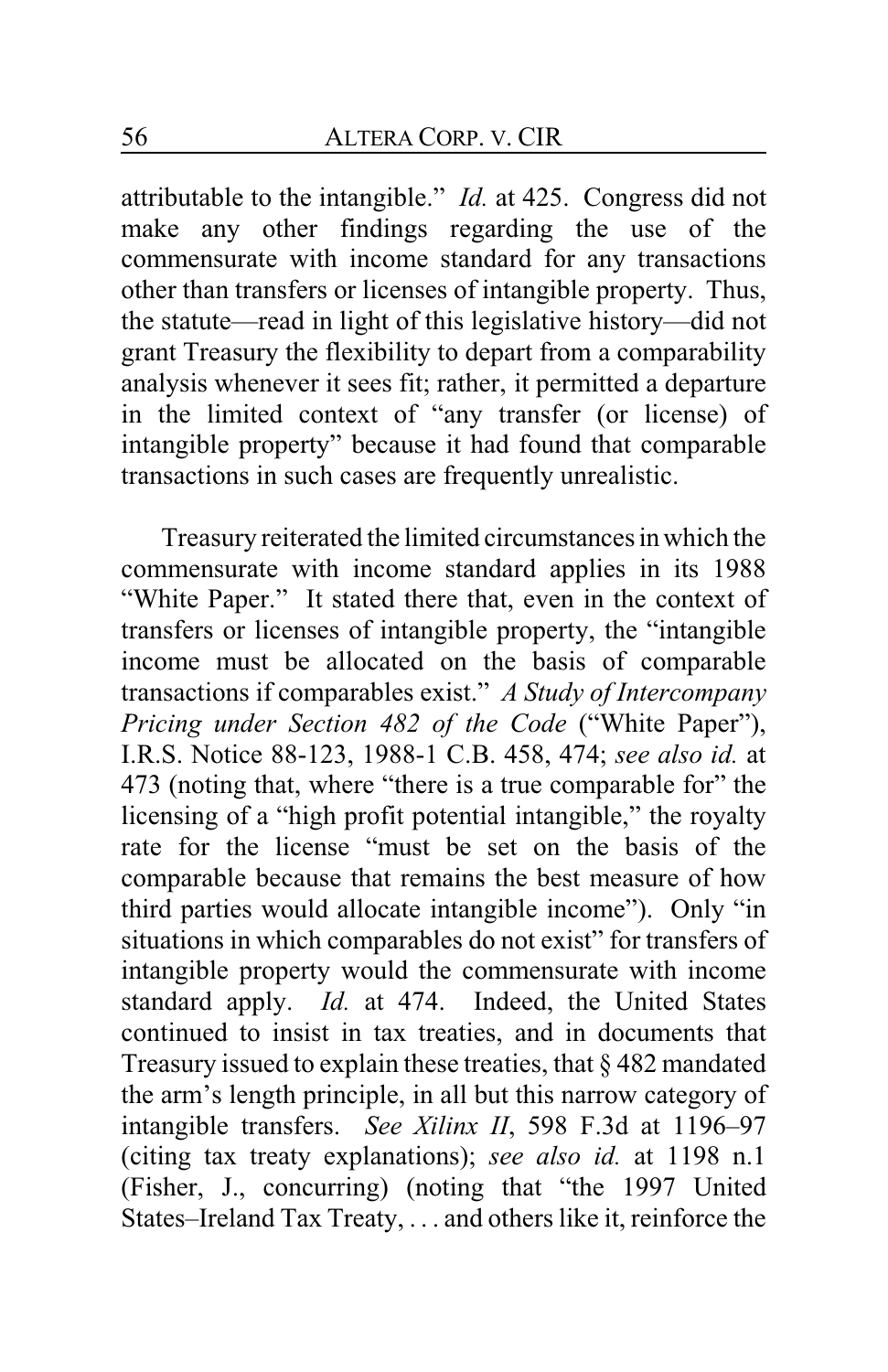attributable to the intangible." *Id.* at 425. Congress did not make any other findings regarding the use of the commensurate with income standard for any transactions other than transfers or licenses of intangible property. Thus, the statute—read in light of this legislative history—did not grant Treasury the flexibility to depart from a comparability analysis whenever it sees fit; rather, it permitted a departure in the limited context of "any transfer (or license) of intangible property" because it had found that comparable transactions in such cases are frequently unrealistic.

Treasury reiterated the limited circumstances inwhich the commensurate with income standard applies in its 1988 "White Paper." It stated there that, even in the context of transfers or licenses of intangible property, the "intangible income must be allocated on the basis of comparable transactions if comparables exist." *A Study of Intercompany Pricing under Section 482 of the Code* ("White Paper"), I.R.S. Notice 88-123, 1988-1 C.B. 458, 474; *see also id.* at 473 (noting that, where "there is a true comparable for" the licensing of a "high profit potential intangible," the royalty rate for the license "must be set on the basis of the comparable because that remains the best measure of how third parties would allocate intangible income"). Only "in situations in which comparables do not exist" for transfers of intangible property would the commensurate with income standard apply. *Id.* at 474. Indeed, the United States continued to insist in tax treaties, and in documents that Treasury issued to explain these treaties, that § 482 mandated the arm's length principle, in all but this narrow category of intangible transfers. *See Xilinx II*, 598 F.3d at 1196–97 (citing tax treaty explanations); *see also id.* at 1198 n.1 (Fisher, J., concurring) (noting that "the 1997 United States–Ireland Tax Treaty, . . . and others like it, reinforce the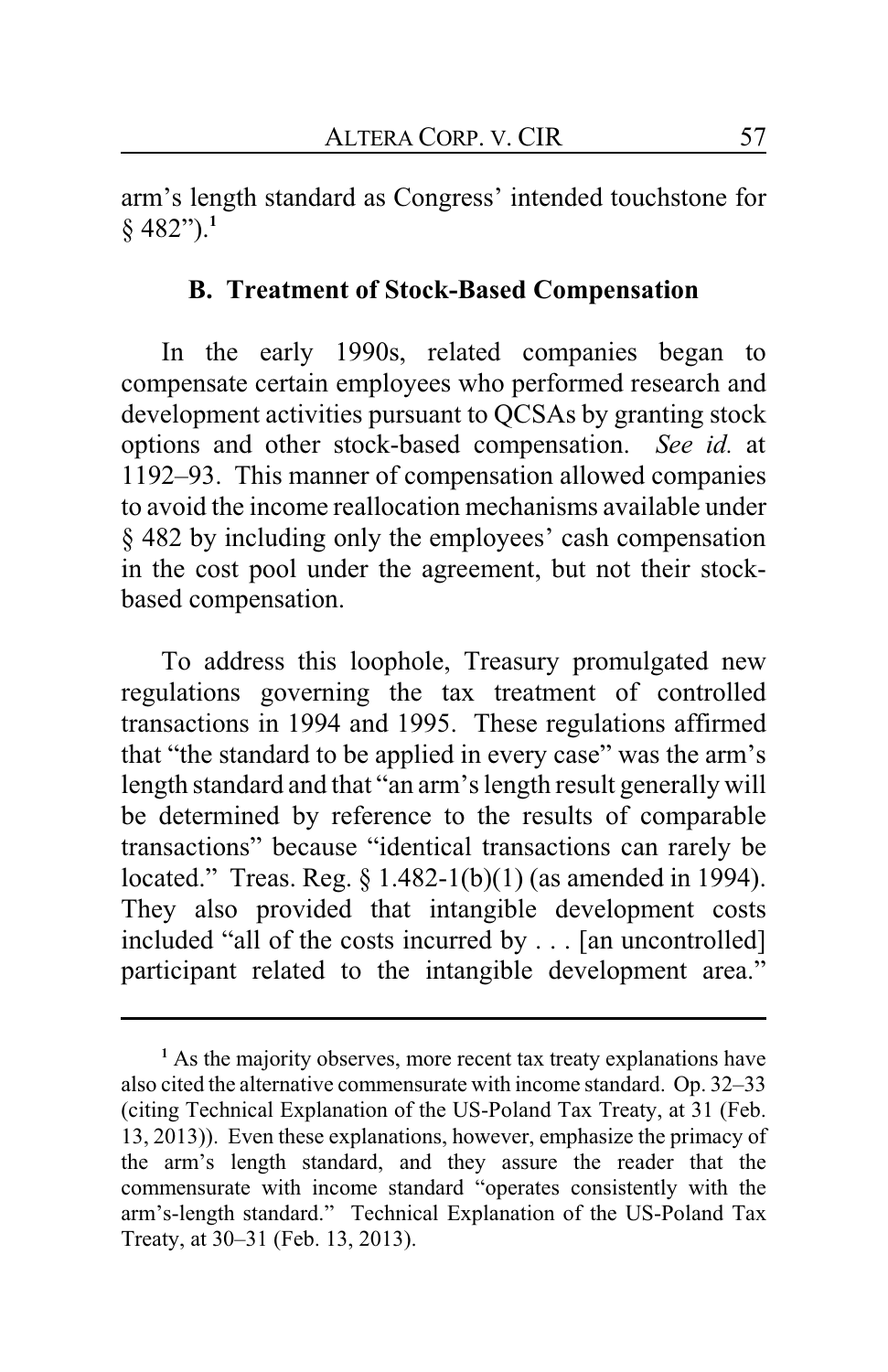arm's length standard as Congress' intended touchstone for § 482").**<sup>1</sup>**

## **B. Treatment of Stock-Based Compensation**

In the early 1990s, related companies began to compensate certain employees who performed research and development activities pursuant to QCSAs by granting stock options and other stock-based compensation. *See id.* at 1192–93. This manner of compensation allowed companies to avoid the income reallocation mechanisms available under § 482 by including only the employees' cash compensation in the cost pool under the agreement, but not their stockbased compensation.

To address this loophole, Treasury promulgated new regulations governing the tax treatment of controlled transactions in 1994 and 1995. These regulations affirmed that "the standard to be applied in every case" was the arm's length standard and that "an arm's length result generally will be determined by reference to the results of comparable transactions" because "identical transactions can rarely be located." Treas. Reg. § 1.482-1(b)(1) (as amended in 1994). They also provided that intangible development costs included "all of the costs incurred by . . . [an uncontrolled] participant related to the intangible development area."

<sup>&</sup>lt;sup>1</sup> As the majority observes, more recent tax treaty explanations have also cited the alternative commensurate with income standard. Op. 32–33 (citing Technical Explanation of the US-Poland Tax Treaty, at 31 (Feb. 13, 2013)). Even these explanations, however, emphasize the primacy of the arm's length standard, and they assure the reader that the commensurate with income standard "operates consistently with the arm's-length standard." Technical Explanation of the US-Poland Tax Treaty, at 30–31 (Feb. 13, 2013).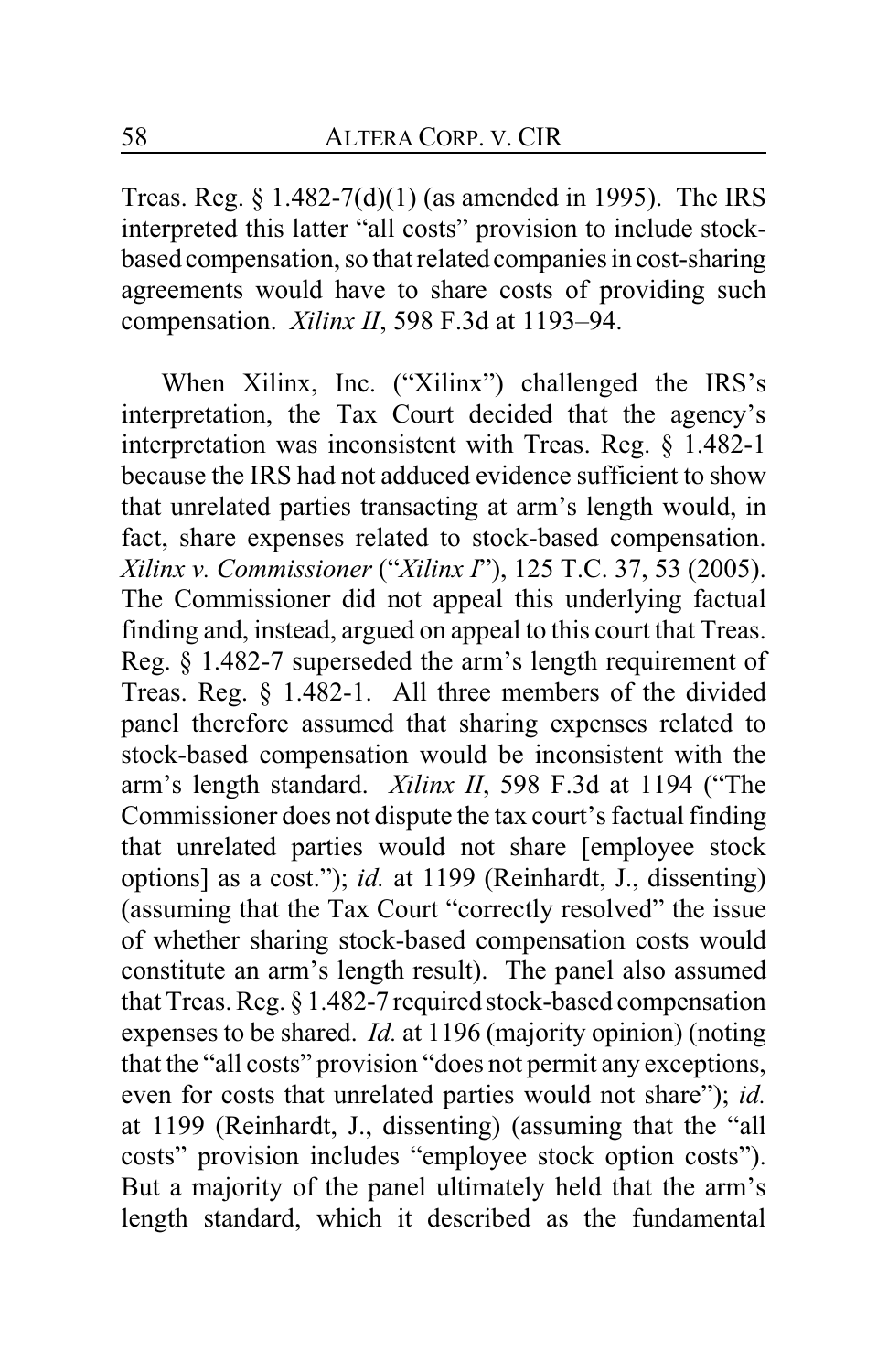Treas. Reg.  $\S 1.482-7(d)(1)$  (as amended in 1995). The IRS interpreted this latter "all costs" provision to include stockbased compensation, so that related companies in cost-sharing agreements would have to share costs of providing such compensation. *Xilinx II*, 598 F.3d at 1193–94.

When Xilinx, Inc. ("Xilinx") challenged the IRS's interpretation, the Tax Court decided that the agency's interpretation was inconsistent with Treas. Reg. § 1.482-1 because the IRS had not adduced evidence sufficient to show that unrelated parties transacting at arm's length would, in fact, share expenses related to stock-based compensation. *Xilinx v. Commissioner* ("*Xilinx I*"), 125 T.C. 37, 53 (2005). The Commissioner did not appeal this underlying factual finding and, instead, argued on appeal to this court that Treas. Reg. § 1.482-7 superseded the arm's length requirement of Treas. Reg. § 1.482-1. All three members of the divided panel therefore assumed that sharing expenses related to stock-based compensation would be inconsistent with the arm's length standard. *Xilinx II*, 598 F.3d at 1194 ("The Commissioner does not dispute the tax court's factual finding that unrelated parties would not share [employee stock options] as a cost."); *id.* at 1199 (Reinhardt, J., dissenting) (assuming that the Tax Court "correctly resolved" the issue of whether sharing stock-based compensation costs would constitute an arm's length result). The panel also assumed that Treas. Reg. § 1.482-7 required stock-based compensation expenses to be shared. *Id.* at 1196 (majority opinion) (noting that the "all costs" provision "does not permit any exceptions, even for costs that unrelated parties would not share"); *id.* at 1199 (Reinhardt, J., dissenting) (assuming that the "all costs" provision includes "employee stock option costs"). But a majority of the panel ultimately held that the arm's length standard, which it described as the fundamental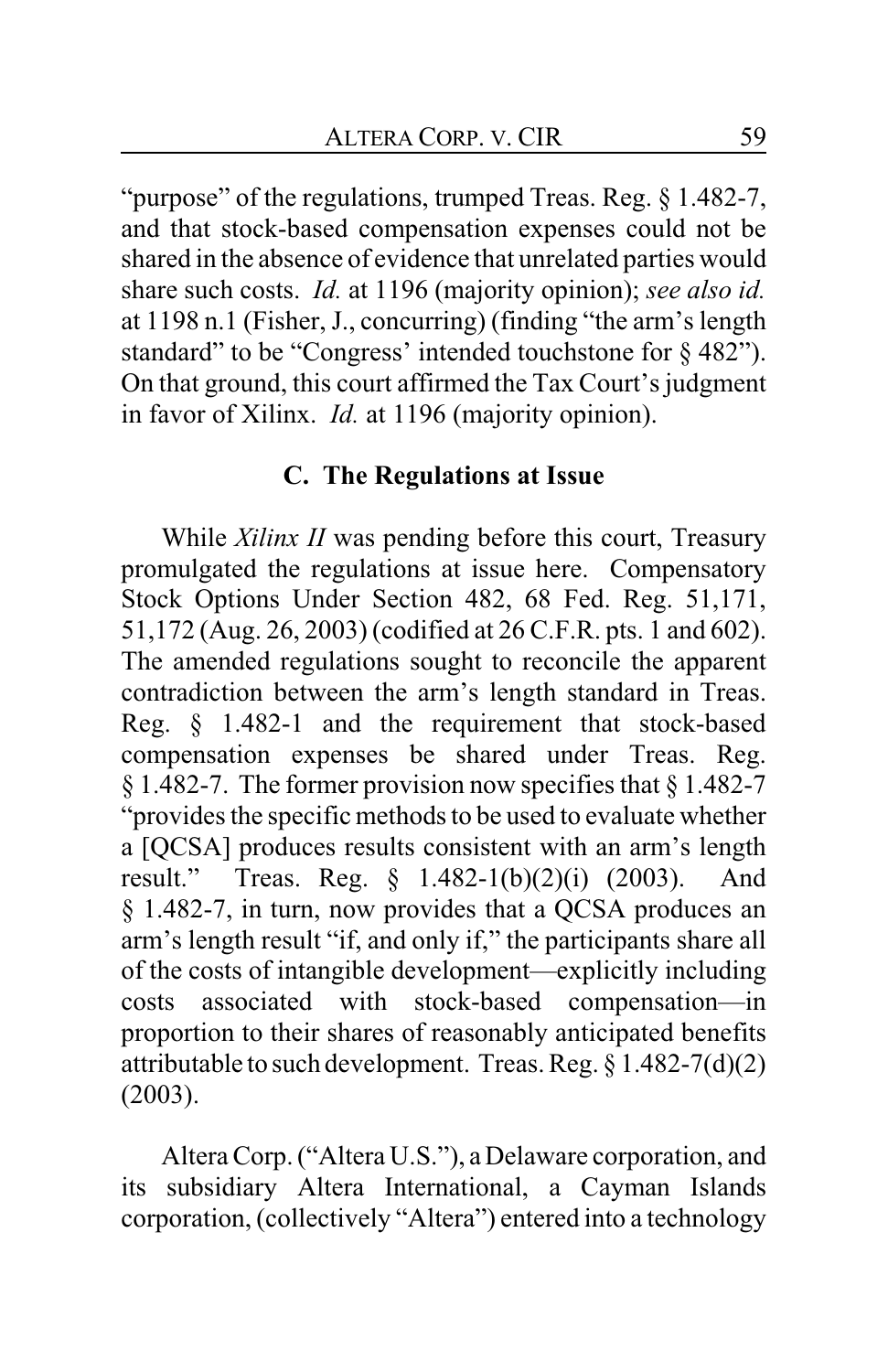"purpose" of the regulations, trumped Treas. Reg. § 1.482-7, and that stock-based compensation expenses could not be shared in the absence of evidence that unrelated parties would share such costs. *Id.* at 1196 (majority opinion); *see also id.* at 1198 n.1 (Fisher, J., concurring) (finding "the arm's length standard" to be "Congress' intended touchstone for § 482"). On that ground, this court affirmed the Tax Court's judgment in favor of Xilinx. *Id.* at 1196 (majority opinion).

# **C. The Regulations at Issue**

While *Xilinx II* was pending before this court, Treasury promulgated the regulations at issue here. Compensatory Stock Options Under Section 482, 68 Fed. Reg. 51,171, 51,172 (Aug. 26, 2003) (codified at 26 C.F.R. pts. 1 and 602). The amended regulations sought to reconcile the apparent contradiction between the arm's length standard in Treas. Reg. § 1.482-1 and the requirement that stock-based compensation expenses be shared under Treas. Reg. § 1.482-7. The former provision now specifies that § 1.482-7 "provides the specific methods to be used to evaluate whether a [QCSA] produces results consistent with an arm's length result." Treas. Reg. § 1.482-1(b)(2)(i) (2003). And § 1.482-7, in turn, now provides that a QCSA produces an arm's length result "if, and only if," the participants share all of the costs of intangible development—explicitly including costs associated with stock-based compensation—in proportion to their shares of reasonably anticipated benefits attributable to such development. Treas. Reg. § 1.482-7(d)(2) (2003).

Altera Corp. ("Altera U.S."), a Delaware corporation, and its subsidiary Altera International, a Cayman Islands corporation, (collectively "Altera") entered into a technology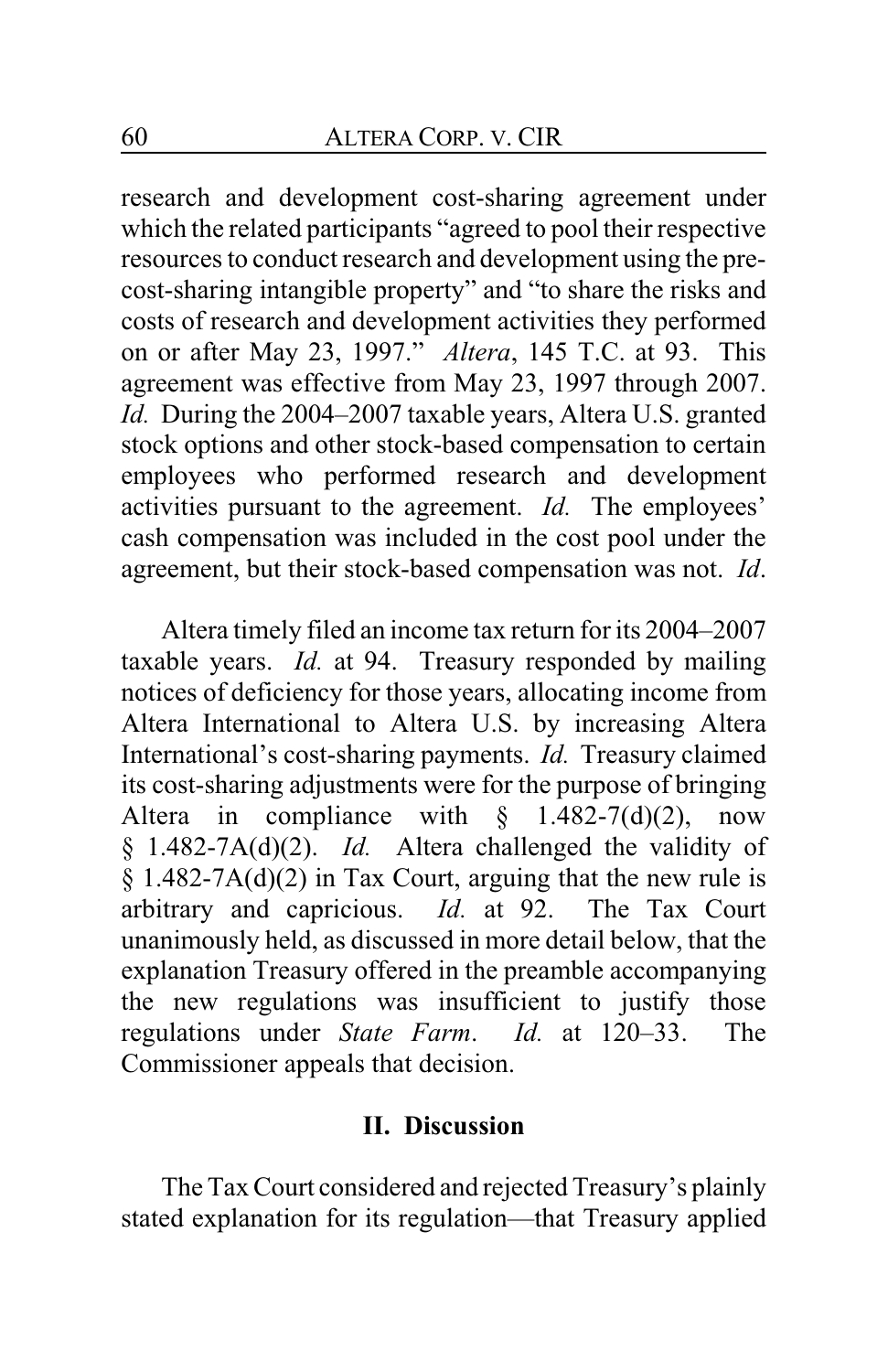research and development cost-sharing agreement under which the related participants "agreed to pool their respective resources to conduct research and development using the precost-sharing intangible property" and "to share the risks and costs of research and development activities they performed on or after May 23, 1997." *Altera*, 145 T.C. at 93. This agreement was effective from May 23, 1997 through 2007. *Id.* During the 2004–2007 taxable years, Altera U.S. granted stock options and other stock-based compensation to certain employees who performed research and development activities pursuant to the agreement. *Id.* The employees' cash compensation was included in the cost pool under the agreement, but their stock-based compensation was not. *Id*.

Altera timely filed an income tax return for its 2004–2007 taxable years. *Id.* at 94. Treasury responded by mailing notices of deficiency for those years, allocating income from Altera International to Altera U.S. by increasing Altera International's cost-sharing payments. *Id.* Treasury claimed its cost-sharing adjustments were for the purpose of bringing Altera in compliance with  $\S$  1.482-7(d)(2), now § 1.482-7A(d)(2). *Id.* Altera challenged the validity of  $§ 1.482-7A(d)(2)$  in Tax Court, arguing that the new rule is arbitrary and capricious. *Id.* at 92. The Tax Court unanimously held, as discussed in more detail below, that the explanation Treasury offered in the preamble accompanying the new regulations was insufficient to justify those regulations under *State Farm*. *Id.* at 120–33. The Commissioner appeals that decision.

### **II. Discussion**

The Tax Court considered and rejected Treasury's plainly stated explanation for its regulation—that Treasury applied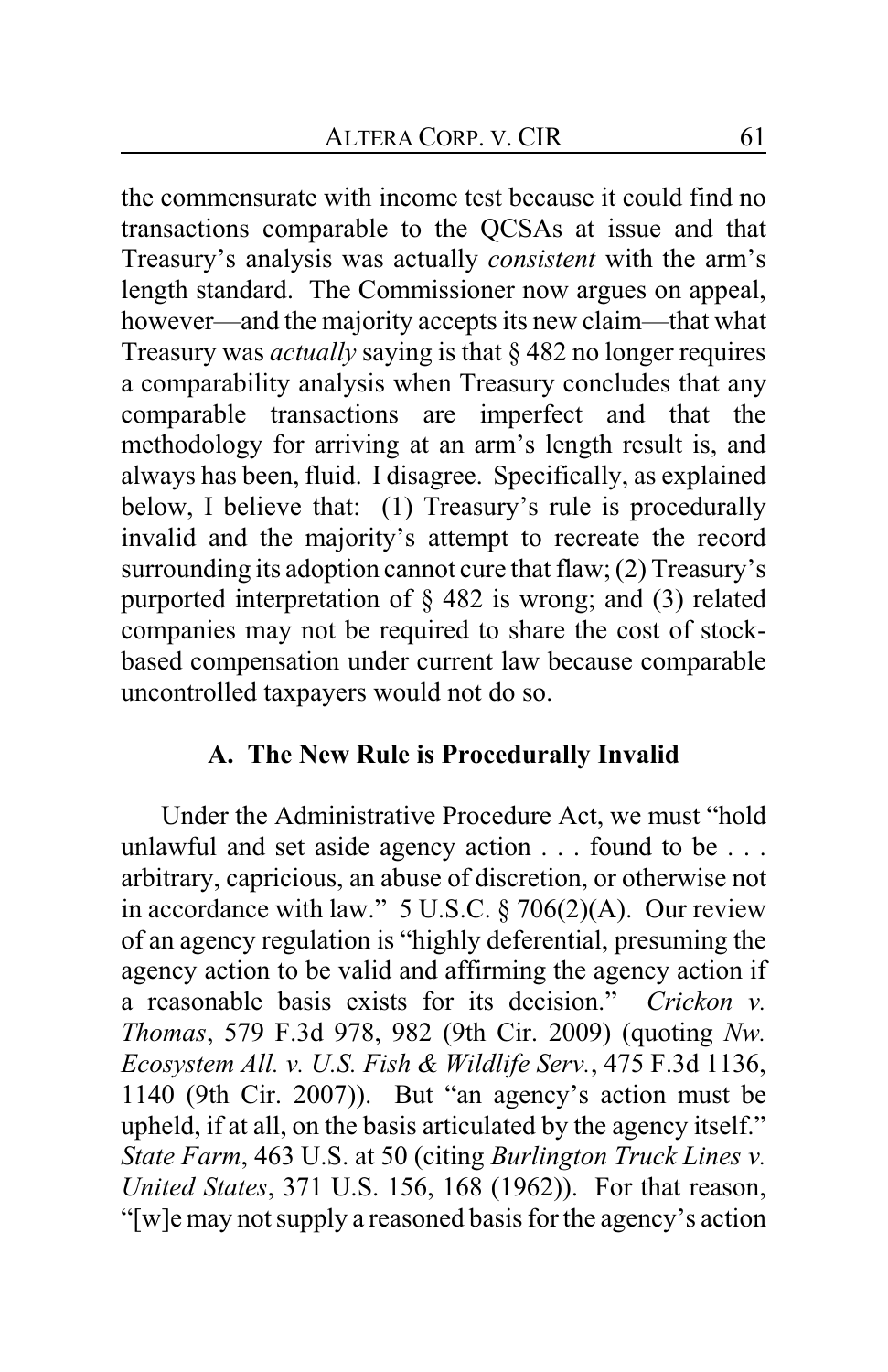the commensurate with income test because it could find no transactions comparable to the QCSAs at issue and that Treasury's analysis was actually *consistent* with the arm's length standard. The Commissioner now argues on appeal, however—and the majority accepts its new claim—that what Treasury was *actually* saying is that § 482 no longer requires a comparability analysis when Treasury concludes that any comparable transactions are imperfect and that the methodology for arriving at an arm's length result is, and always has been, fluid. I disagree. Specifically, as explained below, I believe that: (1) Treasury's rule is procedurally invalid and the majority's attempt to recreate the record surrounding its adoption cannot cure that flaw; (2) Treasury's purported interpretation of § 482 is wrong; and (3) related companies may not be required to share the cost of stockbased compensation under current law because comparable uncontrolled taxpayers would not do so.

# **A. The New Rule is Procedurally Invalid**

Under the Administrative Procedure Act, we must "hold unlawful and set aside agency action . . . found to be . . . arbitrary, capricious, an abuse of discretion, or otherwise not in accordance with law." 5 U.S.C. § 706(2)(A). Our review of an agency regulation is "highly deferential, presuming the agency action to be valid and affirming the agency action if a reasonable basis exists for its decision." *Crickon v. Thomas*, 579 F.3d 978, 982 (9th Cir. 2009) (quoting *Nw. Ecosystem All. v. U.S. Fish & Wildlife Serv.*, 475 F.3d 1136, 1140 (9th Cir. 2007)). But "an agency's action must be upheld, if at all, on the basis articulated by the agency itself." *State Farm*, 463 U.S. at 50 (citing *Burlington Truck Lines v. United States*, 371 U.S. 156, 168 (1962)). For that reason, "[w]e may not supply a reasoned basis for the agency's action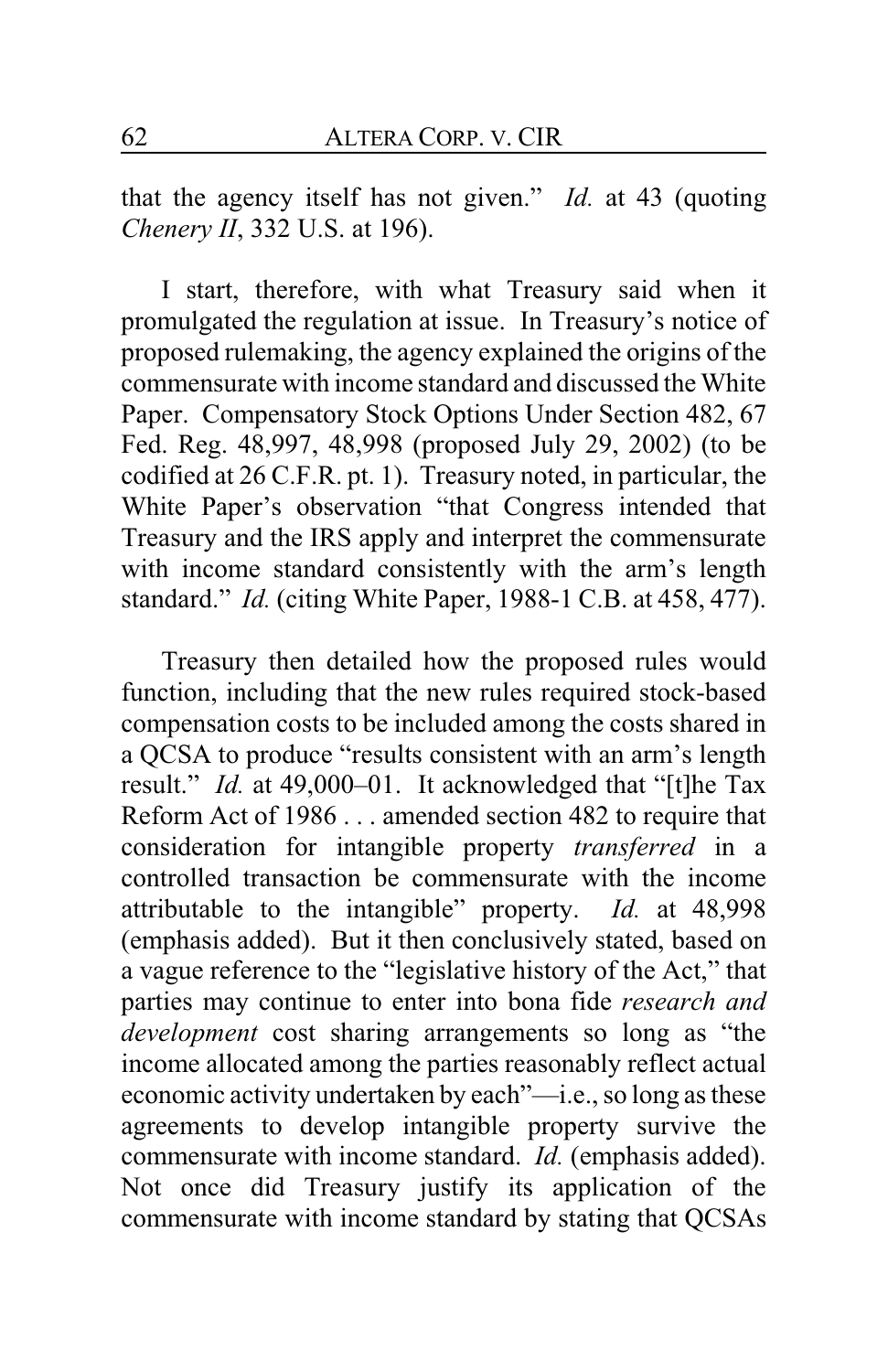that the agency itself has not given." *Id.* at 43 (quoting *Chenery II*, 332 U.S. at 196).

I start, therefore, with what Treasury said when it promulgated the regulation at issue. In Treasury's notice of proposed rulemaking, the agency explained the origins of the commensurate with income standard and discussed the White Paper. Compensatory Stock Options Under Section 482, 67 Fed. Reg. 48,997, 48,998 (proposed July 29, 2002) (to be codified at 26 C.F.R. pt. 1). Treasury noted, in particular, the White Paper's observation "that Congress intended that Treasury and the IRS apply and interpret the commensurate with income standard consistently with the arm's length standard." *Id.* (citing White Paper, 1988-1 C.B. at 458, 477).

Treasury then detailed how the proposed rules would function, including that the new rules required stock-based compensation costs to be included among the costs shared in a QCSA to produce "results consistent with an arm's length result." *Id.* at 49,000–01. It acknowledged that "[t]he Tax Reform Act of 1986 . . . amended section 482 to require that consideration for intangible property *transferred* in a controlled transaction be commensurate with the income attributable to the intangible" property. *Id.* at 48,998 (emphasis added). But it then conclusively stated, based on a vague reference to the "legislative history of the Act," that parties may continue to enter into bona fide *research and development* cost sharing arrangements so long as "the income allocated among the parties reasonably reflect actual economic activity undertaken by each"—i.e., so long as these agreements to develop intangible property survive the commensurate with income standard. *Id.* (emphasis added). Not once did Treasury justify its application of the commensurate with income standard by stating that QCSAs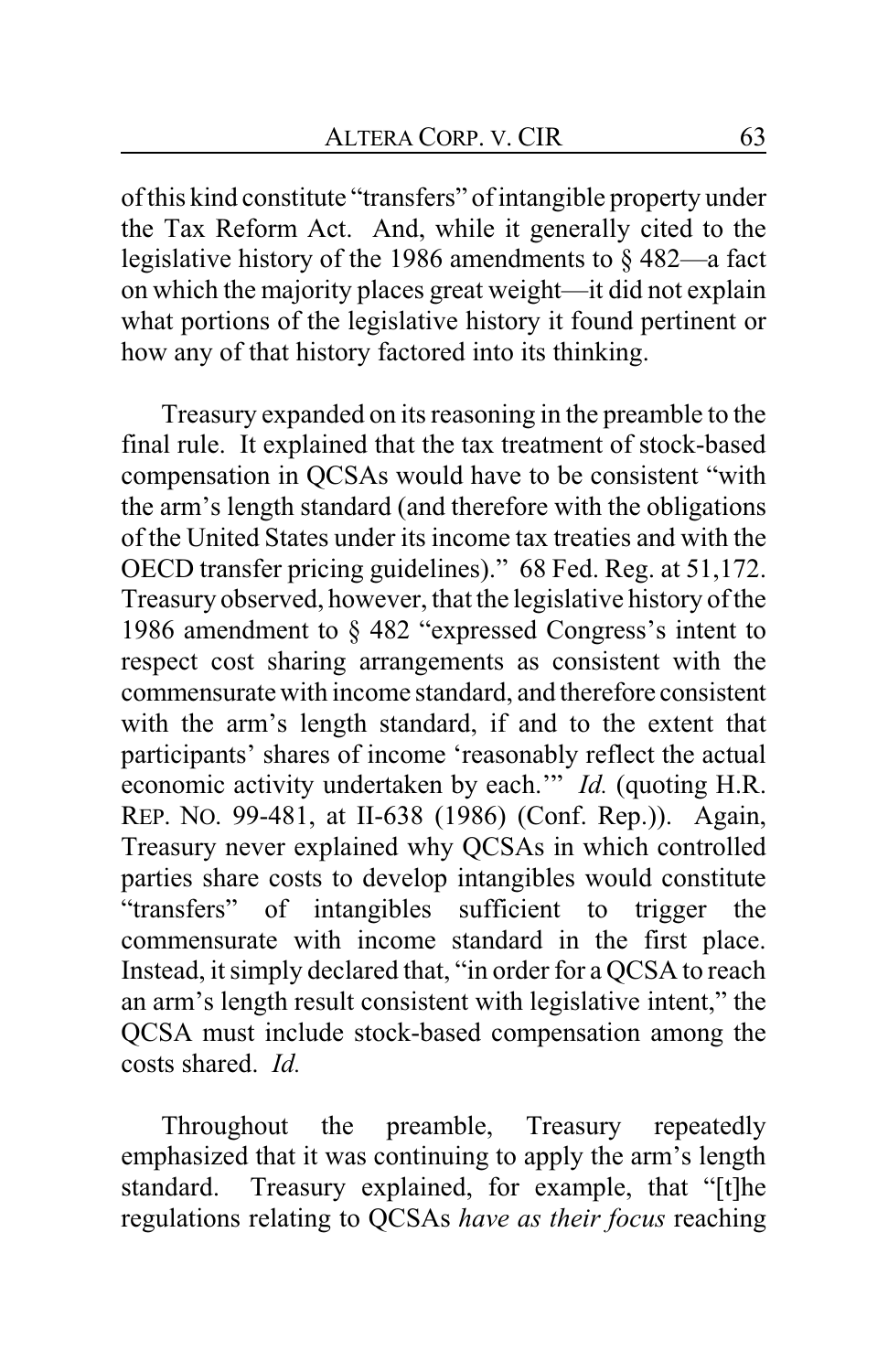ofthis kind constitute "transfers" of intangible property under the Tax Reform Act. And, while it generally cited to the legislative history of the 1986 amendments to § 482—a fact on which the majority places great weight—it did not explain what portions of the legislative history it found pertinent or how any of that history factored into its thinking.

Treasury expanded on its reasoning in the preamble to the final rule. It explained that the tax treatment of stock-based compensation in QCSAs would have to be consistent "with the arm's length standard (and therefore with the obligations of the United States under its income tax treaties and with the OECD transfer pricing guidelines)." 68 Fed. Reg. at 51,172. Treasury observed, however, that the legislative history of the 1986 amendment to § 482 "expressed Congress's intent to respect cost sharing arrangements as consistent with the commensurate with income standard, and therefore consistent with the arm's length standard, if and to the extent that participants' shares of income 'reasonably reflect the actual economic activity undertaken by each.'" *Id.* (quoting H.R. REP. NO. 99-481, at II-638 (1986) (Conf. Rep.)). Again, Treasury never explained why QCSAs in which controlled parties share costs to develop intangibles would constitute "transfers" of intangibles sufficient to trigger the commensurate with income standard in the first place. Instead, it simply declared that, "in order for a QCSA to reach an arm's length result consistent with legislative intent," the QCSA must include stock-based compensation among the costs shared. *Id.*

Throughout the preamble, Treasury repeatedly emphasized that it was continuing to apply the arm's length standard. Treasury explained, for example, that "[t]he regulations relating to QCSAs *have as their focus* reaching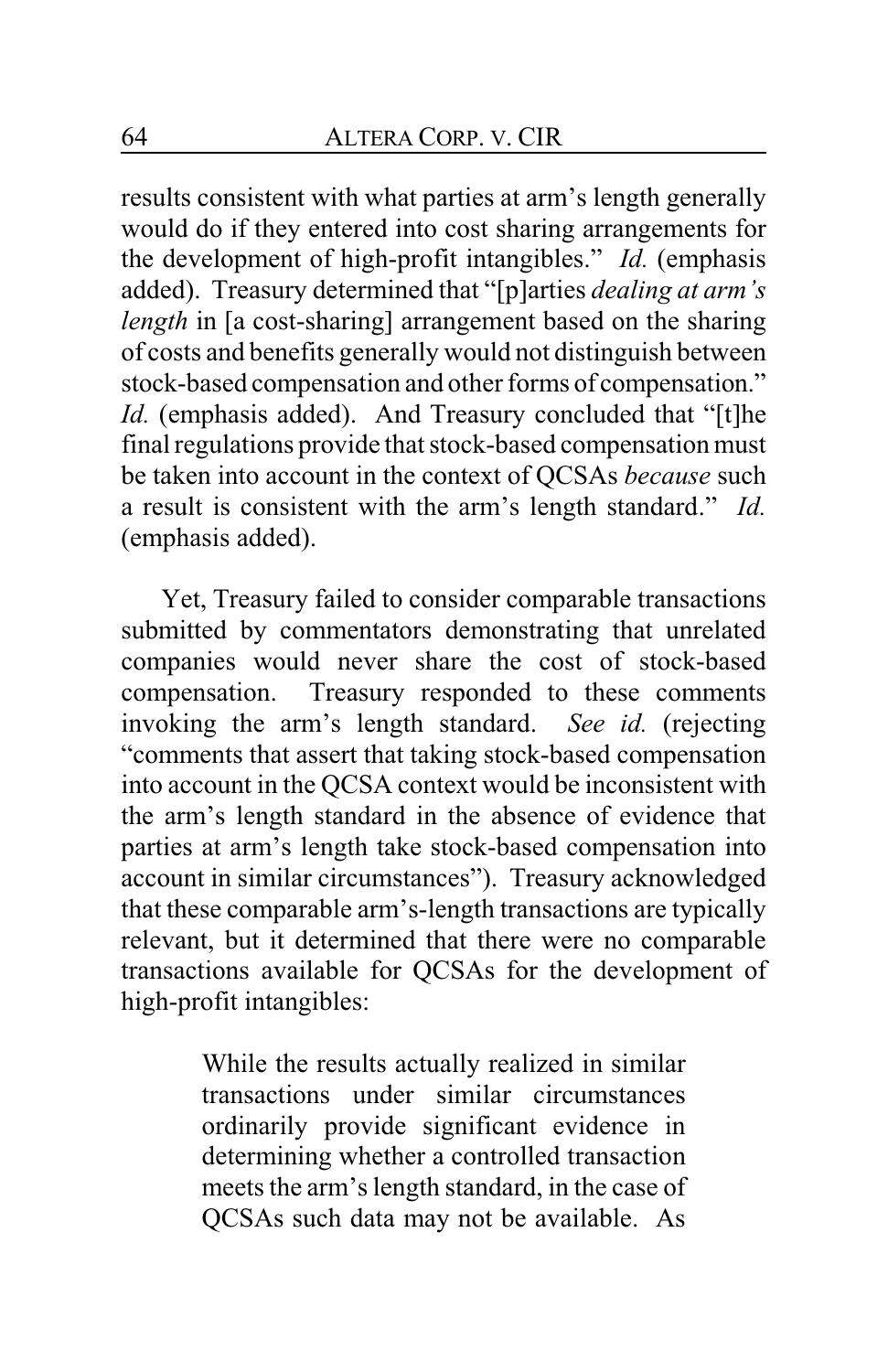results consistent with what parties at arm's length generally would do if they entered into cost sharing arrangements for the development of high-profit intangibles." *Id.* (emphasis added). Treasury determined that "[p]arties *dealing at arm's length* in [a cost-sharing] arrangement based on the sharing of costs and benefits generally would not distinguish between stock-based compensation and other forms of compensation." *Id.* (emphasis added). And Treasury concluded that "[t]he final regulations provide that stock-based compensation must be taken into account in the context of QCSAs *because* such a result is consistent with the arm's length standard." *Id.* (emphasis added).

Yet, Treasury failed to consider comparable transactions submitted by commentators demonstrating that unrelated companies would never share the cost of stock-based compensation. Treasury responded to these comments invoking the arm's length standard. *See id.* (rejecting "comments that assert that taking stock-based compensation into account in the QCSA context would be inconsistent with the arm's length standard in the absence of evidence that parties at arm's length take stock-based compensation into account in similar circumstances"). Treasury acknowledged that these comparable arm's-length transactions are typically relevant, but it determined that there were no comparable transactions available for QCSAs for the development of high-profit intangibles:

> While the results actually realized in similar transactions under similar circumstances ordinarily provide significant evidence in determining whether a controlled transaction meets the arm's length standard, in the case of QCSAs such data may not be available. As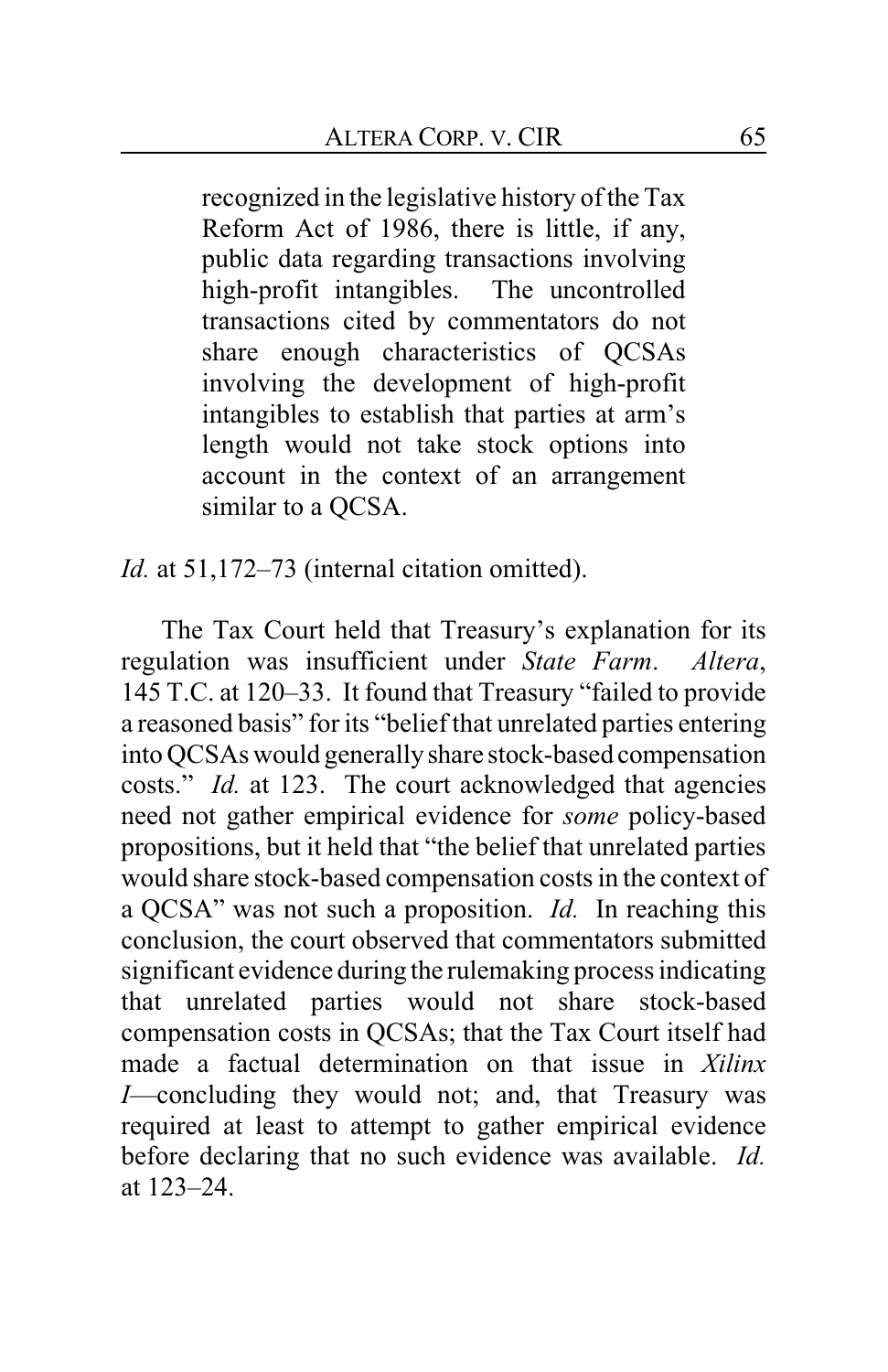recognized in the legislative history of the Tax Reform Act of 1986, there is little, if any, public data regarding transactions involving high-profit intangibles. The uncontrolled transactions cited by commentators do not share enough characteristics of QCSAs involving the development of high-profit intangibles to establish that parties at arm's length would not take stock options into account in the context of an arrangement similar to a QCSA.

*Id.* at 51,172–73 (internal citation omitted).

The Tax Court held that Treasury's explanation for its regulation was insufficient under *State Farm*. *Altera*, 145 T.C. at 120–33. It found that Treasury "failed to provide a reasoned basis" for its "belief that unrelated parties entering into QCSAs would generally share stock-based compensation costs." *Id.* at 123. The court acknowledged that agencies need not gather empirical evidence for *some* policy-based propositions, but it held that "the belief that unrelated parties would share stock-based compensation costs in the context of a QCSA" was not such a proposition. *Id.* In reaching this conclusion, the court observed that commentators submitted significant evidence during the rulemaking process indicating that unrelated parties would not share stock-based compensation costs in QCSAs; that the Tax Court itself had made a factual determination on that issue in *Xilinx I*—concluding they would not; and, that Treasury was required at least to attempt to gather empirical evidence before declaring that no such evidence was available. *Id.* at 123–24.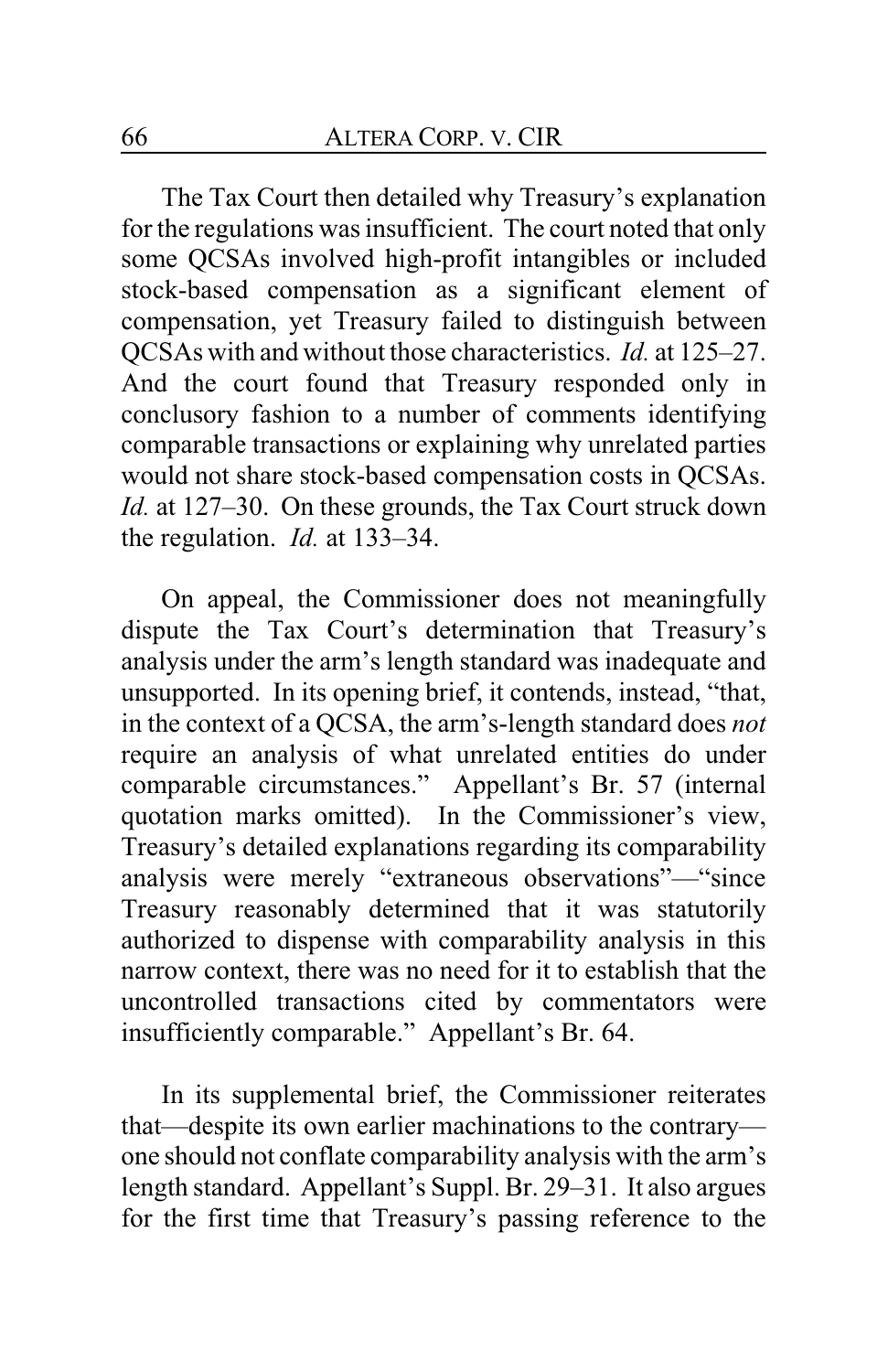The Tax Court then detailed why Treasury's explanation for the regulations was insufficient. The court noted that only some QCSAs involved high-profit intangibles or included stock-based compensation as a significant element of compensation, yet Treasury failed to distinguish between QCSAs with and without those characteristics. *Id.* at 125–27. And the court found that Treasury responded only in conclusory fashion to a number of comments identifying comparable transactions or explaining why unrelated parties would not share stock-based compensation costs in QCSAs. *Id.* at 127–30. On these grounds, the Tax Court struck down the regulation. *Id.* at 133–34.

On appeal, the Commissioner does not meaningfully dispute the Tax Court's determination that Treasury's analysis under the arm's length standard was inadequate and unsupported. In its opening brief, it contends, instead, "that, in the context of a QCSA, the arm's-length standard does *not* require an analysis of what unrelated entities do under comparable circumstances." Appellant's Br. 57 (internal quotation marks omitted). In the Commissioner's view, Treasury's detailed explanations regarding its comparability analysis were merely "extraneous observations"—"since Treasury reasonably determined that it was statutorily authorized to dispense with comparability analysis in this narrow context, there was no need for it to establish that the uncontrolled transactions cited by commentators were insufficiently comparable." Appellant's Br. 64.

In its supplemental brief, the Commissioner reiterates that—despite its own earlier machinations to the contrary one should not conflate comparability analysis with the arm's length standard. Appellant's Suppl. Br. 29–31. It also argues for the first time that Treasury's passing reference to the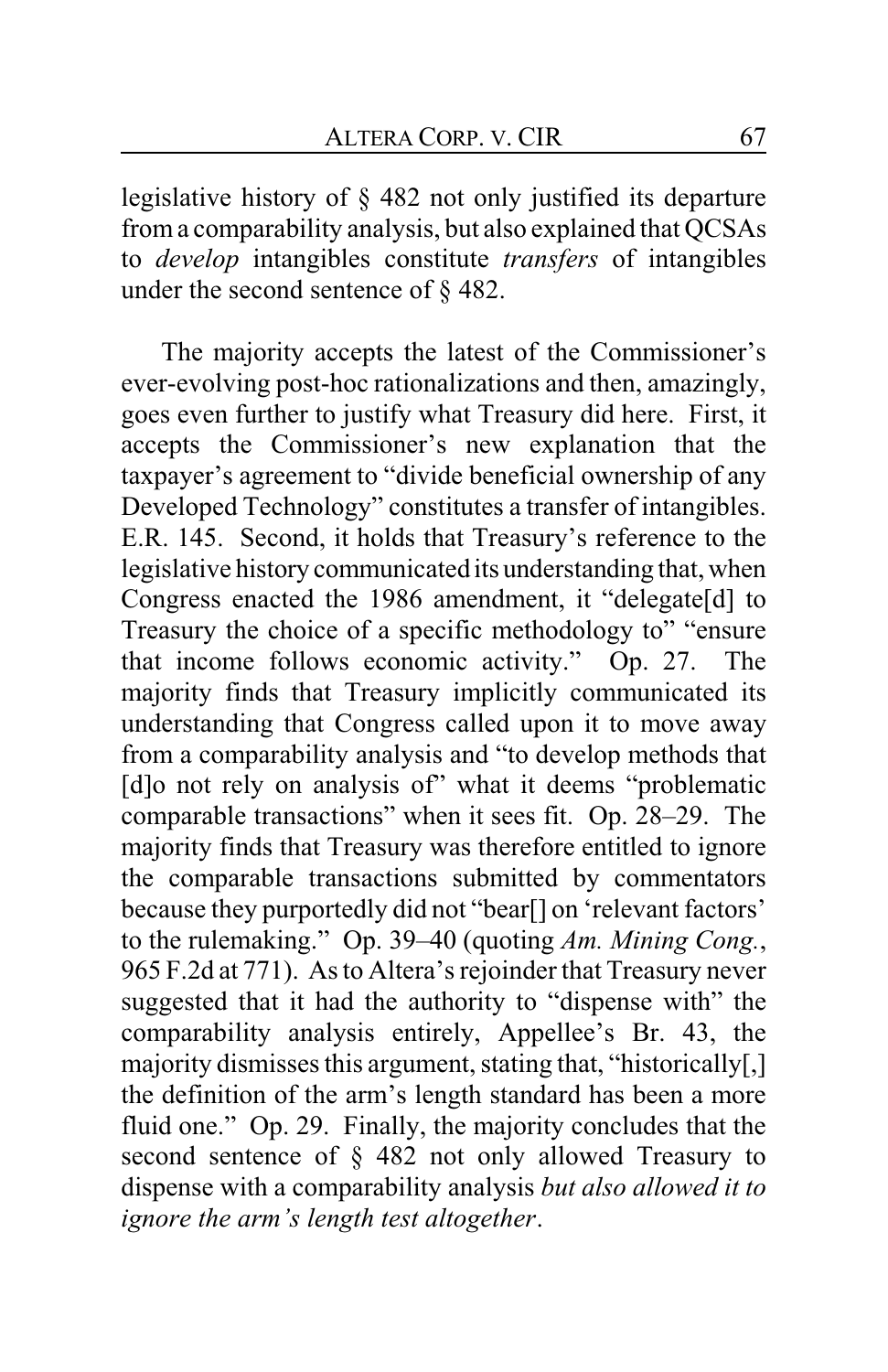legislative history of § 482 not only justified its departure froma comparability analysis, but also explained that QCSAs to *develop* intangibles constitute *transfers* of intangibles under the second sentence of § 482.

The majority accepts the latest of the Commissioner's ever-evolving post-hoc rationalizations and then, amazingly, goes even further to justify what Treasury did here. First, it accepts the Commissioner's new explanation that the taxpayer's agreement to "divide beneficial ownership of any Developed Technology" constitutes a transfer of intangibles. E.R. 145. Second, it holds that Treasury's reference to the legislative history communicated its understanding that, when Congress enacted the 1986 amendment, it "delegate[d] to Treasury the choice of a specific methodology to" "ensure that income follows economic activity." Op. 27. The majority finds that Treasury implicitly communicated its understanding that Congress called upon it to move away from a comparability analysis and "to develop methods that [d]o not rely on analysis of" what it deems "problematic comparable transactions" when it sees fit. Op. 28–29. The majority finds that Treasury was therefore entitled to ignore the comparable transactions submitted by commentators because they purportedly did not "bear[] on 'relevant factors' to the rulemaking." Op. 39–40 (quoting *Am. Mining Cong.*, 965 F.2d at 771). As to Altera's rejoinder that Treasury never suggested that it had the authority to "dispense with" the comparability analysis entirely, Appellee's Br. 43, the majority dismisses this argument, stating that, "historically[,] the definition of the arm's length standard has been a more fluid one." Op. 29. Finally, the majority concludes that the second sentence of § 482 not only allowed Treasury to dispense with a comparability analysis *but also allowed it to ignore the arm's length test altogether*.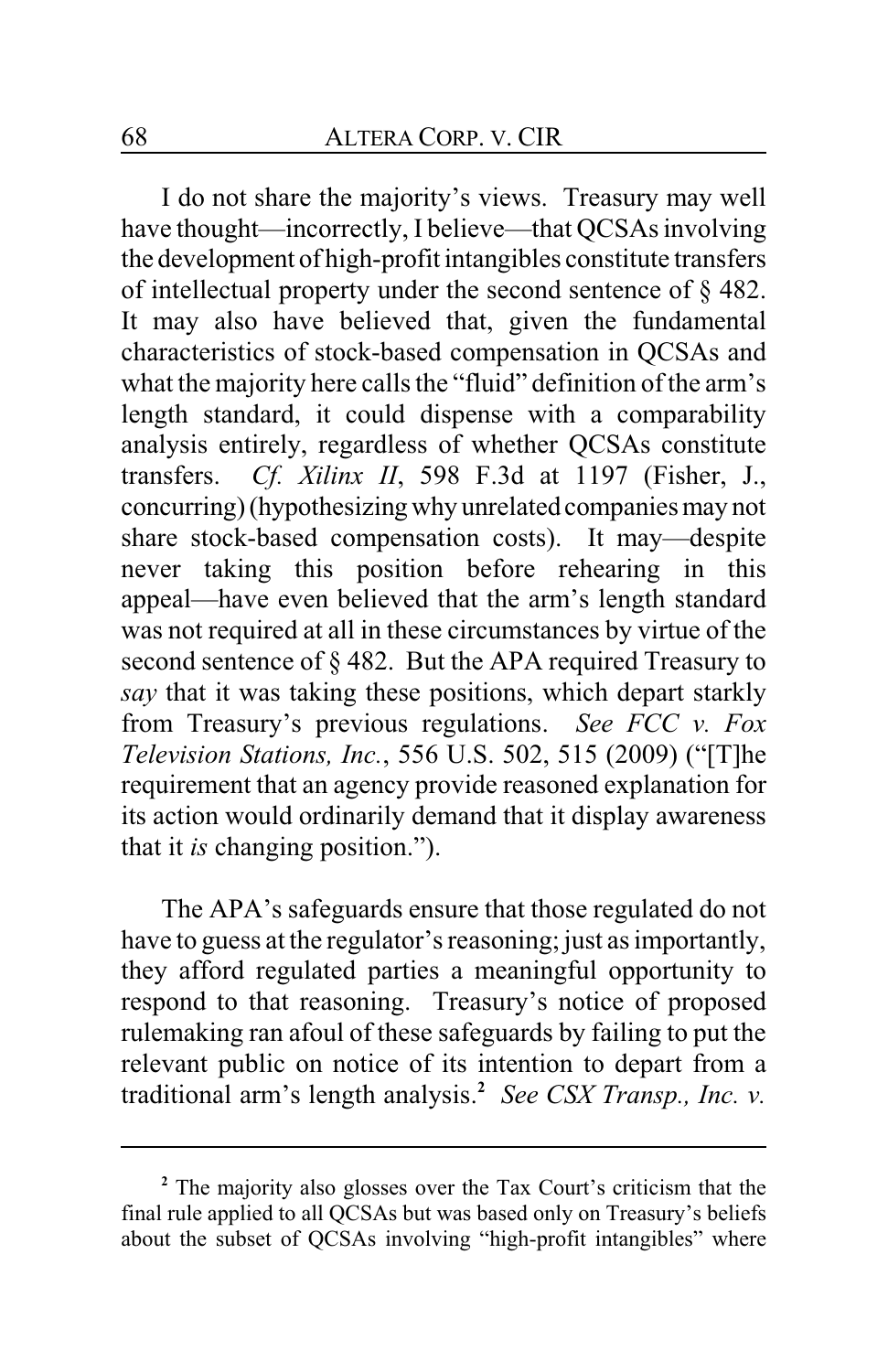I do not share the majority's views. Treasury may well have thought—incorrectly, I believe—that QCSAs involving the development of high-profit intangibles constitute transfers of intellectual property under the second sentence of § 482. It may also have believed that, given the fundamental characteristics of stock-based compensation in QCSAs and what the majority here calls the "fluid" definition of the arm's length standard, it could dispense with a comparability analysis entirely, regardless of whether QCSAs constitute transfers. *Cf. Xilinx II*, 598 F.3d at 1197 (Fisher, J., concurring) (hypothesizing why unrelated companies may not share stock-based compensation costs). It may—despite never taking this position before rehearing in this appeal—have even believed that the arm's length standard was not required at all in these circumstances by virtue of the second sentence of § 482. But the APA required Treasury to *say* that it was taking these positions, which depart starkly from Treasury's previous regulations. *See FCC v. Fox Television Stations, Inc.*, 556 U.S. 502, 515 (2009) ("[T]he requirement that an agency provide reasoned explanation for its action would ordinarily demand that it display awareness that it *is* changing position.").

The APA's safeguards ensure that those regulated do not have to guess at the regulator's reasoning; just as importantly, they afford regulated parties a meaningful opportunity to respond to that reasoning. Treasury's notice of proposed rulemaking ran afoul of these safeguards by failing to put the relevant public on notice of its intention to depart from a traditional arm's length analysis. **2** *See CSX Transp., Inc. v.*

**<sup>2</sup>** The majority also glosses over the Tax Court's criticism that the final rule applied to all QCSAs but was based only on Treasury's beliefs about the subset of QCSAs involving "high-profit intangibles" where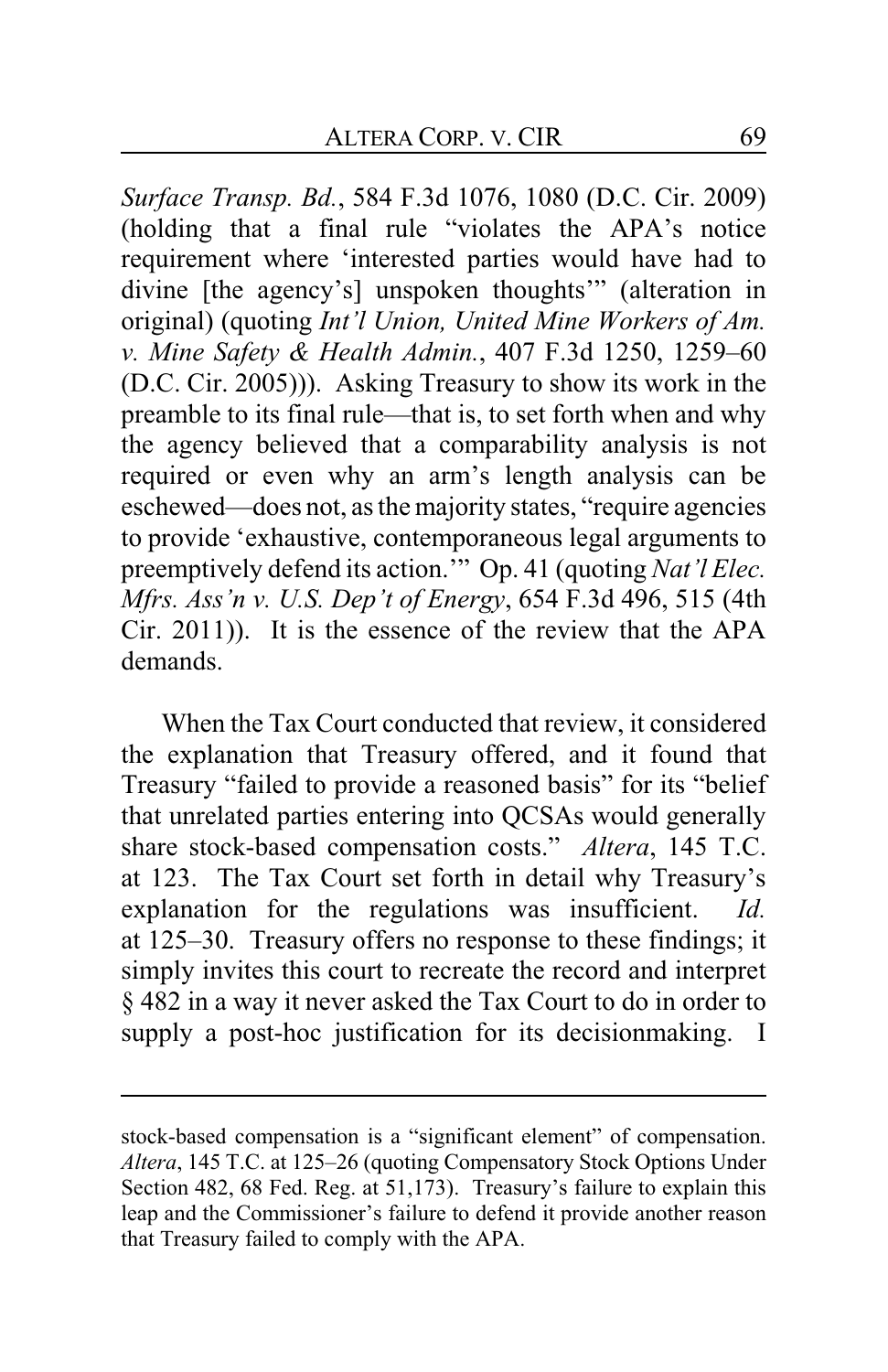*Surface Transp. Bd.*, 584 F.3d 1076, 1080 (D.C. Cir. 2009) (holding that a final rule "violates the APA's notice requirement where 'interested parties would have had to divine [the agency's] unspoken thoughts'" (alteration in original) (quoting *Int'l Union, United Mine Workers of Am. v. Mine Safety & Health Admin.*, 407 F.3d 1250, 1259–60 (D.C. Cir. 2005))). Asking Treasury to show its work in the preamble to its final rule—that is, to set forth when and why the agency believed that a comparability analysis is not required or even why an arm's length analysis can be eschewed—does not, as the majority states, "require agencies to provide 'exhaustive, contemporaneous legal arguments to preemptively defend its action.'" Op. 41 (quoting *Nat'l Elec. Mfrs. Ass'n v. U.S. Dep't of Energy*, 654 F.3d 496, 515 (4th Cir. 2011)). It is the essence of the review that the APA demands.

When the Tax Court conducted that review, it considered the explanation that Treasury offered, and it found that Treasury "failed to provide a reasoned basis" for its "belief that unrelated parties entering into QCSAs would generally share stock-based compensation costs." *Altera*, 145 T.C. at 123. The Tax Court set forth in detail why Treasury's explanation for the regulations was insufficient. *Id.* at 125–30. Treasury offers no response to these findings; it simply invites this court to recreate the record and interpret § 482 in a way it never asked the Tax Court to do in order to supply a post-hoc justification for its decisionmaking. I

stock-based compensation is a "significant element" of compensation. *Altera*, 145 T.C. at 125–26 (quoting Compensatory Stock Options Under Section 482, 68 Fed. Reg. at 51,173). Treasury's failure to explain this leap and the Commissioner's failure to defend it provide another reason that Treasury failed to comply with the APA.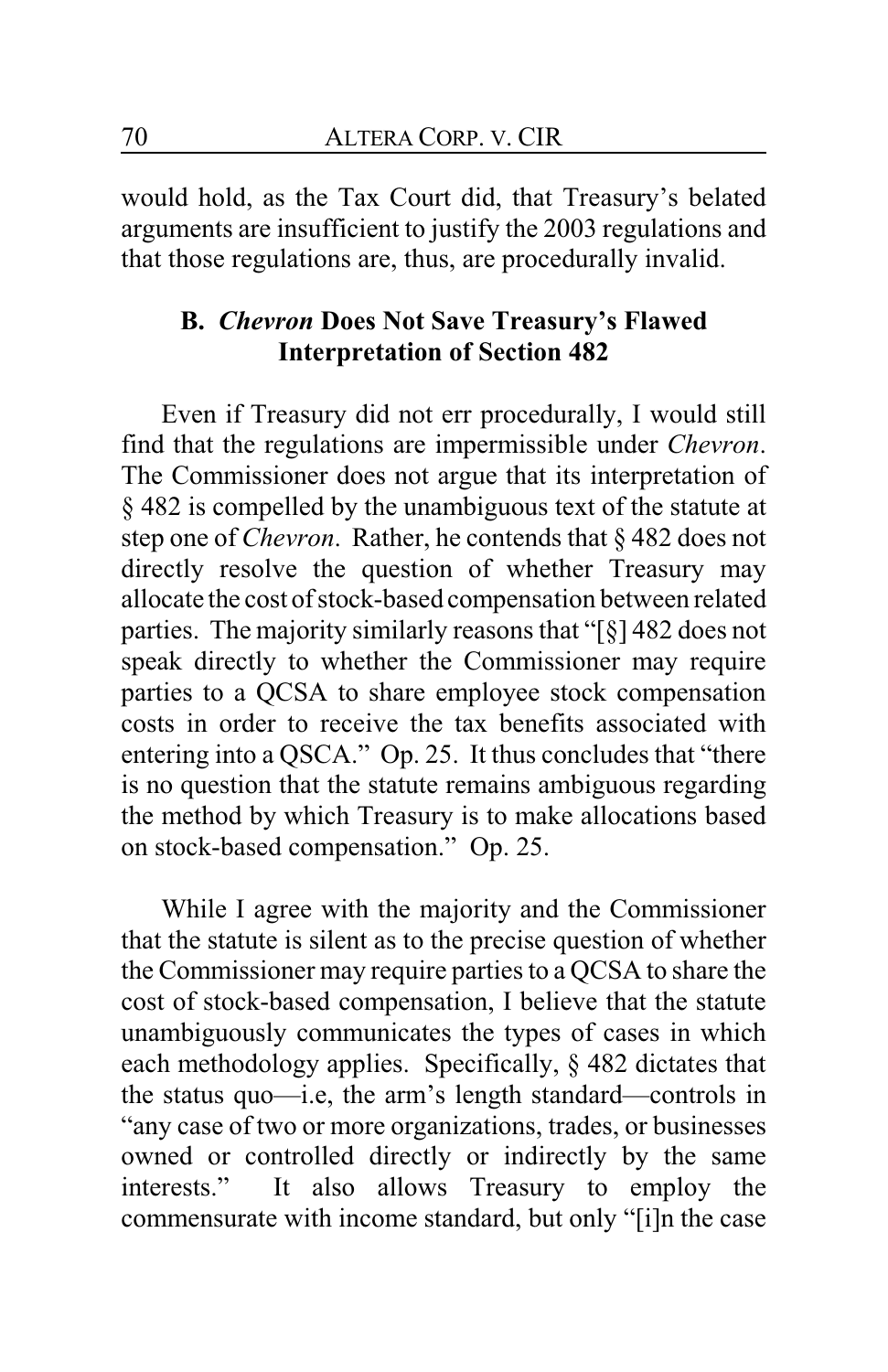would hold, as the Tax Court did, that Treasury's belated arguments are insufficient to justify the 2003 regulations and that those regulations are, thus, are procedurally invalid.

# **B.** *Chevron* **Does Not Save Treasury's Flawed Interpretation of Section 482**

Even if Treasury did not err procedurally, I would still find that the regulations are impermissible under *Chevron*. The Commissioner does not argue that its interpretation of § 482 is compelled by the unambiguous text of the statute at step one of *Chevron*. Rather, he contends that § 482 does not directly resolve the question of whether Treasury may allocate the cost of stock-based compensation between related parties. The majority similarly reasons that "[§] 482 does not speak directly to whether the Commissioner may require parties to a QCSA to share employee stock compensation costs in order to receive the tax benefits associated with entering into a QSCA." Op. 25. It thus concludes that "there is no question that the statute remains ambiguous regarding the method by which Treasury is to make allocations based on stock-based compensation." Op. 25.

While I agree with the majority and the Commissioner that the statute is silent as to the precise question of whether the Commissioner may require parties to a QCSA to share the cost of stock-based compensation, I believe that the statute unambiguously communicates the types of cases in which each methodology applies. Specifically, § 482 dictates that the status quo—i.e, the arm's length standard—controls in "any case of two or more organizations, trades, or businesses owned or controlled directly or indirectly by the same interests." It also allows Treasury to employ the commensurate with income standard, but only "[i]n the case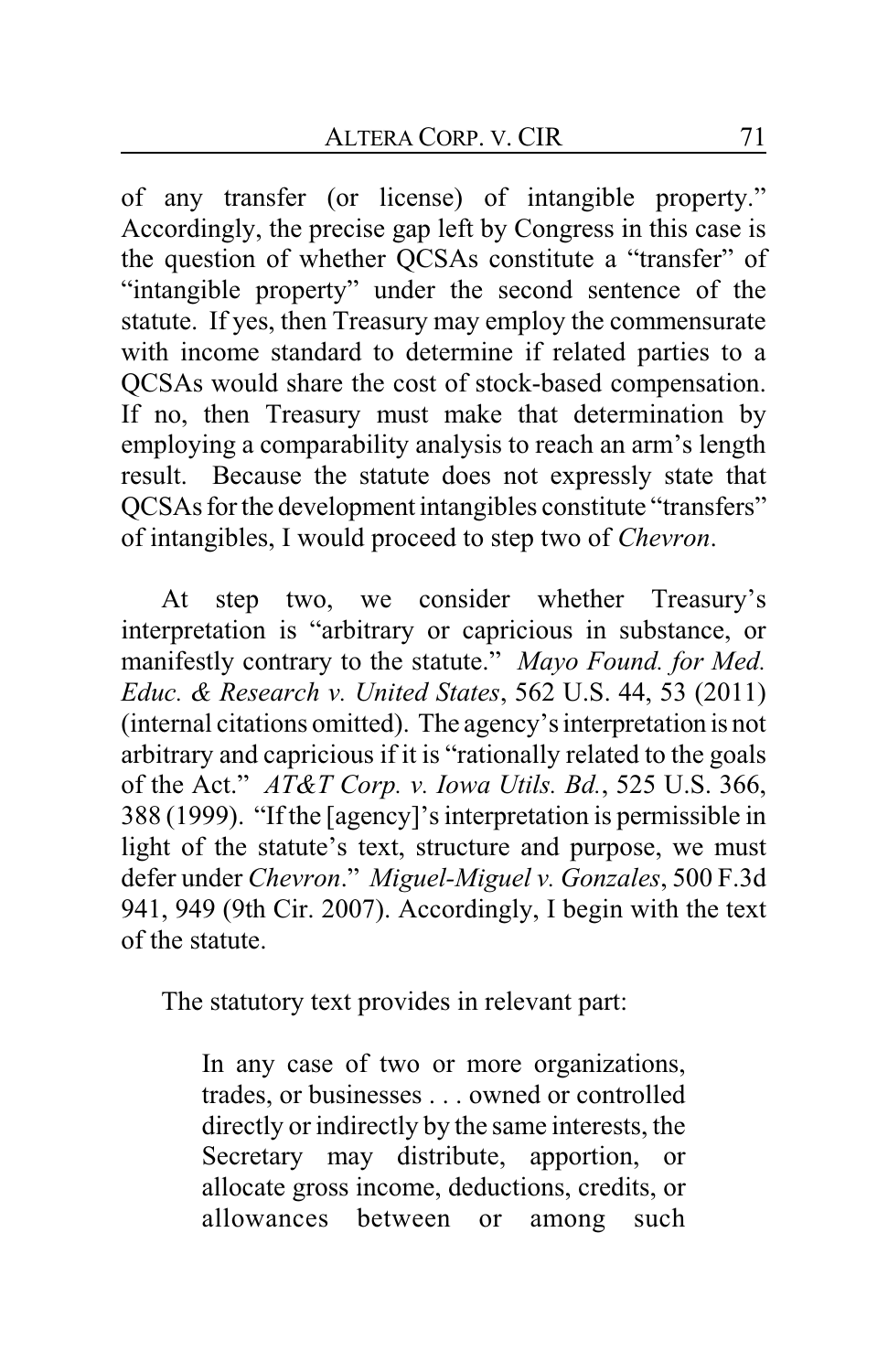of any transfer (or license) of intangible property." Accordingly, the precise gap left by Congress in this case is the question of whether QCSAs constitute a "transfer" of "intangible property" under the second sentence of the statute. If yes, then Treasury may employ the commensurate with income standard to determine if related parties to a QCSAs would share the cost of stock-based compensation. If no, then Treasury must make that determination by employing a comparability analysis to reach an arm's length result. Because the statute does not expressly state that QCSAs for the development intangibles constitute "transfers" of intangibles, I would proceed to step two of *Chevron*.

At step two, we consider whether Treasury's interpretation is "arbitrary or capricious in substance, or manifestly contrary to the statute." *Mayo Found. for Med. Educ. & Research v. United States*, 562 U.S. 44, 53 (2011) (internal citations omitted). The agency's interpretation is not arbitrary and capricious if it is "rationally related to the goals of the Act." *AT&T Corp. v. Iowa Utils. Bd.*, 525 U.S. 366, 388 (1999). "If the [agency]'s interpretation is permissible in light of the statute's text, structure and purpose, we must defer under *Chevron*." *Miguel-Miguel v. Gonzales*, 500 F.3d 941, 949 (9th Cir. 2007). Accordingly, I begin with the text of the statute.

The statutory text provides in relevant part:

In any case of two or more organizations, trades, or businesses . . . owned or controlled directly or indirectly by the same interests, the Secretary may distribute, apportion, or allocate gross income, deductions, credits, or allowances between or among such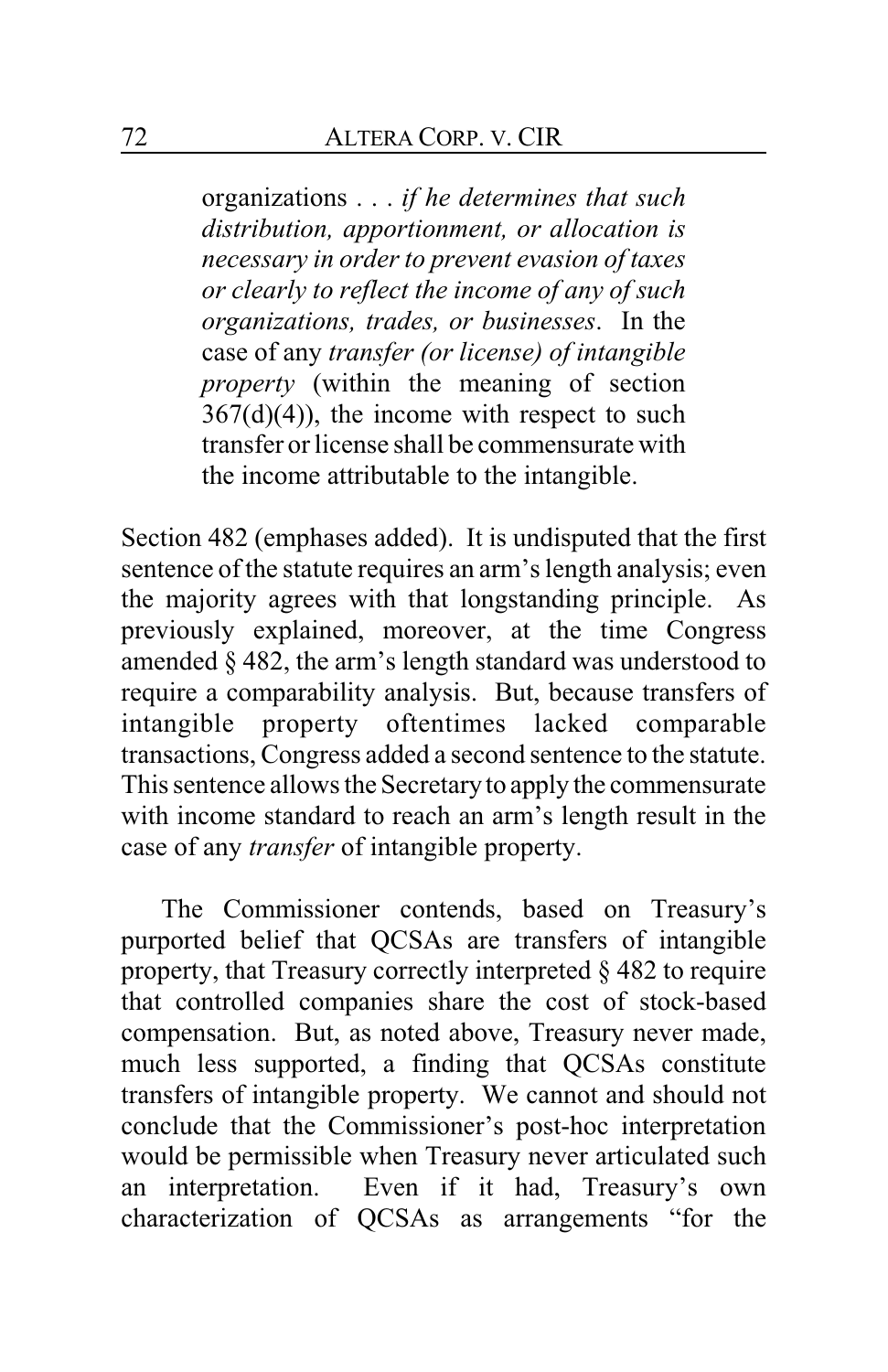organizations . . . *if he determines that such distribution, apportionment, or allocation is necessary in order to prevent evasion of taxes or clearly to reflect the income of any of such organizations, trades, or businesses*. In the case of any *transfer (or license) of intangible property* (within the meaning of section  $367(d)(4)$ , the income with respect to such transfer or license shall be commensurate with the income attributable to the intangible.

Section 482 (emphases added). It is undisputed that the first sentence of the statute requires an arm's length analysis; even the majority agrees with that longstanding principle. As previously explained, moreover, at the time Congress amended § 482, the arm's length standard was understood to require a comparability analysis. But, because transfers of intangible property oftentimes lacked comparable transactions, Congress added a second sentence to the statute. This sentence allows the Secretaryto apply the commensurate with income standard to reach an arm's length result in the case of any *transfer* of intangible property.

The Commissioner contends, based on Treasury's purported belief that QCSAs are transfers of intangible property, that Treasury correctly interpreted § 482 to require that controlled companies share the cost of stock-based compensation. But, as noted above, Treasury never made, much less supported, a finding that QCSAs constitute transfers of intangible property. We cannot and should not conclude that the Commissioner's post-hoc interpretation would be permissible when Treasury never articulated such an interpretation. Even if it had, Treasury's own characterization of QCSAs as arrangements "for the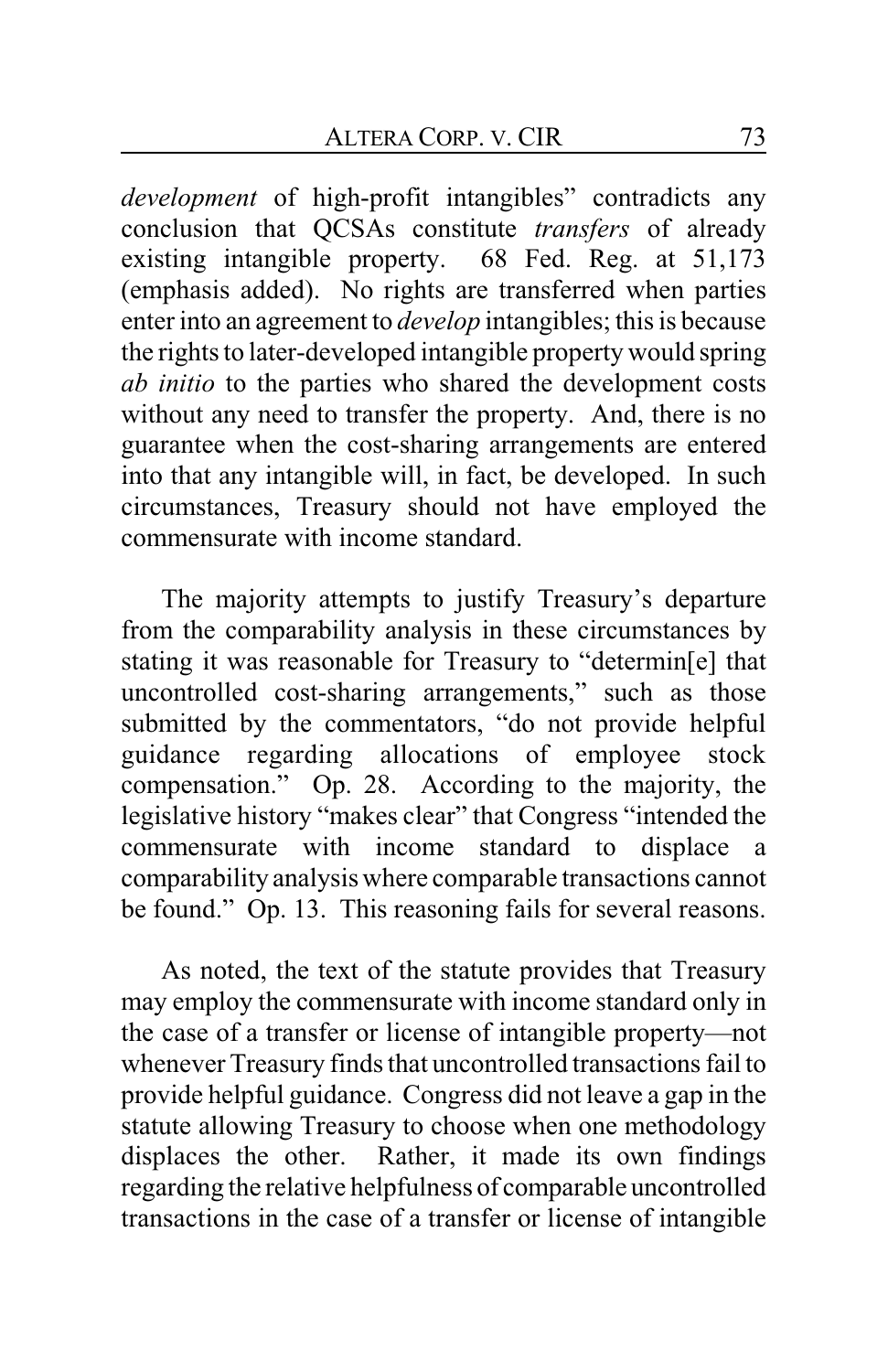*development* of high-profit intangibles" contradicts any conclusion that QCSAs constitute *transfers* of already existing intangible property. 68 Fed. Reg. at 51,173 (emphasis added). No rights are transferred when parties enter into an agreement to *develop* intangibles; this is because the rights to later-developed intangible property would spring *ab initio* to the parties who shared the development costs without any need to transfer the property. And, there is no guarantee when the cost-sharing arrangements are entered into that any intangible will, in fact, be developed. In such circumstances, Treasury should not have employed the commensurate with income standard.

The majority attempts to justify Treasury's departure from the comparability analysis in these circumstances by stating it was reasonable for Treasury to "determin[e] that uncontrolled cost-sharing arrangements," such as those submitted by the commentators, "do not provide helpful guidance regarding allocations of employee stock compensation." Op. 28. According to the majority, the legislative history "makes clear" that Congress "intended the commensurate with income standard to displace a comparability analysis where comparable transactions cannot be found." Op. 13. This reasoning fails for several reasons.

As noted, the text of the statute provides that Treasury may employ the commensurate with income standard only in the case of a transfer or license of intangible property—not whenever Treasury finds that uncontrolled transactions fail to provide helpful guidance. Congress did not leave a gap in the statute allowing Treasury to choose when one methodology displaces the other. Rather, it made its own findings regarding the relative helpfulness of comparable uncontrolled transactions in the case of a transfer or license of intangible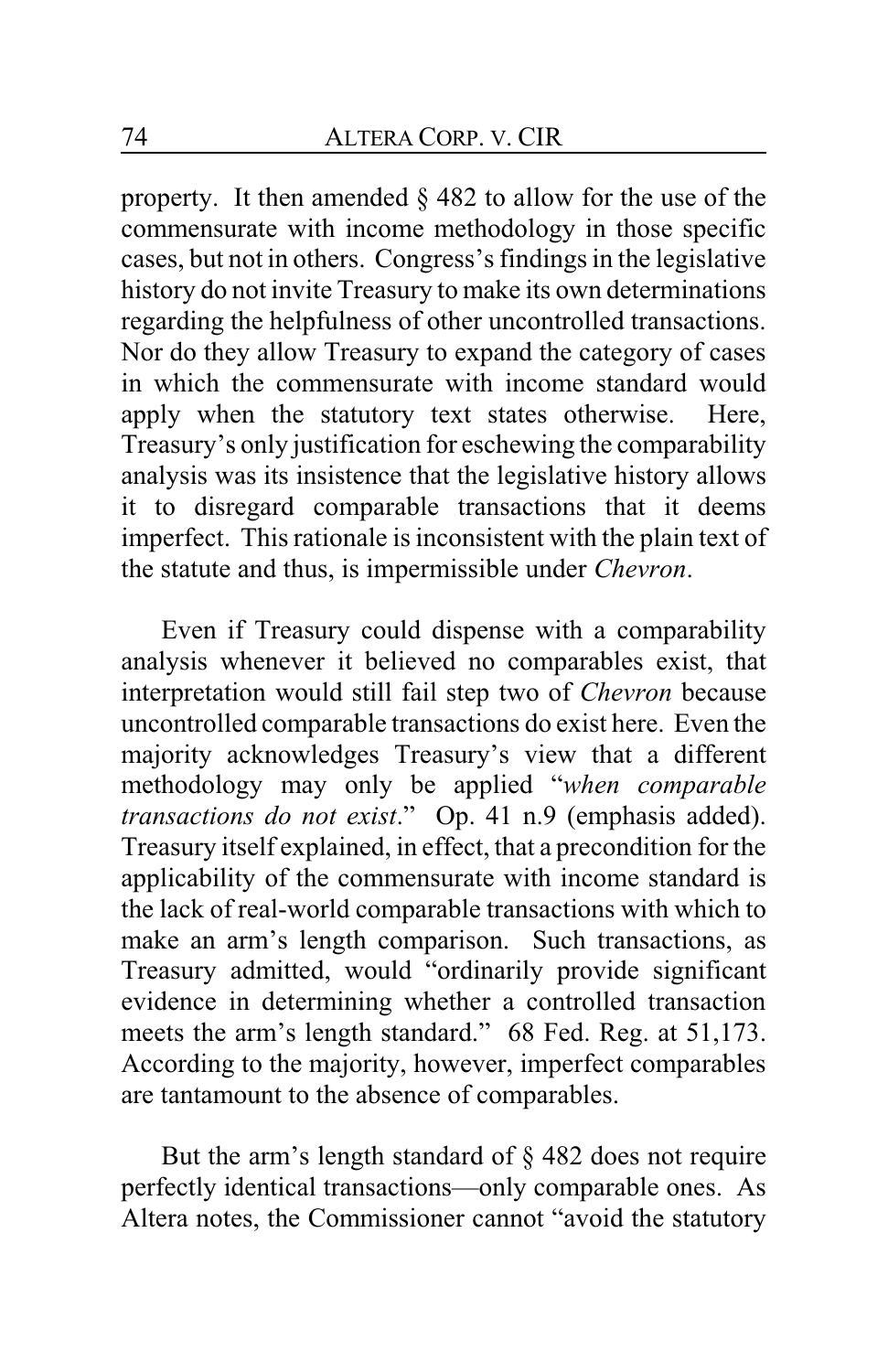property. It then amended § 482 to allow for the use of the commensurate with income methodology in those specific cases, but not in others. Congress's findings in the legislative history do not invite Treasury to make its own determinations regarding the helpfulness of other uncontrolled transactions. Nor do they allow Treasury to expand the category of cases in which the commensurate with income standard would apply when the statutory text states otherwise. Here, Treasury's only justification for eschewing the comparability analysis was its insistence that the legislative history allows it to disregard comparable transactions that it deems imperfect. This rationale is inconsistent with the plain text of the statute and thus, is impermissible under *Chevron*.

Even if Treasury could dispense with a comparability analysis whenever it believed no comparables exist, that interpretation would still fail step two of *Chevron* because uncontrolled comparable transactions do exist here. Even the majority acknowledges Treasury's view that a different methodology may only be applied "*when comparable transactions do not exist*." Op. 41 n.9 (emphasis added). Treasury itself explained, in effect, that a precondition for the applicability of the commensurate with income standard is the lack of real-world comparable transactions with which to make an arm's length comparison. Such transactions, as Treasury admitted, would "ordinarily provide significant evidence in determining whether a controlled transaction meets the arm's length standard." 68 Fed. Reg. at 51,173. According to the majority, however, imperfect comparables are tantamount to the absence of comparables.

But the arm's length standard of § 482 does not require perfectly identical transactions—only comparable ones. As Altera notes, the Commissioner cannot "avoid the statutory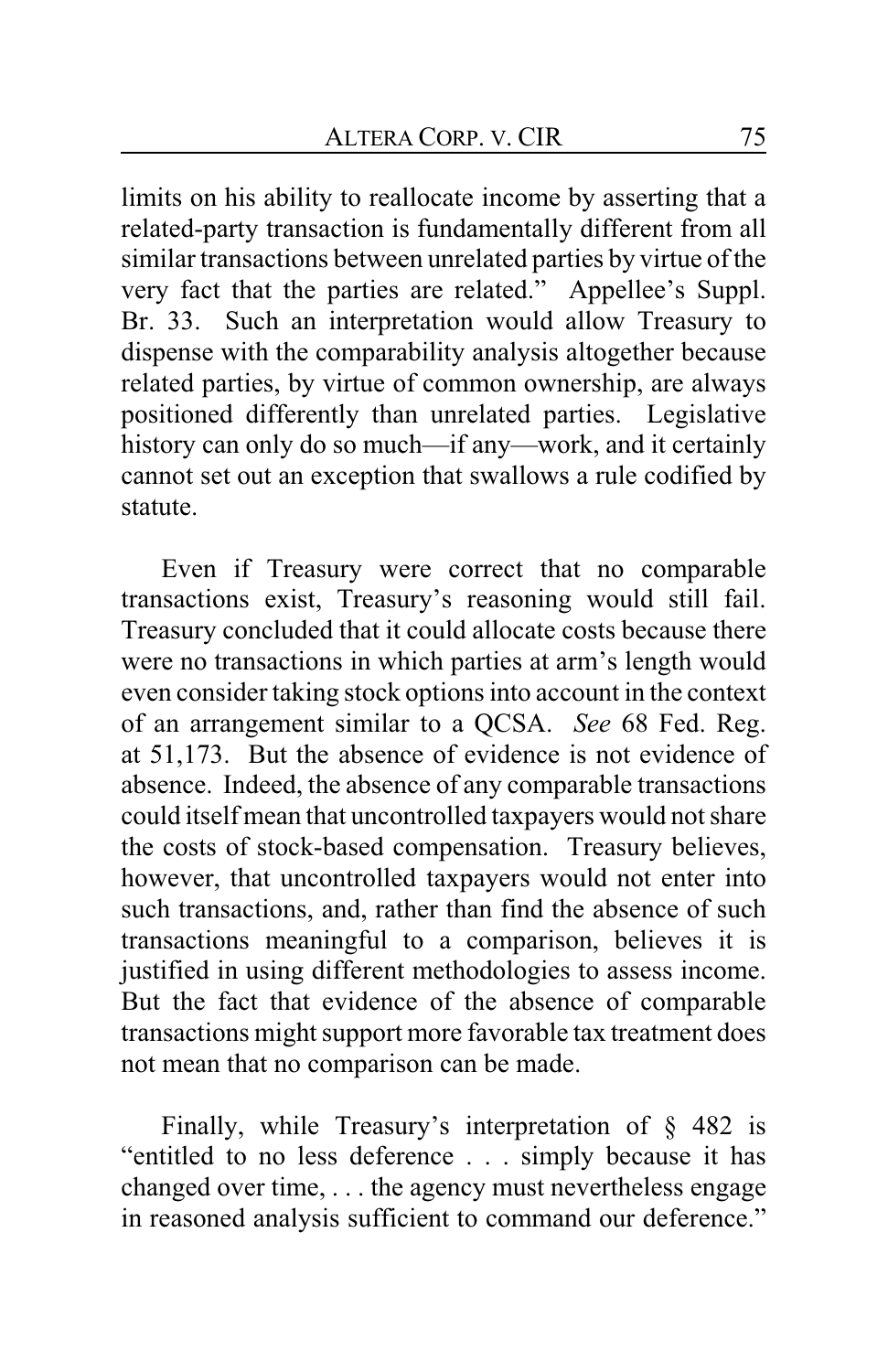limits on his ability to reallocate income by asserting that a related-party transaction is fundamentally different from all similar transactions between unrelated parties by virtue of the very fact that the parties are related." Appellee's Suppl. Br. 33. Such an interpretation would allow Treasury to dispense with the comparability analysis altogether because related parties, by virtue of common ownership, are always positioned differently than unrelated parties. Legislative history can only do so much—if any—work, and it certainly cannot set out an exception that swallows a rule codified by statute.

Even if Treasury were correct that no comparable transactions exist, Treasury's reasoning would still fail. Treasury concluded that it could allocate costs because there were no transactions in which parties at arm's length would even consider taking stock options into account in the context of an arrangement similar to a QCSA. *See* 68 Fed. Reg. at 51,173. But the absence of evidence is not evidence of absence. Indeed, the absence of any comparable transactions could itself mean that uncontrolled taxpayers would not share the costs of stock-based compensation. Treasury believes, however, that uncontrolled taxpayers would not enter into such transactions, and, rather than find the absence of such transactions meaningful to a comparison, believes it is justified in using different methodologies to assess income. But the fact that evidence of the absence of comparable transactions might support more favorable tax treatment does not mean that no comparison can be made.

Finally, while Treasury's interpretation of § 482 is "entitled to no less deference . . . simply because it has changed over time, . . . the agency must nevertheless engage in reasoned analysis sufficient to command our deference."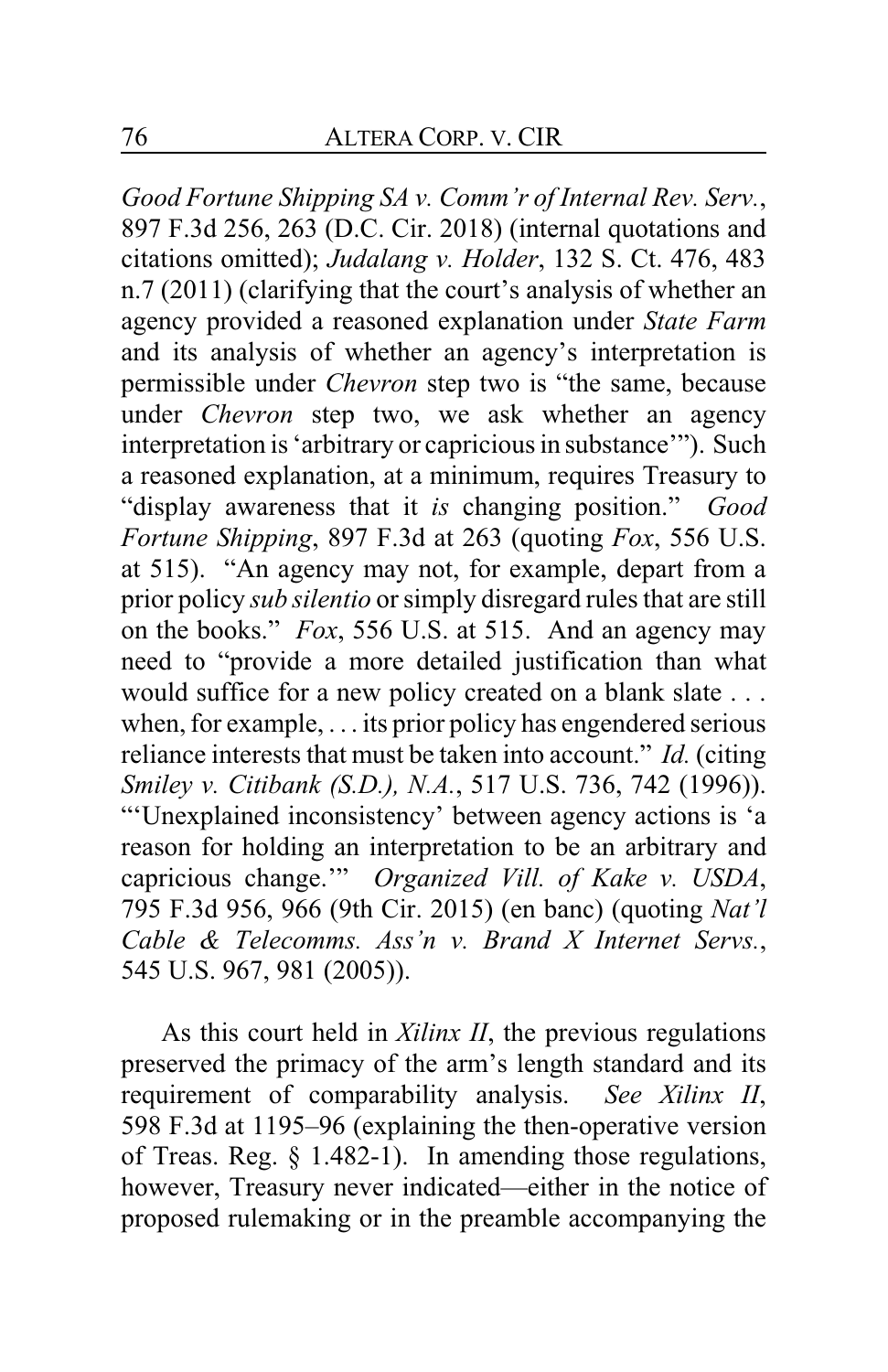*Good Fortune Shipping SA v. Comm'r of Internal Rev. Serv.*, 897 F.3d 256, 263 (D.C. Cir. 2018) (internal quotations and citations omitted); *Judalang v. Holder*, 132 S. Ct. 476, 483 n.7 (2011) (clarifying that the court's analysis of whether an agency provided a reasoned explanation under *State Farm* and its analysis of whether an agency's interpretation is permissible under *Chevron* step two is "the same, because under *Chevron* step two, we ask whether an agency interpretation is 'arbitrary or capricious in substance'"). Such a reasoned explanation, at a minimum, requires Treasury to "display awareness that it *is* changing position." *Good Fortune Shipping*, 897 F.3d at 263 (quoting *Fox*, 556 U.S. at 515). "An agency may not, for example, depart from a prior policy *sub silentio* or simply disregard rules that are still on the books." *Fox*, 556 U.S. at 515. And an agency may need to "provide a more detailed justification than what would suffice for a new policy created on a blank slate . . . when, for example, . . . its prior policy has engendered serious reliance interests that must be taken into account." *Id.* (citing *Smiley v. Citibank (S.D.), N.A.*, 517 U.S. 736, 742 (1996)). "'Unexplained inconsistency' between agency actions is 'a reason for holding an interpretation to be an arbitrary and capricious change.'" *Organized Vill. of Kake v. USDA*, 795 F.3d 956, 966 (9th Cir. 2015) (en banc) (quoting *Nat'l Cable & Telecomms. Ass'n v. Brand X Internet Servs.*, 545 U.S. 967, 981 (2005)).

As this court held in *Xilinx II*, the previous regulations preserved the primacy of the arm's length standard and its requirement of comparability analysis. *See Xilinx II*, 598 F.3d at 1195–96 (explaining the then-operative version of Treas. Reg. § 1.482-1). In amending those regulations, however, Treasury never indicated—either in the notice of proposed rulemaking or in the preamble accompanying the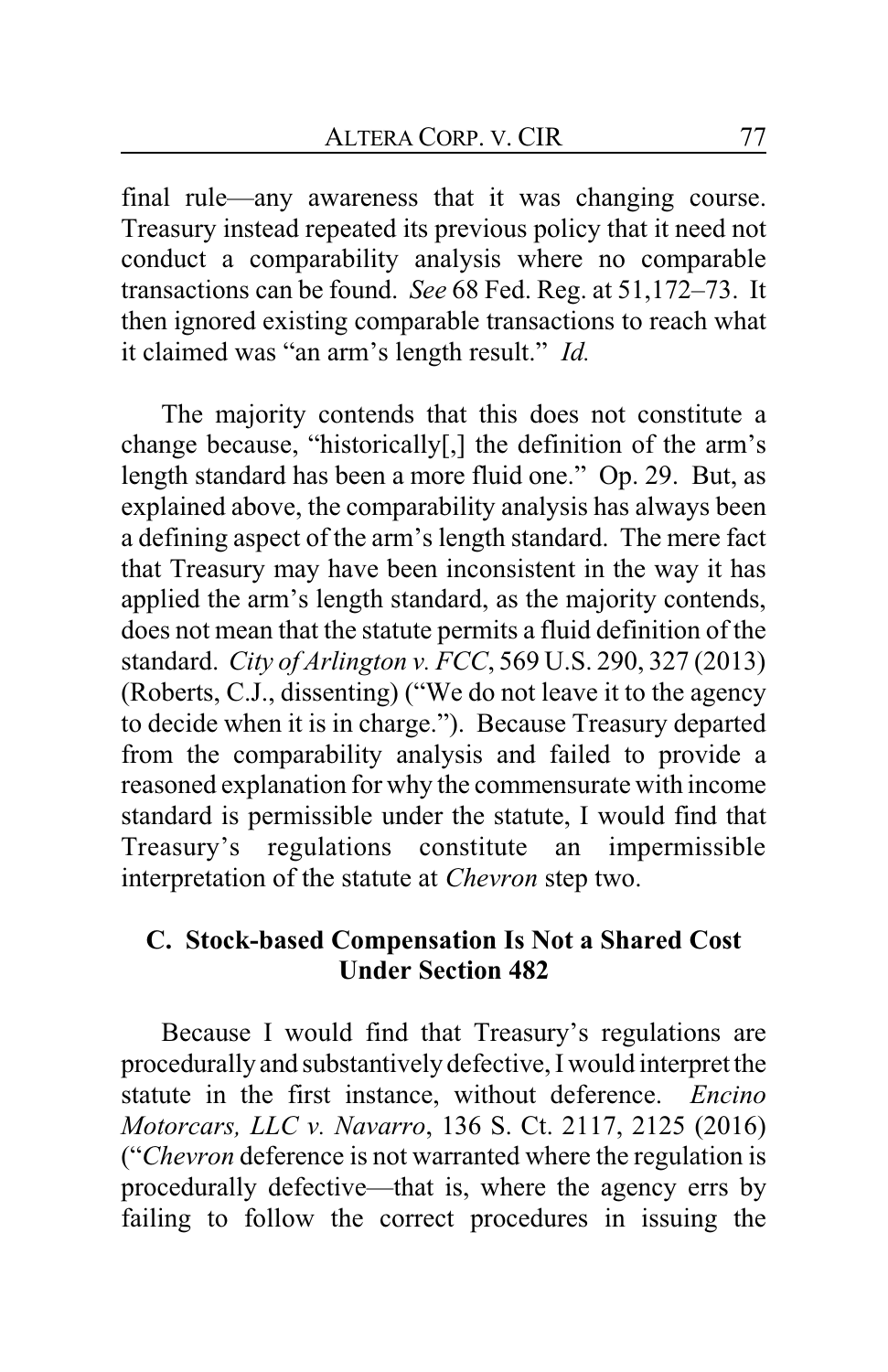final rule—any awareness that it was changing course. Treasury instead repeated its previous policy that it need not conduct a comparability analysis where no comparable transactions can be found. *See* 68 Fed. Reg. at 51,172–73. It then ignored existing comparable transactions to reach what it claimed was "an arm's length result." *Id.*

The majority contends that this does not constitute a change because, "historically[,] the definition of the arm's length standard has been a more fluid one." Op. 29. But, as explained above, the comparability analysis has always been a defining aspect of the arm's length standard. The mere fact that Treasury may have been inconsistent in the way it has applied the arm's length standard, as the majority contends, does not mean that the statute permits a fluid definition of the standard. *City of Arlington v. FCC*, 569 U.S. 290, 327 (2013) (Roberts, C.J., dissenting) ("We do not leave it to the agency to decide when it is in charge."). Because Treasury departed from the comparability analysis and failed to provide a reasoned explanation for why the commensurate with income standard is permissible under the statute, I would find that Treasury's regulations constitute an impermissible interpretation of the statute at *Chevron* step two.

## **C. Stock-based Compensation Is Not a Shared Cost Under Section 482**

Because I would find that Treasury's regulations are procedurally and substantively defective, I would interpret the statute in the first instance, without deference. *Encino Motorcars, LLC v. Navarro*, 136 S. Ct. 2117, 2125 (2016) ("*Chevron* deference is not warranted where the regulation is procedurally defective—that is, where the agency errs by failing to follow the correct procedures in issuing the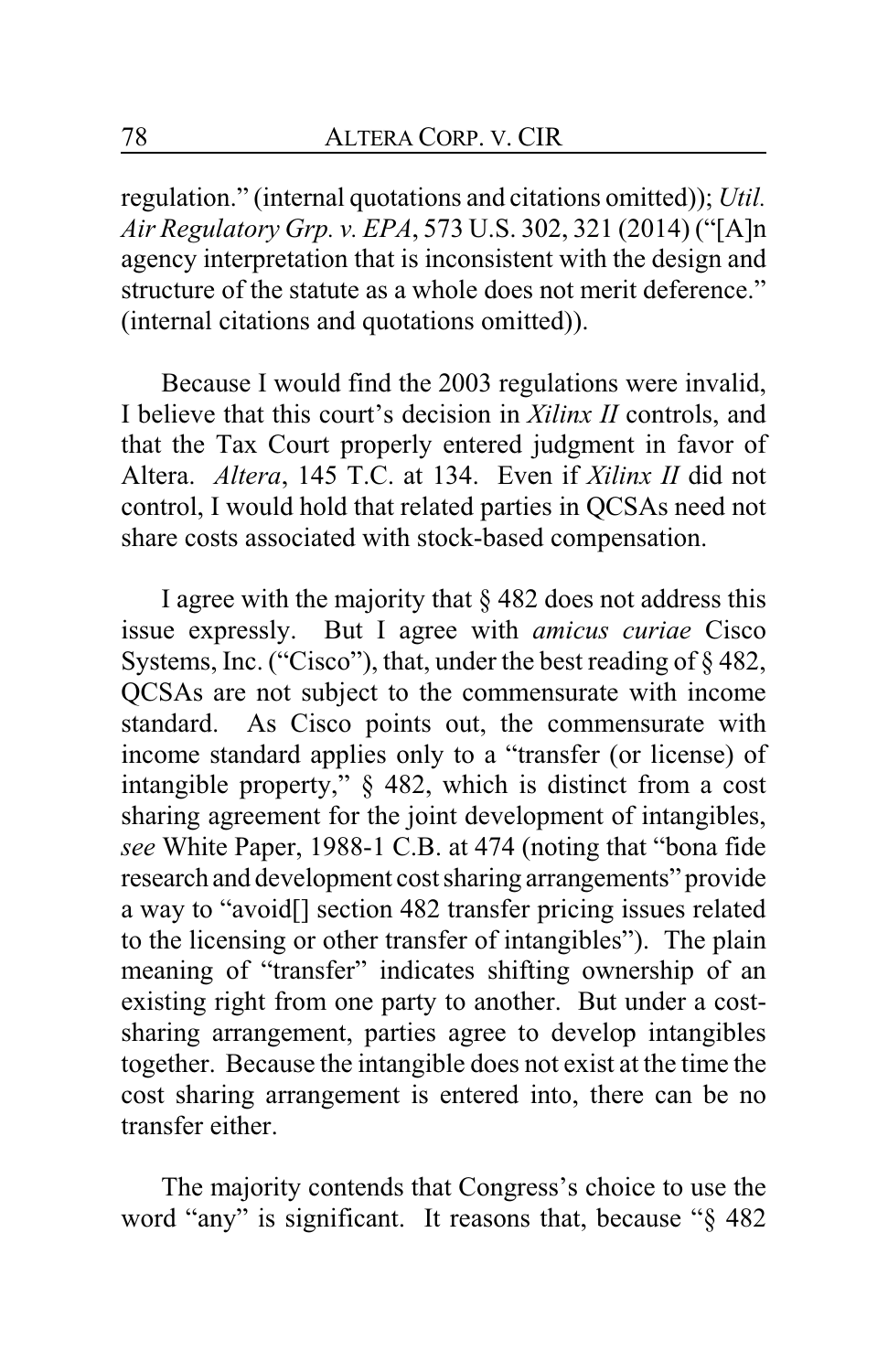regulation." (internal quotations and citations omitted)); *Util. Air Regulatory Grp. v. EPA*, 573 U.S. 302, 321 (2014) ("[A]n agency interpretation that is inconsistent with the design and structure of the statute as a whole does not merit deference." (internal citations and quotations omitted)).

Because I would find the 2003 regulations were invalid, I believe that this court's decision in *Xilinx II* controls, and that the Tax Court properly entered judgment in favor of Altera. *Altera*, 145 T.C. at 134. Even if *Xilinx II* did not control, I would hold that related parties in QCSAs need not share costs associated with stock-based compensation.

I agree with the majority that  $\S$  482 does not address this issue expressly. But I agree with *amicus curiae* Cisco Systems, Inc. ("Cisco"), that, under the best reading of § 482, QCSAs are not subject to the commensurate with income standard. As Cisco points out, the commensurate with income standard applies only to a "transfer (or license) of intangible property," § 482, which is distinct from a cost sharing agreement for the joint development of intangibles, *see* White Paper, 1988-1 C.B. at 474 (noting that "bona fide research and development cost sharing arrangements" provide a way to "avoid[] section 482 transfer pricing issues related to the licensing or other transfer of intangibles"). The plain meaning of "transfer" indicates shifting ownership of an existing right from one party to another. But under a costsharing arrangement, parties agree to develop intangibles together. Because the intangible does not exist at the time the cost sharing arrangement is entered into, there can be no transfer either.

The majority contends that Congress's choice to use the word "any" is significant. It reasons that, because "§ 482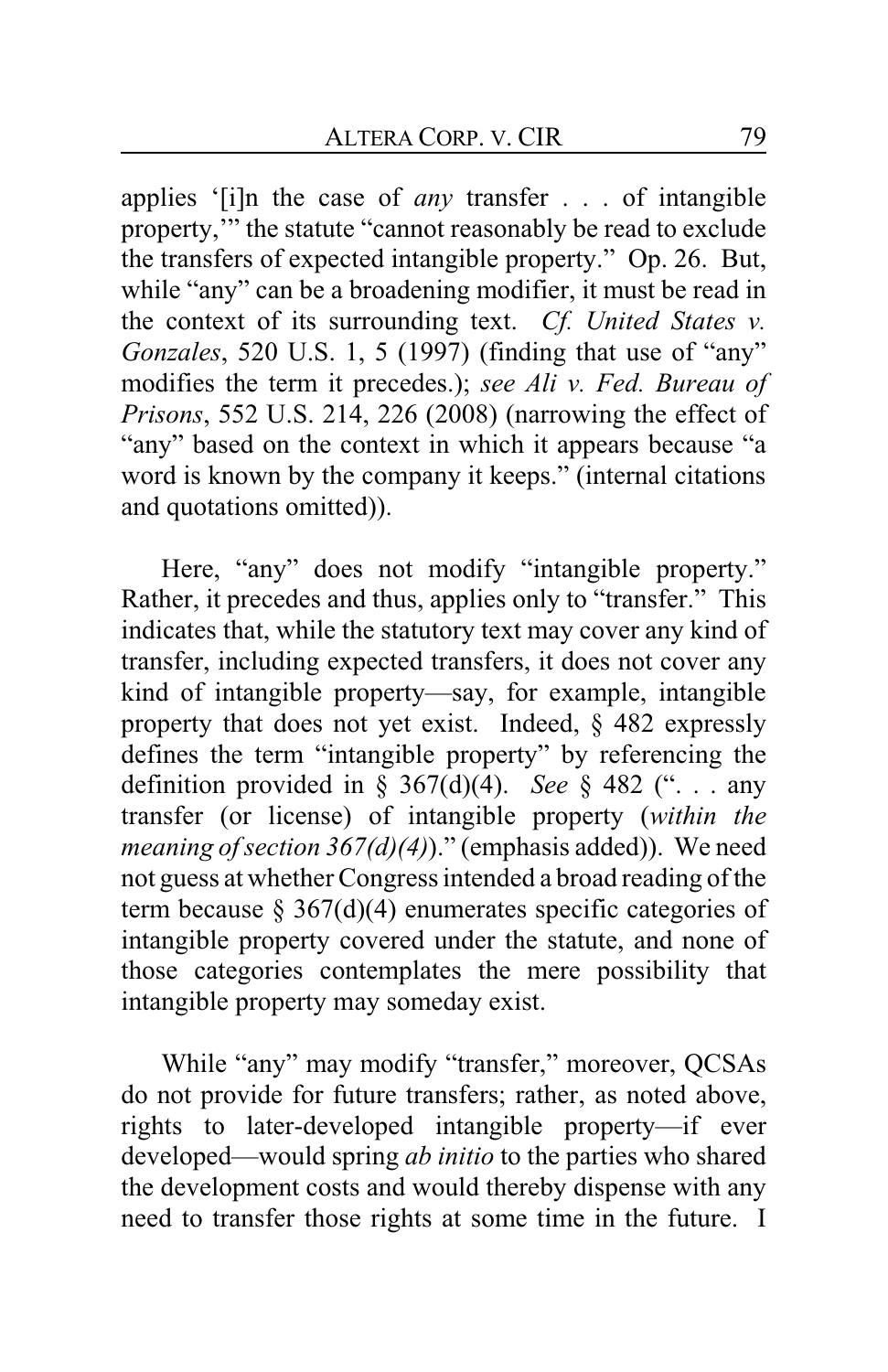applies '[i]n the case of *any* transfer . . . of intangible property,'" the statute "cannot reasonably be read to exclude the transfers of expected intangible property." Op. 26. But, while "any" can be a broadening modifier, it must be read in the context of its surrounding text. *Cf. United States v. Gonzales*, 520 U.S. 1, 5 (1997) (finding that use of "any" modifies the term it precedes.); *see Ali v. Fed. Bureau of Prisons*, 552 U.S. 214, 226 (2008) (narrowing the effect of "any" based on the context in which it appears because "a word is known by the company it keeps." (internal citations and quotations omitted)).

Here, "any" does not modify "intangible property." Rather, it precedes and thus, applies only to "transfer." This indicates that, while the statutory text may cover any kind of transfer, including expected transfers, it does not cover any kind of intangible property—say, for example, intangible property that does not yet exist. Indeed, § 482 expressly defines the term "intangible property" by referencing the definition provided in  $\zeta$  367(d)(4). *See*  $\zeta$  482 ("... any transfer (or license) of intangible property (*within the meaning of section 367(d)(4)*)." (emphasis added)). We need not guess at whether Congress intended a broad reading of the term because  $\S 367(d)(4)$  enumerates specific categories of intangible property covered under the statute, and none of those categories contemplates the mere possibility that intangible property may someday exist.

While "any" may modify "transfer," moreover, QCSAs do not provide for future transfers; rather, as noted above, rights to later-developed intangible property—if ever developed—would spring *ab initio* to the parties who shared the development costs and would thereby dispense with any need to transfer those rights at some time in the future. I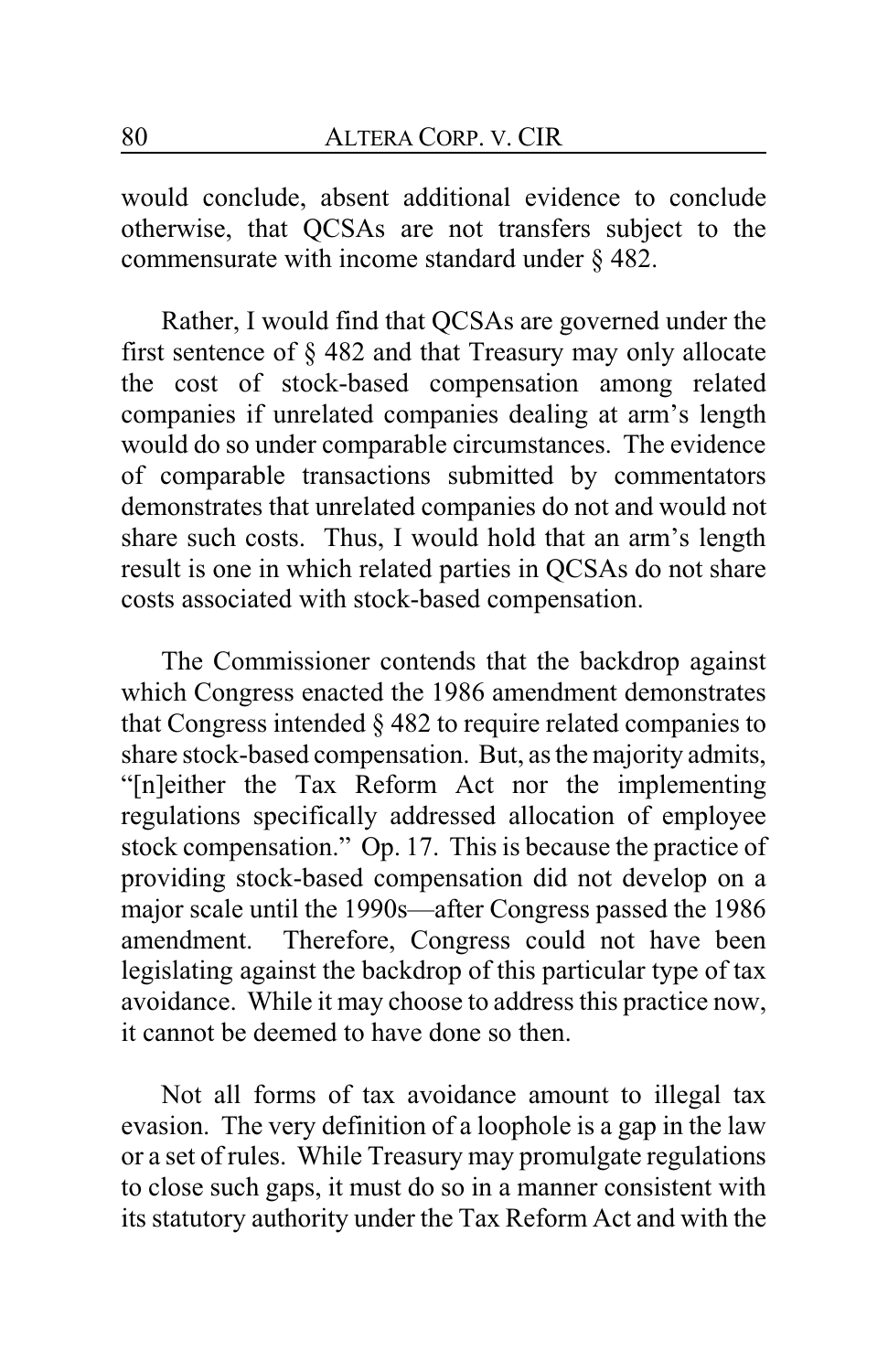would conclude, absent additional evidence to conclude otherwise, that QCSAs are not transfers subject to the commensurate with income standard under § 482.

Rather, I would find that QCSAs are governed under the first sentence of § 482 and that Treasury may only allocate the cost of stock-based compensation among related companies if unrelated companies dealing at arm's length would do so under comparable circumstances. The evidence of comparable transactions submitted by commentators demonstrates that unrelated companies do not and would not share such costs. Thus, I would hold that an arm's length result is one in which related parties in QCSAs do not share costs associated with stock-based compensation.

The Commissioner contends that the backdrop against which Congress enacted the 1986 amendment demonstrates that Congress intended § 482 to require related companies to share stock-based compensation. But, as the majority admits, "[n]either the Tax Reform Act nor the implementing regulations specifically addressed allocation of employee stock compensation." Op. 17. This is because the practice of providing stock-based compensation did not develop on a major scale until the 1990s—after Congress passed the 1986 amendment. Therefore, Congress could not have been legislating against the backdrop of this particular type of tax avoidance. While it may choose to address this practice now, it cannot be deemed to have done so then.

Not all forms of tax avoidance amount to illegal tax evasion. The very definition of a loophole is a gap in the law or a set of rules. While Treasury may promulgate regulations to close such gaps, it must do so in a manner consistent with its statutory authority under the Tax Reform Act and with the